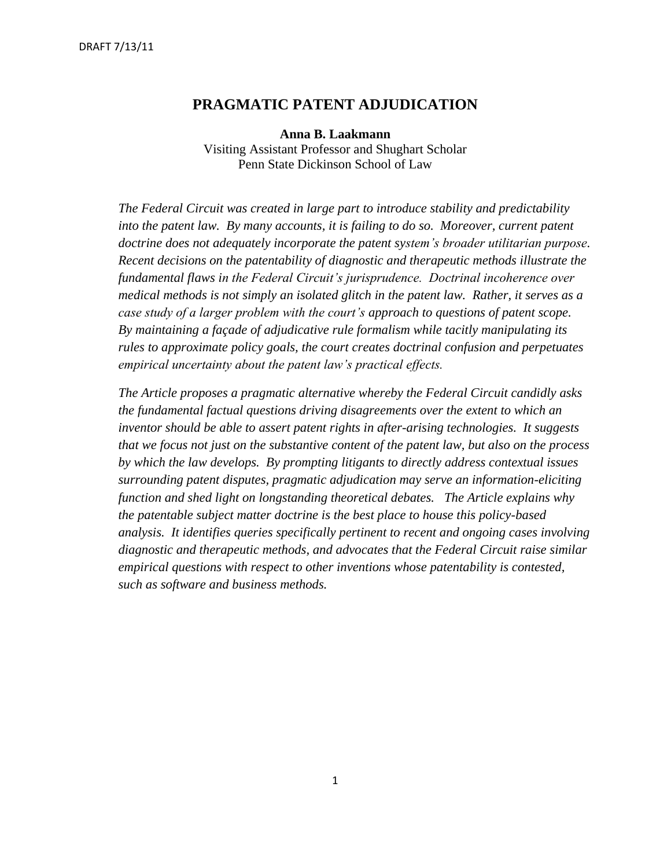# **PRAGMATIC PATENT ADJUDICATION**

**Anna B. Laakmann** Visiting Assistant Professor and Shughart Scholar Penn State Dickinson School of Law

*The Federal Circuit was created in large part to introduce stability and predictability*  into the patent law. By many accounts, it is failing to do so. Moreover, current patent *doctrine does not adequately incorporate the patent system's broader utilitarian purpose. Recent decisions on the patentability of diagnostic and therapeutic methods illustrate the fundamental flaws in the Federal Circuit's jurisprudence. Doctrinal incoherence over medical methods is not simply an isolated glitch in the patent law. Rather, it serves as a case study of a larger problem with the court's approach to questions of patent scope. By maintaining a façade of adjudicative rule formalism while tacitly manipulating its rules to approximate policy goals, the court creates doctrinal confusion and perpetuates empirical uncertainty about the patent law's practical effects.*

*The Article proposes a pragmatic alternative whereby the Federal Circuit candidly asks the fundamental factual questions driving disagreements over the extent to which an inventor should be able to assert patent rights in after-arising technologies. It suggests that we focus not just on the substantive content of the patent law, but also on the process by which the law develops. By prompting litigants to directly address contextual issues surrounding patent disputes, pragmatic adjudication may serve an information-eliciting function and shed light on longstanding theoretical debates. The Article explains why the patentable subject matter doctrine is the best place to house this policy-based analysis. It identifies queries specifically pertinent to recent and ongoing cases involving diagnostic and therapeutic methods, and advocates that the Federal Circuit raise similar empirical questions with respect to other inventions whose patentability is contested, such as software and business methods.*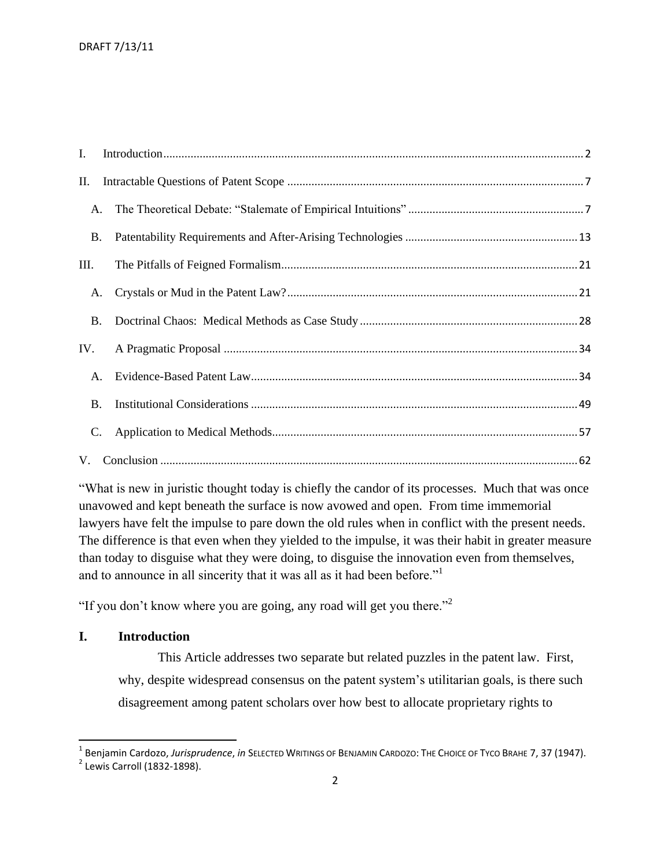| I.        |  |
|-----------|--|
| П.        |  |
| A.        |  |
| <b>B.</b> |  |
| III.      |  |
| A.        |  |
| <b>B.</b> |  |
| IV.       |  |
| A.        |  |
| <b>B.</b> |  |
| C.        |  |
|           |  |

"What is new in juristic thought today is chiefly the candor of its processes. Much that was once unavowed and kept beneath the surface is now avowed and open. From time immemorial lawyers have felt the impulse to pare down the old rules when in conflict with the present needs. The difference is that even when they yielded to the impulse, it was their habit in greater measure than today to disguise what they were doing, to disguise the innovation even from themselves, and to announce in all sincerity that it was all as it had been before."<sup>1</sup>

"If you don't know where you are going, any road will get you there."<sup>2</sup>

### <span id="page-1-0"></span>**I. Introduction**

This Article addresses two separate but related puzzles in the patent law. First, why, despite widespread consensus on the patent system's utilitarian goals, is there such disagreement among patent scholars over how best to allocate proprietary rights to

<sup>1</sup> Benjamin Cardozo, *Jurisprudence*, *in* SELECTED WRITINGS OF BENJAMIN CARDOZO: THE CHOICE OF TYCO BRAHE 7, 37 (1947).

 $<sup>2</sup>$  Lewis Carroll (1832-1898).</sup>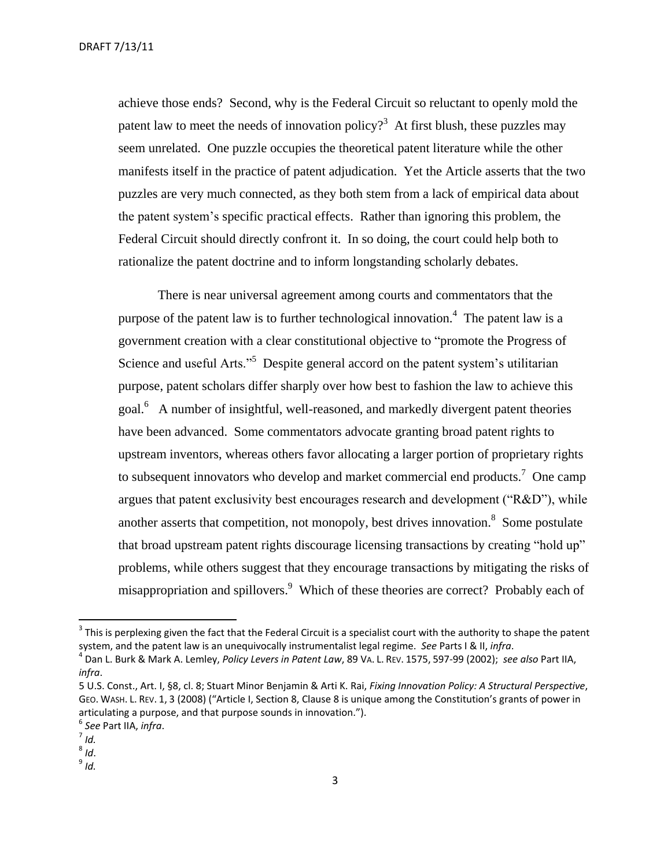DRAFT 7/13/11

achieve those ends? Second, why is the Federal Circuit so reluctant to openly mold the patent law to meet the needs of innovation policy?<sup>3</sup> At first blush, these puzzles may seem unrelated. One puzzle occupies the theoretical patent literature while the other manifests itself in the practice of patent adjudication. Yet the Article asserts that the two puzzles are very much connected, as they both stem from a lack of empirical data about the patent system's specific practical effects. Rather than ignoring this problem, the Federal Circuit should directly confront it. In so doing, the court could help both to rationalize the patent doctrine and to inform longstanding scholarly debates.

There is near universal agreement among courts and commentators that the purpose of the patent law is to further technological innovation.<sup>4</sup> The patent law is a government creation with a clear constitutional objective to "promote the Progress of Science and useful Arts."<sup>5</sup> Despite general accord on the patent system's utilitarian purpose, patent scholars differ sharply over how best to fashion the law to achieve this goal.<sup>6</sup> A number of insightful, well-reasoned, and markedly divergent patent theories have been advanced. Some commentators advocate granting broad patent rights to upstream inventors, whereas others favor allocating a larger portion of proprietary rights to subsequent innovators who develop and market commercial end products.<sup>7</sup> One camp argues that patent exclusivity best encourages research and development ("R&D"), while another asserts that competition, not monopoly, best drives innovation.<sup>8</sup> Some postulate that broad upstream patent rights discourage licensing transactions by creating "hold up" problems, while others suggest that they encourage transactions by mitigating the risks of misappropriation and spillovers.<sup>9</sup> Which of these theories are correct? Probably each of

 $3$  This is perplexing given the fact that the Federal Circuit is a specialist court with the authority to shape the patent system, and the patent law is an unequivocally instrumentalist legal regime. *See* Parts I & II, *infra*.

<sup>4</sup> Dan L. Burk & Mark A. Lemley, *Policy Levers in Patent Law*, 89 VA. L. REV. 1575, 597-99 (2002); *see also* Part IIA, *infra*.

<sup>5</sup> U.S. Const., Art. I, §8, cl. 8; Stuart Minor Benjamin & Arti K. Rai, *Fixing Innovation Policy: A Structural Perspective*, GEO. WASH. L. REV. 1, 3 (2008) ("Article I, Section 8, Clause 8 is unique among the Constitution's grants of power in articulating a purpose, and that purpose sounds in innovation.").

<sup>6</sup> *See* Part IIA, *infra*.

<sup>7</sup> *Id.*

<sup>8</sup> *Id*.

<sup>9</sup> *Id.*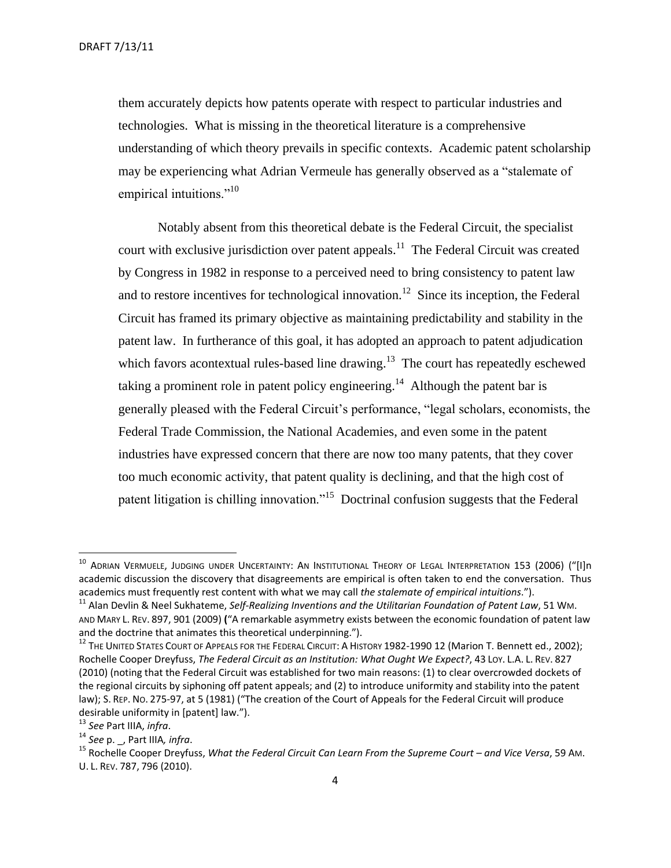them accurately depicts how patents operate with respect to particular industries and technologies. What is missing in the theoretical literature is a comprehensive understanding of which theory prevails in specific contexts. Academic patent scholarship may be experiencing what Adrian Vermeule has generally observed as a "stalemate of empirical intuitions."<sup>10</sup>

Notably absent from this theoretical debate is the Federal Circuit, the specialist court with exclusive jurisdiction over patent appeals.<sup>11</sup> The Federal Circuit was created by Congress in 1982 in response to a perceived need to bring consistency to patent law and to restore incentives for technological innovation.<sup>12</sup> Since its inception, the Federal Circuit has framed its primary objective as maintaining predictability and stability in the patent law. In furtherance of this goal, it has adopted an approach to patent adjudication which favors acontextual rules-based line drawing. $13$  The court has repeatedly eschewed taking a prominent role in patent policy engineering.<sup>14</sup> Although the patent bar is generally pleased with the Federal Circuit's performance, "legal scholars, economists, the Federal Trade Commission, the National Academies, and even some in the patent industries have expressed concern that there are now too many patents, that they cover too much economic activity, that patent quality is declining, and that the high cost of patent litigation is chilling innovation."<sup>15</sup> Doctrinal confusion suggests that the Federal

 $^{\rm 10}$  Adrian Vermuele, Judging under Uncertainty: An Institutional Theory of Legal Interpretation 153 (2006) ("[I]n academic discussion the discovery that disagreements are empirical is often taken to end the conversation. Thus academics must frequently rest content with what we may call *the stalemate of empirical intuitions*.").

<sup>11</sup> Alan Devlin & Neel Sukhateme, *Self-Realizing Inventions and the Utilitarian Foundation of Patent Law*, 51 WM. AND MARY L. REV. 897, 901 (2009) **(**"A remarkable asymmetry exists between the economic foundation of patent law and the doctrine that animates this theoretical underpinning.").

<sup>&</sup>lt;sup>12</sup> The United States Court of Appeals for the Federal Circuit: A History 1982-1990 12 (Marion T. Bennett ed., 2002); Rochelle Cooper Dreyfuss, *The Federal Circuit as an Institution: What Ought We Expect?*, 43 LOY. L.A. L. REV. 827 (2010) (noting that the Federal Circuit was established for two main reasons: (1) to clear overcrowded dockets of the regional circuits by siphoning off patent appeals; and (2) to introduce uniformity and stability into the patent law); S. REP. NO. 275-97, at 5 (1981) ("The creation of the Court of Appeals for the Federal Circuit will produce desirable uniformity in [patent] law.").

<sup>13</sup> *See* Part IIIA, *infra*.

<sup>14</sup> *See* p. \_, Part IIIA*, infra*.

<sup>&</sup>lt;sup>15</sup> Rochelle Cooper Dreyfuss, *What the Federal Circuit Can Learn From the Supreme Court – and Vice Versa*, 59 Am. U. L. REV. 787, 796 (2010).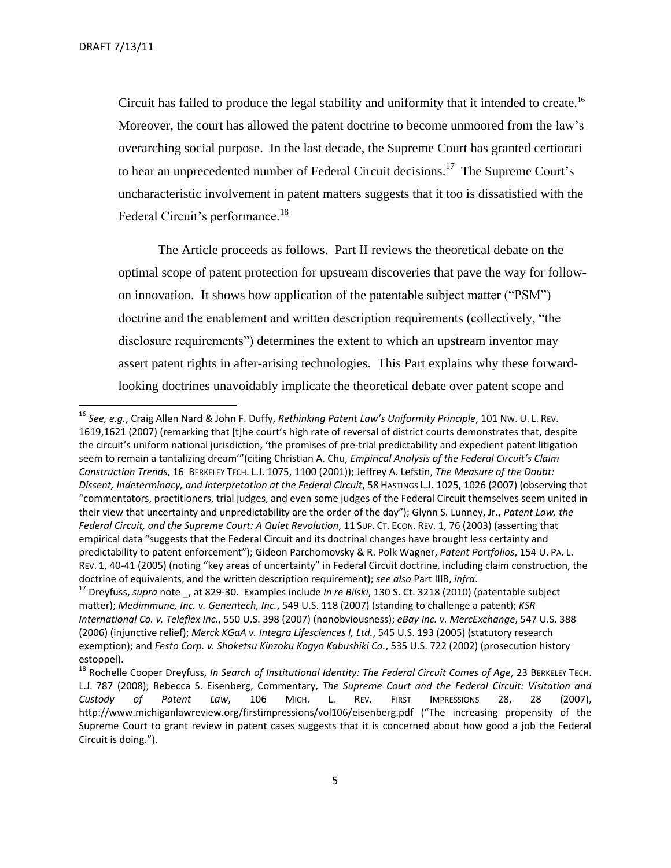Circuit has failed to produce the legal stability and uniformity that it intended to create.<sup>16</sup> Moreover, the court has allowed the patent doctrine to become unmoored from the law's overarching social purpose. In the last decade, the Supreme Court has granted certiorari to hear an unprecedented number of Federal Circuit decisions.<sup>17</sup> The Supreme Court's uncharacteristic involvement in patent matters suggests that it too is dissatisfied with the Federal Circuit's performance.<sup>18</sup>

The Article proceeds as follows. Part II reviews the theoretical debate on the optimal scope of patent protection for upstream discoveries that pave the way for followon innovation. It shows how application of the patentable subject matter ("PSM") doctrine and the enablement and written description requirements (collectively, "the disclosure requirements") determines the extent to which an upstream inventor may assert patent rights in after-arising technologies. This Part explains why these forwardlooking doctrines unavoidably implicate the theoretical debate over patent scope and

<sup>16</sup> *See, e.g.*, Craig Allen Nard & John F. Duffy, *Rethinking Patent Law's Uniformity Principle*, 101 NW. U. L. REV. 1619,1621 (2007) (remarking that [t]he court's high rate of reversal of district courts demonstrates that, despite the circuit's uniform national jurisdiction, 'the promises of pre-trial predictability and expedient patent litigation seem to remain a tantalizing dream'"(citing Christian A. Chu, *Empirical Analysis of the Federal Circuit's Claim Construction Trends*, 16 BERKELEY TECH. L.J. 1075, 1100 (2001)); Jeffrey A. Lefstin, *The Measure of the Doubt: Dissent, Indeterminacy, and Interpretation at the Federal Circuit*, 58 HASTINGS L.J. 1025, 1026 (2007) (observing that "commentators, practitioners, trial judges, and even some judges of the Federal Circuit themselves seem united in their view that uncertainty and unpredictability are the order of the day"); Glynn S. Lunney, Jr., *Patent Law, the Federal Circuit, and the Supreme Court: A Quiet Revolution*, 11 SUP. CT. ECON. REV. 1, 76 (2003) (asserting that empirical data "suggests that the Federal Circuit and its doctrinal changes have brought less certainty and predictability to patent enforcement"); Gideon Parchomovsky & R. Polk Wagner, *Patent Portfolios*, 154 U. PA. L. REV. 1, 40-41 (2005) (noting "key areas of uncertainty" in Federal Circuit doctrine, including claim construction, the doctrine of equivalents, and the written description requirement); *see also* Part IIIB, *infra*.

<sup>17</sup> Dreyfuss, *supra* note \_, at 829-30. Examples include *In re Bilski*, 130 S. Ct. 3218 (2010) (patentable subject matter); *Medimmune, Inc. v. Genentech, Inc.*, 549 U.S. 118 (2007) (standing to challenge a patent); *KSR International Co. v. Teleflex Inc.*, 550 U.S. 398 (2007) (nonobviousness); *eBay Inc. v. MercExchange*, 547 U.S. 388 (2006) (injunctive relief); *Merck KGaA v. Integra Lifesciences I, Ltd.*, 545 U.S. 193 (2005) (statutory research exemption); and *Festo Corp. v. Shoketsu Kinzoku Kogyo Kabushiki Co.*, 535 U.S. 722 (2002) (prosecution history estoppel).

<sup>18</sup> Rochelle Cooper Dreyfuss, *In Search of Institutional Identity: The Federal Circuit Comes of Age*, 23 BERKELEY TECH. L.J. 787 (2008); Rebecca S. Eisenberg, Commentary, *The Supreme Court and the Federal Circuit: Visitation and Custody of Patent Law*, 106 MICH. L. REV. FIRST IMPRESSIONS 28, 28 (2007), http://www.michiganlawreview.org/firstimpressions/vol106/eisenberg.pdf ("The increasing propensity of the Supreme Court to grant review in patent cases suggests that it is concerned about how good a job the Federal Circuit is doing.").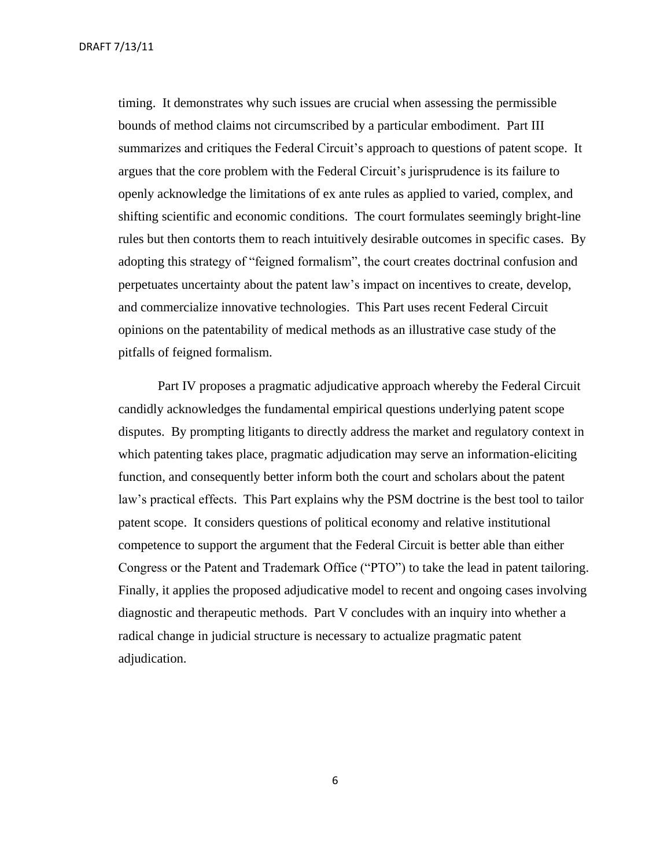timing. It demonstrates why such issues are crucial when assessing the permissible bounds of method claims not circumscribed by a particular embodiment. Part III summarizes and critiques the Federal Circuit's approach to questions of patent scope. It argues that the core problem with the Federal Circuit's jurisprudence is its failure to openly acknowledge the limitations of ex ante rules as applied to varied, complex, and shifting scientific and economic conditions. The court formulates seemingly bright-line rules but then contorts them to reach intuitively desirable outcomes in specific cases. By adopting this strategy of "feigned formalism", the court creates doctrinal confusion and perpetuates uncertainty about the patent law's impact on incentives to create, develop, and commercialize innovative technologies. This Part uses recent Federal Circuit opinions on the patentability of medical methods as an illustrative case study of the pitfalls of feigned formalism.

Part IV proposes a pragmatic adjudicative approach whereby the Federal Circuit candidly acknowledges the fundamental empirical questions underlying patent scope disputes. By prompting litigants to directly address the market and regulatory context in which patenting takes place, pragmatic adjudication may serve an information-eliciting function, and consequently better inform both the court and scholars about the patent law's practical effects. This Part explains why the PSM doctrine is the best tool to tailor patent scope. It considers questions of political economy and relative institutional competence to support the argument that the Federal Circuit is better able than either Congress or the Patent and Trademark Office ("PTO") to take the lead in patent tailoring. Finally, it applies the proposed adjudicative model to recent and ongoing cases involving diagnostic and therapeutic methods. Part V concludes with an inquiry into whether a radical change in judicial structure is necessary to actualize pragmatic patent adjudication.

6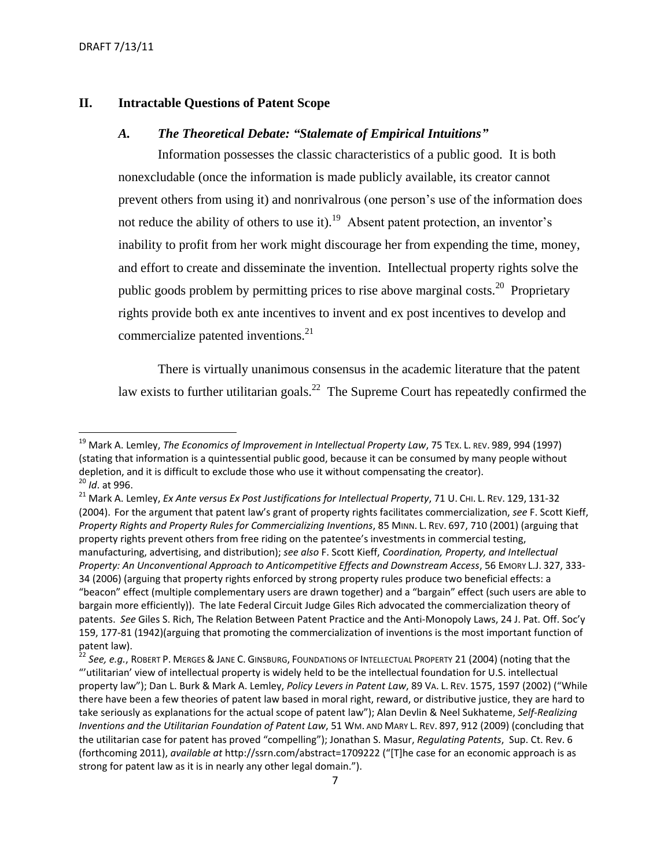### <span id="page-6-1"></span><span id="page-6-0"></span>**II. Intractable Questions of Patent Scope**

# *A. The Theoretical Debate: "Stalemate of Empirical Intuitions"*

Information possesses the classic characteristics of a public good. It is both nonexcludable (once the information is made publicly available, its creator cannot prevent others from using it) and nonrivalrous (one person's use of the information does not reduce the ability of others to use it).<sup>19</sup> Absent patent protection, an inventor's inability to profit from her work might discourage her from expending the time, money, and effort to create and disseminate the invention. Intellectual property rights solve the public goods problem by permitting prices to rise above marginal costs.<sup>20</sup> Proprietary rights provide both ex ante incentives to invent and ex post incentives to develop and commercialize patented inventions.<sup>21</sup>

There is virtually unanimous consensus in the academic literature that the patent law exists to further utilitarian goals.<sup>22</sup> The Supreme Court has repeatedly confirmed the

<sup>19</sup> Mark A. Lemley, *The Economics of Improvement in Intellectual Property Law*, 75 TEX. L. REV. 989, 994 (1997) (stating that information is a quintessential public good, because it can be consumed by many people without depletion, and it is difficult to exclude those who use it without compensating the creator). <sup>20</sup> *Id*. at 996.

<sup>21</sup> Mark A. Lemley, *Ex Ante versus Ex Post Justifications for Intellectual Property*, 71 U. CHI. L. REV. 129, 131-32 (2004). For the argument that patent law's grant of property rights facilitates commercialization, *see* F. Scott Kieff, *Property Rights and Property Rules for Commercializing Inventions*, 85 MINN. L. REV. 697, 710 (2001) (arguing that property rights prevent others from free riding on the patentee's investments in commercial testing, manufacturing, advertising, and distribution); *see also* F. Scott Kieff, *Coordination, Property, and Intellectual Property: An Unconventional Approach to Anticompetitive Effects and Downstream Access*, 56 EMORY L.J. 327, 333- 34 (2006) (arguing that property rights enforced by strong property rules produce two beneficial effects: a "beacon" effect (multiple complementary users are drawn together) and a "bargain" effect (such users are able to bargain more efficiently)). The late Federal Circuit Judge Giles Rich advocated the commercialization theory of patents. *See* Giles S. Rich, The Relation Between Patent Practice and the Anti-Monopoly Laws, 24 J. Pat. Off. Soc'y 159, 177-81 (1942)(arguing that promoting the commercialization of inventions is the most important function of patent law).

<sup>22</sup> *See, e.g.*, ROBERT P. MERGES & JANE C. GINSBURG, FOUNDATIONS OF INTELLECTUAL PROPERTY 21 (2004) (noting that the "'utilitarian' view of intellectual property is widely held to be the intellectual foundation for U.S. intellectual property law"); Dan L. Burk & Mark A. Lemley, *Policy Levers in Patent Law*, 89 VA. L. REV. 1575, 1597 (2002) ("While there have been a few theories of patent law based in moral right, reward, or distributive justice, they are hard to take seriously as explanations for the actual scope of patent law"); Alan Devlin & Neel Sukhateme, *Self-Realizing Inventions and the Utilitarian Foundation of Patent Law*, 51 WM. AND MARY L. REV. 897, 912 (2009) (concluding that the utilitarian case for patent has proved "compelling"); Jonathan S. Masur, *Regulating Patents*, Sup. Ct. Rev. 6 (forthcoming 2011), *available at* http://ssrn.com/abstract=1709222 ("[T]he case for an economic approach is as strong for patent law as it is in nearly any other legal domain.").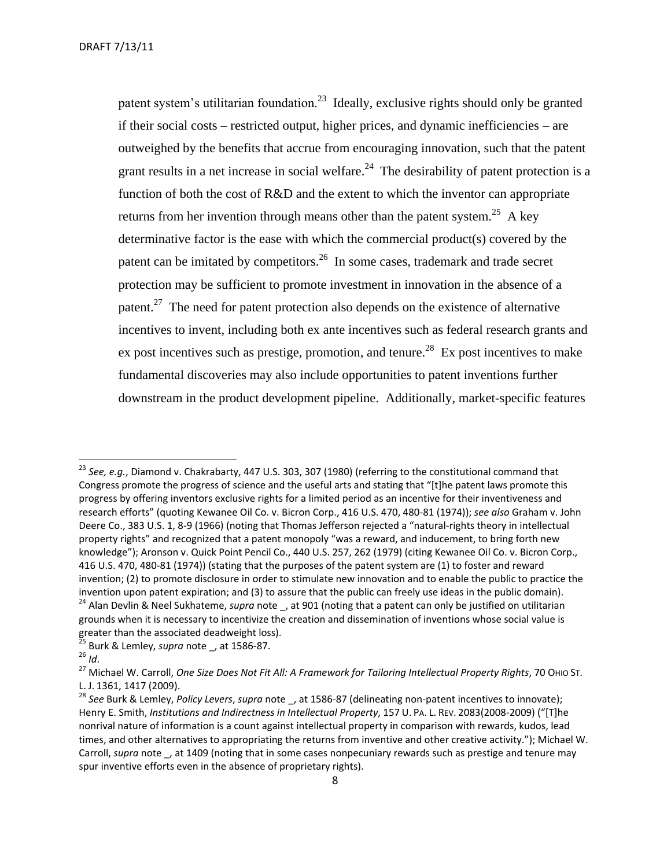patent system's utilitarian foundation.<sup>23</sup> Ideally, exclusive rights should only be granted if their social costs – restricted output, higher prices, and dynamic inefficiencies – are outweighed by the benefits that accrue from encouraging innovation, such that the patent grant results in a net increase in social welfare.<sup>24</sup> The desirability of patent protection is a function of both the cost of R&D and the extent to which the inventor can appropriate returns from her invention through means other than the patent system.<sup>25</sup> A key determinative factor is the ease with which the commercial product(s) covered by the patent can be imitated by competitors.<sup>26</sup> In some cases, trademark and trade secret protection may be sufficient to promote investment in innovation in the absence of a patent.<sup>27</sup> The need for patent protection also depends on the existence of alternative incentives to invent, including both ex ante incentives such as federal research grants and ex post incentives such as prestige, promotion, and tenure.<sup>28</sup> Ex post incentives to make fundamental discoveries may also include opportunities to patent inventions further downstream in the product development pipeline. Additionally, market-specific features

 $\overline{a}$ 

<sup>23</sup> *See, e.g.*, Diamond v. Chakrabarty, 447 U.S. 303, 307 (1980) (referring to the constitutional command that Congress promote the progress of science and the useful arts and stating that "[t]he patent laws promote this progress by offering inventors exclusive rights for a limited period as an incentive for their inventiveness and research efforts" (quoting Kewanee Oil Co. v. Bicron Corp., 416 U.S. 470, 480-81 (1974)); *see also* Graham v. John Deere Co., 383 U.S. 1, 8-9 (1966) (noting that Thomas Jefferson rejected a "natural-rights theory in intellectual property rights" and recognized that a patent monopoly "was a reward, and inducement, to bring forth new knowledge"); Aronson v. Quick Point Pencil Co., 440 U.S. 257, 262 (1979) (citing Kewanee Oil Co. v. Bicron Corp., 416 U.S. 470, 480-81 (1974)) (stating that the purposes of the patent system are (1) to foster and reward invention; (2) to promote disclosure in order to stimulate new innovation and to enable the public to practice the invention upon patent expiration; and (3) to assure that the public can freely use ideas in the public domain). <sup>24</sup> Alan Devlin & Neel Sukhateme, *supra* note \_, at 901 (noting that a patent can only be justified on utilitarian grounds when it is necessary to incentivize the creation and dissemination of inventions whose social value is greater than the associated deadweight loss).

<sup>25</sup> Burk & Lemley, *supra* note \_, at 1586-87.

<sup>26</sup> *Id*.

<sup>27</sup> Michael W. Carroll, *One Size Does Not Fit All: A Framework for Tailoring Intellectual Property Rights*, 70 OHIO ST. L. J. 1361, 1417 (2009).

<sup>&</sup>lt;sup>28</sup> See Burk & Lemley, *Policy Levers*, *supra* note \_, at 1586-87 (delineating non-patent incentives to innovate); Henry E. Smith, *Institutions and Indirectness in Intellectual Property*, 157 U. PA. L. REV. 2083(2008-2009) ("[T]he nonrival nature of information is a count against intellectual property in comparison with rewards, kudos, lead times, and other alternatives to appropriating the returns from inventive and other creative activity."); Michael W. Carroll, *supra* note, at 1409 (noting that in some cases nonpecuniary rewards such as prestige and tenure may spur inventive efforts even in the absence of proprietary rights).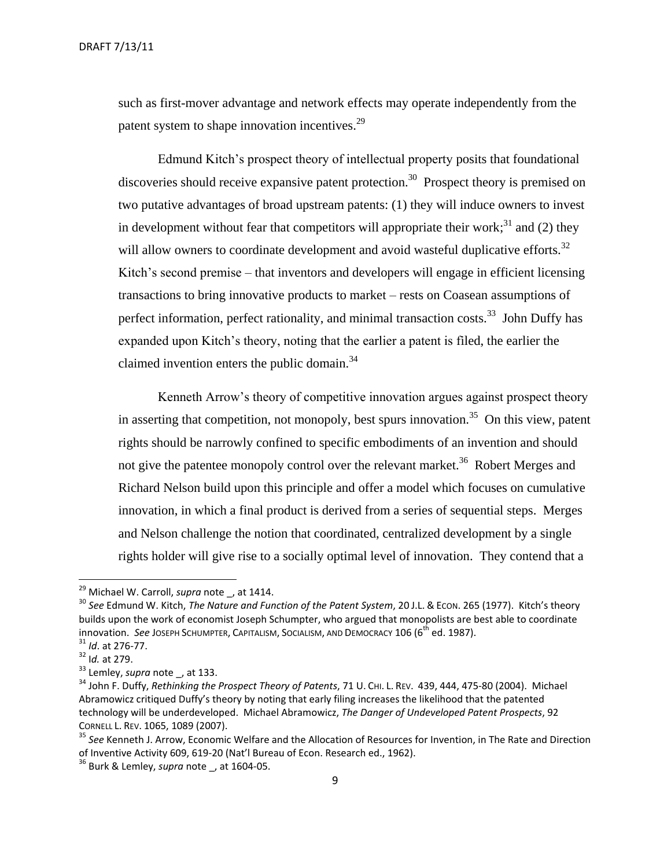such as first-mover advantage and network effects may operate independently from the patent system to shape innovation incentives.<sup>29</sup>

Edmund Kitch's prospect theory of intellectual property posits that foundational discoveries should receive expansive patent protection.<sup>30</sup> Prospect theory is premised on two putative advantages of broad upstream patents: (1) they will induce owners to invest in development without fear that competitors will appropriate their work;<sup>31</sup> and (2) they will allow owners to coordinate development and avoid wasteful duplicative efforts. $32$ Kitch's second premise – that inventors and developers will engage in efficient licensing transactions to bring innovative products to market – rests on Coasean assumptions of perfect information, perfect rationality, and minimal transaction costs.<sup>33</sup> John Duffy has expanded upon Kitch's theory, noting that the earlier a patent is filed, the earlier the claimed invention enters the public domain.<sup>34</sup>

Kenneth Arrow's theory of competitive innovation argues against prospect theory in asserting that competition, not monopoly, best spurs innovation.<sup>35</sup> On this view, patent rights should be narrowly confined to specific embodiments of an invention and should not give the patentee monopoly control over the relevant market.<sup>36</sup> Robert Merges and Richard Nelson build upon this principle and offer a model which focuses on cumulative innovation, in which a final product is derived from a series of sequential steps. Merges and Nelson challenge the notion that coordinated, centralized development by a single rights holder will give rise to a socially optimal level of innovation. They contend that a

 $\overline{a}$ 

<sup>29</sup> Michael W. Carroll, *supra* note \_, at 1414.

<sup>30</sup> *See* Edmund W. Kitch, *The Nature and Function of the Patent System*, 20 J.L. & ECON. 265 (1977). Kitch's theory builds upon the work of economist Joseph Schumpter, who argued that monopolists are best able to coordinate innovation. *See JOSEPH SCHUMPTER, CAPITALISM, SOCIALISM, AND DEMOCRACY* 106 (6<sup>th</sup> ed. 1987).

<sup>31</sup> *Id*. at 276-77.

<sup>32</sup> I*d.* at 279.

<sup>&</sup>lt;sup>33</sup> Lemley, *supra* note \_, at 133.

<sup>&</sup>lt;sup>34</sup> John F. Duffy, Rethinking the Prospect Theory of Patents, 71 U. CHI. L. REV. 439, 444, 475-80 (2004). Michael Abramowicz critiqued Duffy's theory by noting that early filing increases the likelihood that the patented technology will be underdeveloped. Michael Abramowicz, *The Danger of Undeveloped Patent Prospects*, 92 CORNELL L. REV. 1065, 1089 (2007).

<sup>35</sup> *See* Kenneth J. Arrow, Economic Welfare and the Allocation of Resources for Invention, in The Rate and Direction of Inventive Activity 609, 619-20 (Nat'l Bureau of Econ. Research ed., 1962).

<sup>&</sup>lt;sup>36</sup> Burk & Lemley, *supra* note, at 1604-05.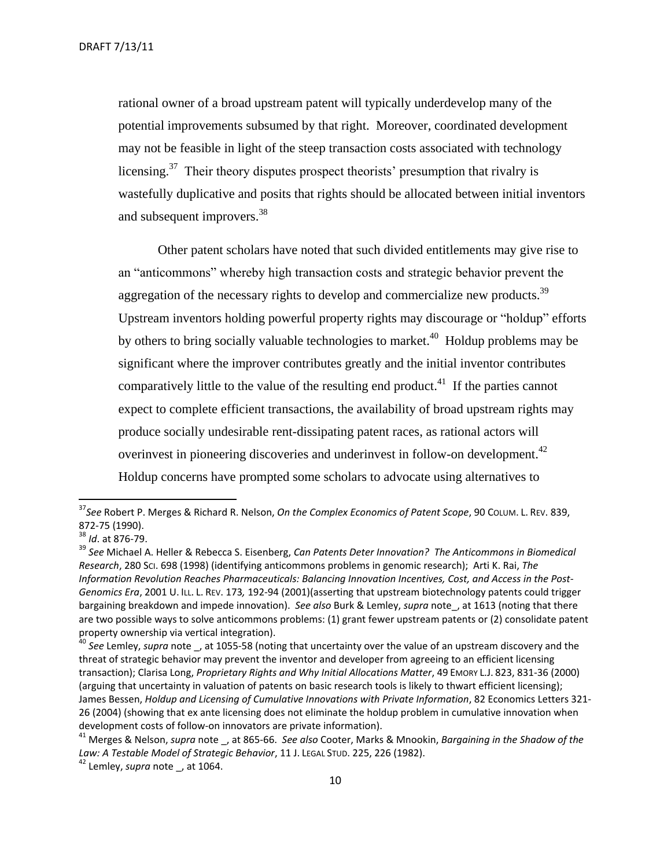rational owner of a broad upstream patent will typically underdevelop many of the potential improvements subsumed by that right. Moreover, coordinated development may not be feasible in light of the steep transaction costs associated with technology licensing.<sup>37</sup> Their theory disputes prospect theorists' presumption that rivalry is wastefully duplicative and posits that rights should be allocated between initial inventors and subsequent improvers.<sup>38</sup>

Other patent scholars have noted that such divided entitlements may give rise to an "anticommons" whereby high transaction costs and strategic behavior prevent the aggregation of the necessary rights to develop and commercialize new products.<sup>39</sup> Upstream inventors holding powerful property rights may discourage or "holdup" efforts by others to bring socially valuable technologies to market.<sup>40</sup> Holdup problems may be significant where the improver contributes greatly and the initial inventor contributes comparatively little to the value of the resulting end product.<sup>41</sup> If the parties cannot expect to complete efficient transactions, the availability of broad upstream rights may produce socially undesirable rent-dissipating patent races, as rational actors will overinvest in pioneering discoveries and underinvest in follow-on development.<sup>42</sup> Holdup concerns have prompted some scholars to advocate using alternatives to

<sup>37</sup>*See* Robert P. Merges & Richard R. Nelson, *On the Complex Economics of Patent Scope*, 90 COLUM. L. REV. 839, 872-75 (1990).

<sup>38</sup> *Id*. at 876-79.

<sup>39</sup> *See* Michael A. Heller & Rebecca S. Eisenberg, *Can Patents Deter Innovation? The Anticommons in Biomedical Research*, 280 SCI. 698 (1998) (identifying anticommons problems in genomic research); Arti K. Rai, *The Information Revolution Reaches Pharmaceuticals: Balancing Innovation Incentives, Cost, and Access in the Post-Genomics Era*, 2001 U. ILL. L. REV. 173*,* 192-94 (2001)(asserting that upstream biotechnology patents could trigger bargaining breakdown and impede innovation). *See also* Burk & Lemley, *supra* note\_, at 1613 (noting that there are two possible ways to solve anticommons problems: (1) grant fewer upstream patents or (2) consolidate patent property ownership via vertical integration).

<sup>40</sup> *See* Lemley, *supra* note \_, at 1055-58 (noting that uncertainty over the value of an upstream discovery and the threat of strategic behavior may prevent the inventor and developer from agreeing to an efficient licensing transaction); Clarisa Long, *Proprietary Rights and Why Initial Allocations Matter*, 49 EMORY L.J. 823, 831-36 (2000) (arguing that uncertainty in valuation of patents on basic research tools is likely to thwart efficient licensing); James Bessen, *Holdup and Licensing of Cumulative Innovations with Private Information*, 82 Economics Letters 321- 26 (2004) (showing that ex ante licensing does not eliminate the holdup problem in cumulative innovation when development costs of follow-on innovators are private information).

<sup>41</sup> Merges & Nelson, *supra* note \_, at 865-66. *See also* Cooter, Marks & Mnookin, *Bargaining in the Shadow of the Law: A Testable Model of Strategic Behavior*, 11 J. LEGAL STUD. 225, 226 (1982).

<sup>&</sup>lt;sup>42</sup> Lemley, *supra* note, at 1064.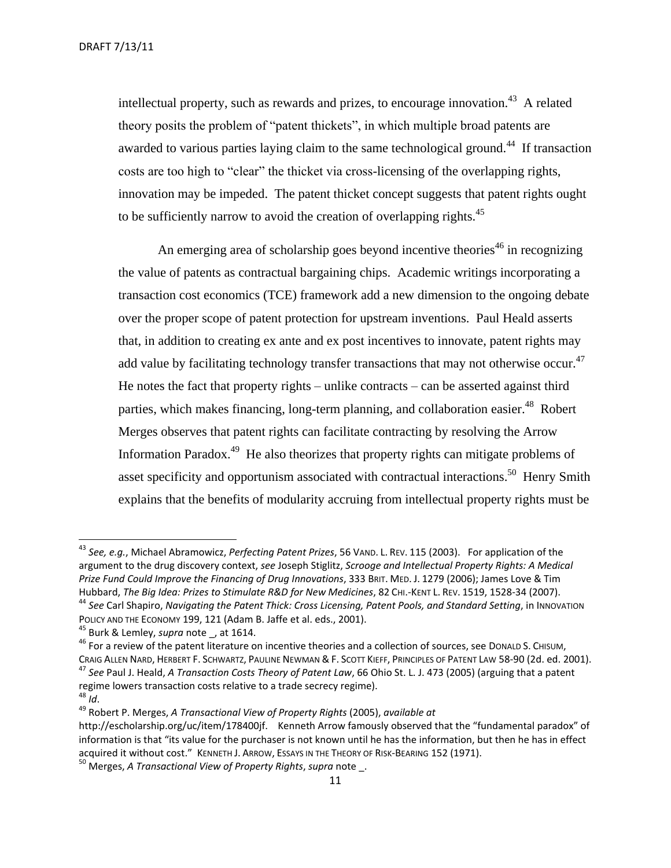intellectual property, such as rewards and prizes, to encourage innovation.<sup>43</sup> A related theory posits the problem of "patent thickets", in which multiple broad patents are awarded to various parties laying claim to the same technological ground.<sup>44</sup> If transaction costs are too high to "clear" the thicket via cross-licensing of the overlapping rights, innovation may be impeded. The patent thicket concept suggests that patent rights ought to be sufficiently narrow to avoid the creation of overlapping rights.<sup>45</sup>

An emerging area of scholarship goes beyond incentive theories<sup>46</sup> in recognizing the value of patents as contractual bargaining chips. Academic writings incorporating a transaction cost economics (TCE) framework add a new dimension to the ongoing debate over the proper scope of patent protection for upstream inventions. Paul Heald asserts that, in addition to creating ex ante and ex post incentives to innovate, patent rights may add value by facilitating technology transfer transactions that may not otherwise occur. $47$ He notes the fact that property rights – unlike contracts – can be asserted against third parties, which makes financing, long-term planning, and collaboration easier.<sup>48</sup> Robert Merges observes that patent rights can facilitate contracting by resolving the Arrow Information Paradox.<sup>49</sup> He also theorizes that property rights can mitigate problems of asset specificity and opportunism associated with contractual interactions.<sup>50</sup> Henry Smith explains that the benefits of modularity accruing from intellectual property rights must be

<sup>43</sup> *See, e.g.*, Michael Abramowicz, *Perfecting Patent Prizes*, 56 VAND. L. REV. 115 (2003). For application of the argument to the drug discovery context, *see* Joseph Stiglitz, *Scrooge and Intellectual Property Rights: A Medical Prize Fund Could Improve the Financing of Drug Innovations*, 333 BRIT. MED. J. 1279 (2006); James Love & Tim Hubbard, *The Big Idea: Prizes to Stimulate R&D for New Medicines*, 82 CHI.-KENT L. REV. 1519, 1528-34 (2007). <sup>44</sup> *See* Carl Shapiro, *Navigating the Patent Thick: Cross Licensing, Patent Pools, and Standard Setting*, in INNOVATION POLICY AND THE ECONOMY 199, 121 (Adam B. Jaffe et al. eds., 2001).

<sup>45</sup> Burk & Lemley, *supra* note \_, at 1614.

<sup>&</sup>lt;sup>46</sup> For a review of the patent literature on incentive theories and a collection of sources, see DonaLD S. CHISUM, CRAIG ALLEN NARD, HERBERT F. SCHWARTZ, PAULINE NEWMAN & F. SCOTT KIEFF, PRINCIPLES OF PATENT LAW 58-90 (2d. ed. 2001). <sup>47</sup> *See* Paul J. Heald, *A Transaction Costs Theory of Patent Law*, 66 Ohio St. L. J. 473 (2005) (arguing that a patent regime lowers transaction costs relative to a trade secrecy regime).

<sup>48</sup> *Id*.

<sup>49</sup> Robert P. Merges, *A Transactional View of Property Rights* (2005), *available at*

http://escholarship.org/uc/item/178400jf. Kenneth Arrow famously observed that the "fundamental paradox" of information is that "its value for the purchaser is not known until he has the information, but then he has in effect acquired it without cost." KENNETH J. ARROW, ESSAYS IN THE THEORY OF RISK-BEARING 152 (1971).

<sup>50</sup> Merges, *A Transactional View of Property Rights*, *supra* note \_.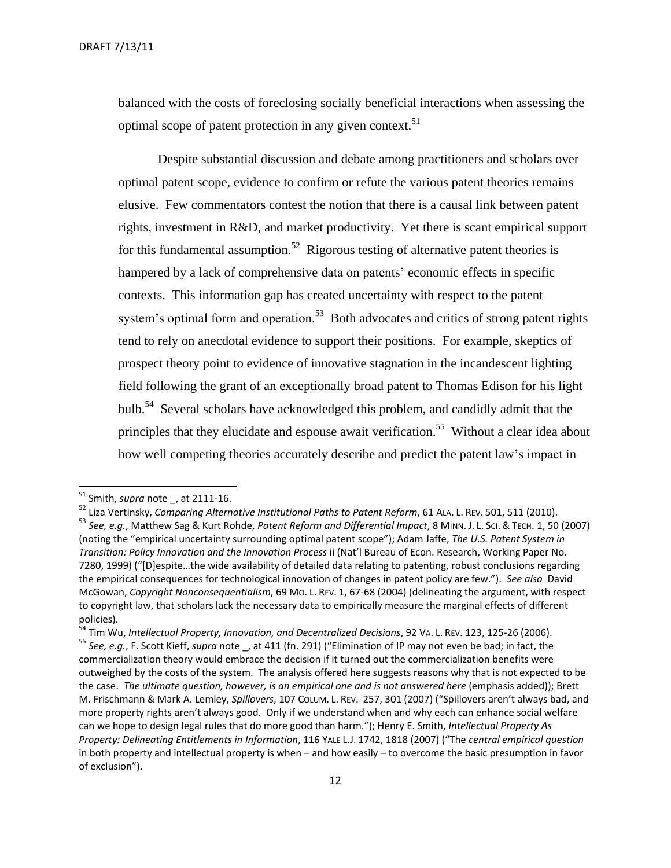balanced with the costs of foreclosing socially beneficial interactions when assessing the optimal scope of patent protection in any given context.<sup>51</sup>

Despite substantial discussion and debate among practitioners and scholars over optimal patent scope, evidence to confirm or refute the various patent theories remains elusive. Few commentators contest the notion that there is a causal link between patent rights, investment in R&D, and market productivity. Yet there is scant empirical support for this fundamental assumption.<sup>52</sup> Rigorous testing of alternative patent theories is hampered by a lack of comprehensive data on patents' economic effects in specific contexts. This information gap has created uncertainty with respect to the patent system's optimal form and operation.<sup>53</sup> Both advocates and critics of strong patent rights tend to rely on anecdotal evidence to support their positions. For example, skeptics of prospect theory point to evidence of innovative stagnation in the incandescent lighting field following the grant of an exceptionally broad patent to Thomas Edison for his light bulb.<sup>54</sup> Several scholars have acknowledged this problem, and candidly admit that the principles that they elucidate and espouse await verification.<sup>55</sup> Without a clear idea about how well competing theories accurately describe and predict the patent law's impact in

l

<sup>51</sup> Smith, *supra* note \_, at 2111-16.

<sup>52</sup> Liza Vertinsky, *Comparing Alternative Institutional Paths to Patent Reform*, 61 ALA. L. REV. 501, 511 (2010).

<sup>53</sup> *See, e.g.*, Matthew Sag & Kurt Rohde, *Patent Reform and Differential Impact*, 8 MINN. J. L. SCI. & TECH. 1, 50 (2007) (noting the "empirical uncertainty surrounding optimal patent scope"); Adam Jaffe, *The U.S. Patent System in Transition: Policy Innovation and the Innovation Process* ii (Nat'l Bureau of Econ. Research, Working Paper No. 7280, 1999) ("[D]espite...the wide availability of detailed data relating to patenting, robust conclusions regarding the empirical consequences for technological innovation of changes in patent policy are few."). *See also* David McGowan, *Copyright Nonconsequentialism*, 69 MO. L. REV. 1, 67-68 (2004) (delineating the argument, with respect to copyright law, that scholars lack the necessary data to empirically measure the marginal effects of different policies).

<sup>&</sup>lt;sup>54</sup> Tim Wu, Intellectual Property, Innovation, and Decentralized Decisions, 92 VA. L. REv. 123, 125-26 (2006). <sup>55</sup> *See, e.g.*, F. Scott Kieff, *supra* note \_, at 411 (fn. 291) ("Elimination of IP may not even be bad; in fact, the commercialization theory would embrace the decision if it turned out the commercialization benefits were outweighed by the costs of the system. The analysis offered here suggests reasons why that is not expected to be the case. *The ultimate question, however, is an empirical one and is not answered here* (emphasis added)); Brett M. Frischmann & Mark A. Lemley, *Spillovers*, 107 COLUM. L. REV. 257, 301 (2007) ("Spillovers aren't always bad, and more property rights aren't always good. Only if we understand when and why each can enhance social welfare can we hope to design legal rules that do more good than harm."); Henry E. Smith, *Intellectual Property As Property: Delineating Entitlements in Information*, 116 YALE L.J. 1742, 1818 (2007) ("The *central empirical question* in both property and intellectual property is when – and how easily – to overcome the basic presumption in favor of exclusion").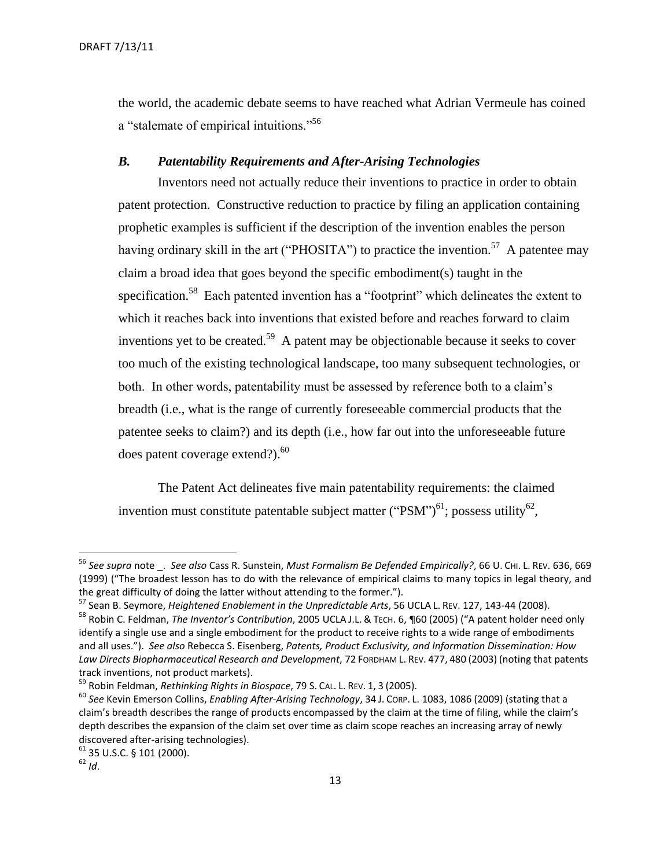the world, the academic debate seems to have reached what Adrian Vermeule has coined a "stalemate of empirical intuitions."<sup>56</sup>

# <span id="page-12-0"></span>*B. Patentability Requirements and After-Arising Technologies*

Inventors need not actually reduce their inventions to practice in order to obtain patent protection. Constructive reduction to practice by filing an application containing prophetic examples is sufficient if the description of the invention enables the person having ordinary skill in the art ("PHOSITA") to practice the invention.<sup>57</sup> A patentee may claim a broad idea that goes beyond the specific embodiment(s) taught in the specification.<sup>58</sup> Each patented invention has a "footprint" which delineates the extent to which it reaches back into inventions that existed before and reaches forward to claim inventions yet to be created.<sup>59</sup> A patent may be objectionable because it seeks to cover too much of the existing technological landscape, too many subsequent technologies, or both. In other words, patentability must be assessed by reference both to a claim's breadth (i.e., what is the range of currently foreseeable commercial products that the patentee seeks to claim?) and its depth (i.e., how far out into the unforeseeable future does patent coverage extend?). $^{60}$ 

The Patent Act delineates five main patentability requirements: the claimed invention must constitute patentable subject matter ("PSM")<sup>61</sup>; possess utility<sup>62</sup>,

<sup>56</sup> *See supra* note \_. *See also* Cass R. Sunstein, *Must Formalism Be Defended Empirically?*, 66 U. CHI. L. REV. 636, 669 (1999) ("The broadest lesson has to do with the relevance of empirical claims to many topics in legal theory, and the great difficulty of doing the latter without attending to the former.").

<sup>57</sup> Sean B. Seymore, *Heightened Enablement in the Unpredictable Arts*, 56 UCLA L. REV. 127, 143-44 (2008).

<sup>58</sup> Robin C. Feldman, *The Inventor's Contribution*, 2005 UCLA J.L. & TECH. 6, ¶60 (2005) ("A patent holder need only identify a single use and a single embodiment for the product to receive rights to a wide range of embodiments and all uses."). *See also* Rebecca S. Eisenberg, *Patents, Product Exclusivity, and Information Dissemination: How Law Directs Biopharmaceutical Research and Development*, 72 FORDHAM L. REV. 477, 480 (2003) (noting that patents track inventions, not product markets).

<sup>59</sup> Robin Feldman, *Rethinking Rights in Biospace*, 79 S. CAL. L. REV. 1, 3 (2005).

<sup>60</sup> *See* Kevin Emerson Collins, *Enabling After-Arising Technology*, 34 J. CORP. L. 1083, 1086 (2009) (stating that a claim's breadth describes the range of products encompassed by the claim at the time of filing, while the claim's depth describes the expansion of the claim set over time as claim scope reaches an increasing array of newly discovered after-arising technologies).

<sup>61</sup> 35 U.S.C. § 101 (2000).

 $62$  *Id.*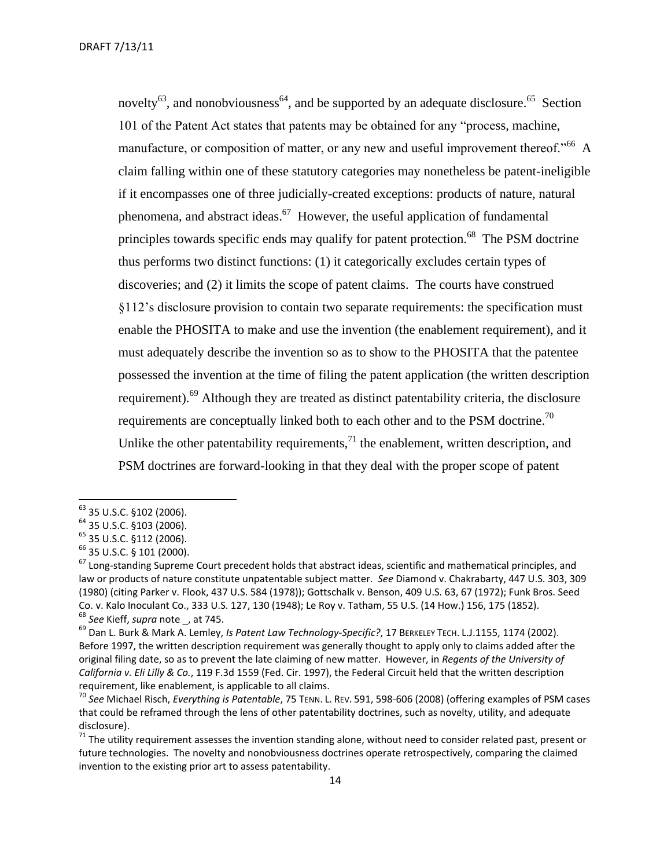novelty<sup>63</sup>, and nonobviousness<sup>64</sup>, and be supported by an adequate disclosure.<sup>65</sup> Section 101 of the Patent Act states that patents may be obtained for any "process, machine, manufacture, or composition of matter, or any new and useful improvement thereof."<sup>66</sup> A claim falling within one of these statutory categories may nonetheless be patent-ineligible if it encompasses one of three judicially-created exceptions: products of nature, natural phenomena, and abstract ideas.<sup>67</sup> However, the useful application of fundamental principles towards specific ends may qualify for patent protection.<sup>68</sup> The PSM doctrine thus performs two distinct functions: (1) it categorically excludes certain types of discoveries; and (2) it limits the scope of patent claims. The courts have construed §112's disclosure provision to contain two separate requirements: the specification must enable the PHOSITA to make and use the invention (the enablement requirement), and it must adequately describe the invention so as to show to the PHOSITA that the patentee possessed the invention at the time of filing the patent application (the written description requirement).<sup>69</sup> Although they are treated as distinct patentability criteria, the disclosure requirements are conceptually linked both to each other and to the PSM doctrine.<sup>70</sup> Unlike the other patentability requirements, $^{71}$  the enablement, written description, and PSM doctrines are forward-looking in that they deal with the proper scope of patent

<sup>63</sup> 35 U.S.C. §102 (2006).

<sup>64</sup> 35 U.S.C. §103 (2006).

<sup>65</sup> 35 U.S.C. §112 (2006).

<sup>66</sup> 35 U.S.C. § 101 (2000).

 $67$  Long-standing Supreme Court precedent holds that abstract ideas, scientific and mathematical principles, and law or products of nature constitute unpatentable subject matter. *See* Diamond v. Chakrabarty, 447 U.S. 303, 309 (1980) (citing Parker v. Flook, 437 U.S. 584 (1978)); Gottschalk v. Benson, 409 U.S. 63, 67 (1972); Funk Bros. Seed Co. v. Kalo Inoculant Co., 333 U.S. 127, 130 (1948); Le Roy v. Tatham, 55 U.S. (14 How.) 156, 175 (1852). <sup>68</sup> *See* Kieff, *supra* note \_, at 745.

<sup>69</sup> Dan L. Burk & Mark A. Lemley, *Is Patent Law Technology-Specific?*, 17 BERKELEY TECH. L.J.1155, 1174 (2002). Before 1997, the written description requirement was generally thought to apply only to claims added after the original filing date, so as to prevent the late claiming of new matter. However, in *Regents of the University of California v. Eli Lilly & Co.*, 119 F.3d 1559 (Fed. Cir. 1997), the Federal Circuit held that the written description requirement, like enablement, is applicable to all claims.

<sup>70</sup> *See* Michael Risch, *Everything is Patentable*, 75 TENN. L. REV. 591, 598-606 (2008) (offering examples of PSM cases that could be reframed through the lens of other patentability doctrines, such as novelty, utility, and adequate disclosure).

 $71$  The utility requirement assesses the invention standing alone, without need to consider related past, present or future technologies. The novelty and nonobviousness doctrines operate retrospectively, comparing the claimed invention to the existing prior art to assess patentability.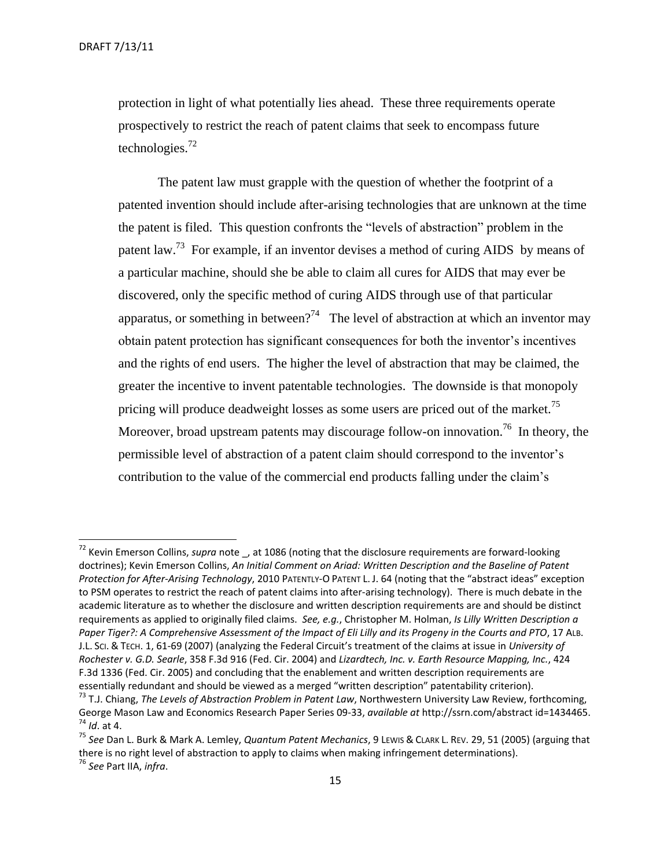protection in light of what potentially lies ahead. These three requirements operate prospectively to restrict the reach of patent claims that seek to encompass future technologies. $^{72}$ 

The patent law must grapple with the question of whether the footprint of a patented invention should include after-arising technologies that are unknown at the time the patent is filed. This question confronts the "levels of abstraction" problem in the patent law.<sup>73</sup> For example, if an inventor devises a method of curing AIDS by means of a particular machine, should she be able to claim all cures for AIDS that may ever be discovered, only the specific method of curing AIDS through use of that particular apparatus, or something in between?<sup>74</sup> The level of abstraction at which an inventor may obtain patent protection has significant consequences for both the inventor's incentives and the rights of end users. The higher the level of abstraction that may be claimed, the greater the incentive to invent patentable technologies. The downside is that monopoly pricing will produce deadweight losses as some users are priced out of the market.<sup>75</sup> Moreover, broad upstream patents may discourage follow-on innovation.<sup>76</sup> In theory, the permissible level of abstraction of a patent claim should correspond to the inventor's contribution to the value of the commercial end products falling under the claim's

<sup>72</sup> Kevin Emerson Collins, *supra* note \_, at 1086 (noting that the disclosure requirements are forward-looking doctrines); Kevin Emerson Collins, *An Initial Comment on Ariad: Written Description and the Baseline of Patent Protection for After-Arising Technology*, 2010 PATENTLY-O PATENT L. J. 64 (noting that the "abstract ideas" exception to PSM operates to restrict the reach of patent claims into after-arising technology). There is much debate in the academic literature as to whether the disclosure and written description requirements are and should be distinct requirements as applied to originally filed claims. *See, e.g.*, Christopher M. Holman, *Is Lilly Written Description a*  Paper Tiger?: A Comprehensive Assessment of the Impact of Eli Lilly and its Progeny in the Courts and PTO, 17 ALB. J.L. SCI. & TECH. 1, 61-69 (2007) (analyzing the Federal Circuit's treatment of the claims at issue in *University of Rochester v. G.D. Searle*, 358 F.3d 916 (Fed. Cir. 2004) and *Lizardtech, Inc. v. Earth Resource Mapping, Inc.*, 424 F.3d 1336 (Fed. Cir. 2005) and concluding that the enablement and written description requirements are essentially redundant and should be viewed as a merged "written description" patentability criterion).

<sup>73</sup> T.J. Chiang, *The Levels of Abstraction Problem in Patent Law*, Northwestern University Law Review, forthcoming, George Mason Law and Economics Research Paper Series 09-33, *available at* http://ssrn.com/abstract id=1434465. <sup>74</sup> *Id*. at 4.

<sup>75</sup> *See* Dan L. Burk & Mark A. Lemley, *Quantum Patent Mechanics*, 9 LEWIS & CLARK L. REV. 29, 51 (2005) (arguing that there is no right level of abstraction to apply to claims when making infringement determinations).

<sup>76</sup> *See* Part IIA, *infra*.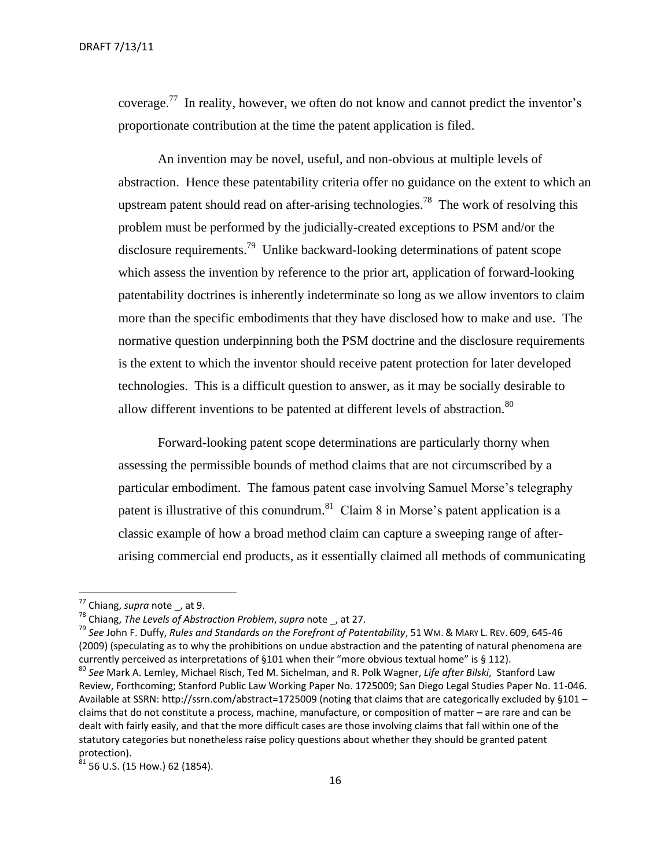coverage.<sup>77</sup> In reality, however, we often do not know and cannot predict the inventor's proportionate contribution at the time the patent application is filed.

An invention may be novel, useful, and non-obvious at multiple levels of abstraction. Hence these patentability criteria offer no guidance on the extent to which an upstream patent should read on after-arising technologies.<sup>78</sup> The work of resolving this problem must be performed by the judicially-created exceptions to PSM and/or the disclosure requirements.<sup>79</sup> Unlike backward-looking determinations of patent scope which assess the invention by reference to the prior art, application of forward-looking patentability doctrines is inherently indeterminate so long as we allow inventors to claim more than the specific embodiments that they have disclosed how to make and use. The normative question underpinning both the PSM doctrine and the disclosure requirements is the extent to which the inventor should receive patent protection for later developed technologies. This is a difficult question to answer, as it may be socially desirable to allow different inventions to be patented at different levels of abstraction.<sup>80</sup>

Forward-looking patent scope determinations are particularly thorny when assessing the permissible bounds of method claims that are not circumscribed by a particular embodiment. The famous patent case involving Samuel Morse's telegraphy patent is illustrative of this conundrum.<sup>81</sup> Claim 8 in Morse's patent application is a classic example of how a broad method claim can capture a sweeping range of afterarising commercial end products, as it essentially claimed all methods of communicating

<sup>77</sup> Chiang, *supra* note \_, at 9.

<sup>78</sup> Chiang, *The Levels of Abstraction Problem*, *supra* note \_, at 27.

<sup>79</sup> *See* John F. Duffy, *Rules and Standards on the Forefront of Patentability*, 51 WM. & MARY L. REV. 609, 645-46 (2009) (speculating as to why the prohibitions on undue abstraction and the patenting of natural phenomena are currently perceived as interpretations of §101 when their "more obvious textual home" is § 112).

<sup>80</sup> *See* Mark A. Lemley, Michael Risch, Ted M. Sichelman, and R. Polk Wagner, *Life after Bilski*, Stanford Law Review, Forthcoming; Stanford Public Law Working Paper No. 1725009; San Diego Legal Studies Paper No. 11-046. Available at SSRN: http://ssrn.com/abstract=1725009 (noting that claims that are categorically excluded by §101 claims that do not constitute a process, machine, manufacture, or composition of matter – are rare and can be dealt with fairly easily, and that the more difficult cases are those involving claims that fall within one of the statutory categories but nonetheless raise policy questions about whether they should be granted patent protection).

 $81$  56 U.S. (15 How.) 62 (1854).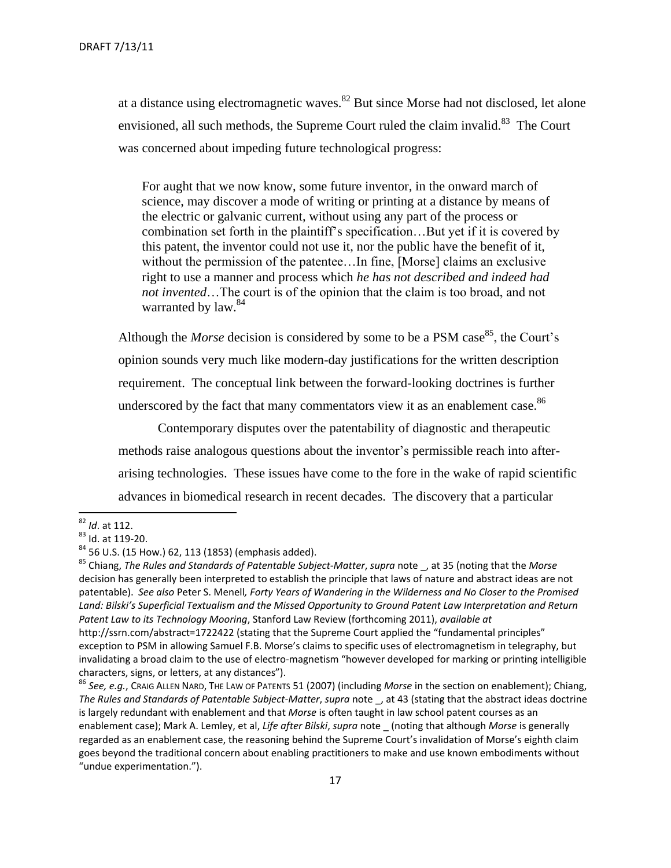at a distance using electromagnetic waves.<sup>82</sup> But since Morse had not disclosed, let alone envisioned, all such methods, the Supreme Court ruled the claim invalid.<sup>83</sup> The Court was concerned about impeding future technological progress:

For aught that we now know, some future inventor, in the onward march of science, may discover a mode of writing or printing at a distance by means of the electric or galvanic current, without using any part of the process or combination set forth in the plaintiff's specification…But yet if it is covered by this patent, the inventor could not use it, nor the public have the benefit of it, without the permission of the patentee...In fine, [Morse] claims an exclusive right to use a manner and process which *he has not described and indeed had not invented*…The court is of the opinion that the claim is too broad, and not warranted by law.<sup>84</sup>

Although the *Morse* decision is considered by some to be a PSM case<sup>85</sup>, the Court's opinion sounds very much like modern-day justifications for the written description requirement. The conceptual link between the forward-looking doctrines is further underscored by the fact that many commentators view it as an enablement case.<sup>86</sup>

Contemporary disputes over the patentability of diagnostic and therapeutic methods raise analogous questions about the inventor's permissible reach into afterarising technologies. These issues have come to the fore in the wake of rapid scientific advances in biomedical research in recent decades. The discovery that a particular

<sup>85</sup> Chiang, *The Rules and Standards of Patentable Subject-Matter*, *supra* note \_, at 35 (noting that the *Morse* decision has generally been interpreted to establish the principle that laws of nature and abstract ideas are not patentable). *See also* Peter S. Menell*, Forty Years of Wandering in the Wilderness and No Closer to the Promised Land: Bilski's Superficial Textualism and the Missed Opportunity to Ground Patent Law Interpretation and Return Patent Law to its Technology Mooring*, Stanford Law Review (forthcoming 2011), *available at*

<sup>86</sup> *See, e.g.*, CRAIG ALLEN NARD, THE LAW OF PATENTS 51 (2007) (including *Morse* in the section on enablement); Chiang, *The Rules and Standards of Patentable Subject-Matter*, *supra* note \_, at 43 (stating that the abstract ideas doctrine is largely redundant with enablement and that *Morse* is often taught in law school patent courses as an enablement case); Mark A. Lemley, et al, *Life after Bilski*, *supra* note \_ (noting that although *Morse* is generally regarded as an enablement case, the reasoning behind the Supreme Court's invalidation of Morse's eighth claim goes beyond the traditional concern about enabling practitioners to make and use known embodiments without "undue experimentation.").

 $\overline{\phantom{a}}$ <sup>82</sup> *Id*. at 112.

<sup>83</sup> Id. at 119-20.

<sup>84</sup> 56 U.S. (15 How.) 62, 113 (1853) (emphasis added).

http://ssrn.com/abstract=1722422 (stating that the Supreme Court applied the "fundamental principles" exception to PSM in allowing Samuel F.B. Morse's claims to specific uses of electromagnetism in telegraphy, but invalidating a broad claim to the use of electro-magnetism "however developed for marking or printing intelligible characters, signs, or letters, at any distances").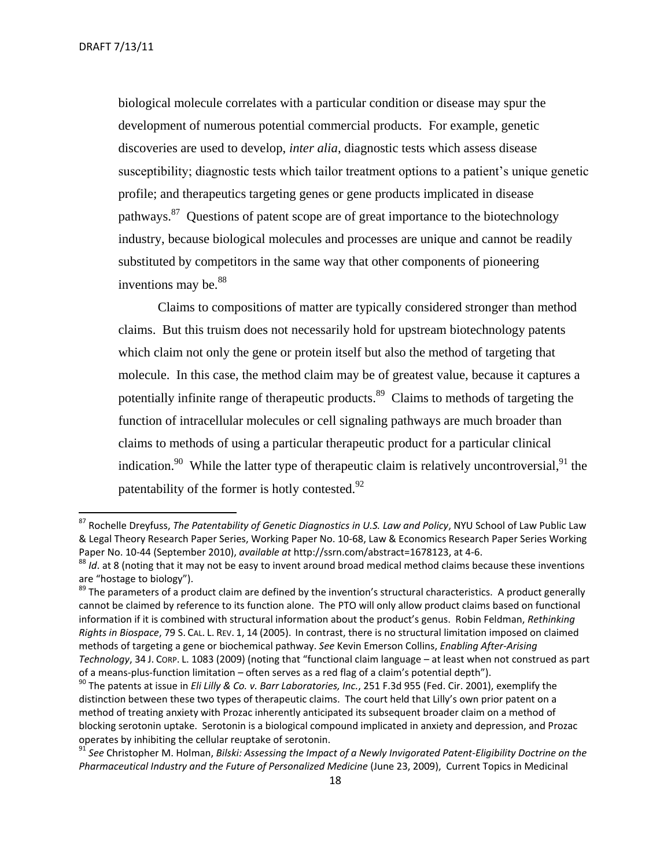biological molecule correlates with a particular condition or disease may spur the development of numerous potential commercial products. For example, genetic discoveries are used to develop, *inter alia*, diagnostic tests which assess disease susceptibility; diagnostic tests which tailor treatment options to a patient's unique genetic profile; and therapeutics targeting genes or gene products implicated in disease pathways.<sup>87</sup> Questions of patent scope are of great importance to the biotechnology industry, because biological molecules and processes are unique and cannot be readily substituted by competitors in the same way that other components of pioneering inventions may be. $88$ 

Claims to compositions of matter are typically considered stronger than method claims. But this truism does not necessarily hold for upstream biotechnology patents which claim not only the gene or protein itself but also the method of targeting that molecule. In this case, the method claim may be of greatest value, because it captures a potentially infinite range of therapeutic products.<sup>89</sup> Claims to methods of targeting the function of intracellular molecules or cell signaling pathways are much broader than claims to methods of using a particular therapeutic product for a particular clinical indication.<sup>90</sup> While the latter type of therapeutic claim is relatively uncontroversial,<sup>91</sup> the patentability of the former is hotly contested. $^{92}$ 

<sup>87</sup> Rochelle Dreyfuss, *The Patentability of Genetic Diagnostics in U.S. Law and Policy*, NYU School of Law Public Law & Legal Theory Research Paper Series, Working Paper No. 10-68, Law & Economics Research Paper Series Working Paper No. 10-44 (September 2010), *available at* http://ssrn.com/abstract=1678123, at 4-6.

<sup>88</sup> *Id*. at 8 (noting that it may not be easy to invent around broad medical method claims because these inventions are "hostage to biology").

 $89$  The parameters of a product claim are defined by the invention's structural characteristics. A product generally cannot be claimed by reference to its function alone. The PTO will only allow product claims based on functional information if it is combined with structural information about the product's genus. Robin Feldman, *Rethinking Rights in Biospace*, 79 S. CAL. L. REV. 1, 14 (2005). In contrast, there is no structural limitation imposed on claimed methods of targeting a gene or biochemical pathway. *See* Kevin Emerson Collins, *Enabling After-Arising Technology*, 34 J. CORP. L. 1083 (2009) (noting that "functional claim language – at least when not construed as part of a means-plus-function limitation – often serves as a red flag of a claim's potential depth").

<sup>90</sup> The patents at issue in *Eli Lilly & Co. v. Barr Laboratories, Inc.*, 251 F.3d 955 (Fed. Cir. 2001), exemplify the distinction between these two types of therapeutic claims. The court held that Lilly's own prior patent on a method of treating anxiety with Prozac inherently anticipated its subsequent broader claim on a method of blocking serotonin uptake. Serotonin is a biological compound implicated in anxiety and depression, and Prozac operates by inhibiting the cellular reuptake of serotonin.

<sup>&</sup>lt;sup>91</sup> See Christopher M. Holman, Bilski: Assessing the Impact of a Newly Invigorated Patent-Eligibility Doctrine on the *Pharmaceutical Industry and the Future of Personalized Medicine* (June 23, 2009), Current Topics in Medicinal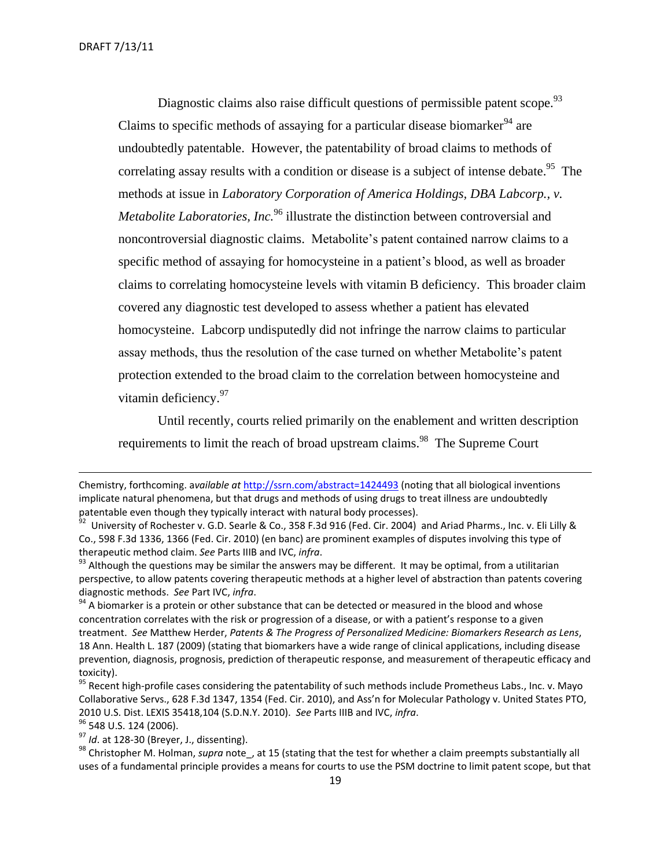Diagnostic claims also raise difficult questions of permissible patent scope.<sup>93</sup> Claims to specific methods of assaying for a particular disease biomarker<sup>94</sup> are undoubtedly patentable. However, the patentability of broad claims to methods of correlating assay results with a condition or disease is a subject of intense debate.<sup>95</sup> The methods at issue in *Laboratory Corporation of America Holdings, DBA Labcorp., v. Metabolite Laboratories, Inc.*<sup>96</sup> illustrate the distinction between controversial and noncontroversial diagnostic claims. Metabolite's patent contained narrow claims to a specific method of assaying for homocysteine in a patient's blood, as well as broader claims to correlating homocysteine levels with vitamin B deficiency. This broader claim covered any diagnostic test developed to assess whether a patient has elevated homocysteine. Labcorp undisputedly did not infringe the narrow claims to particular assay methods, thus the resolution of the case turned on whether Metabolite's patent protection extended to the broad claim to the correlation between homocysteine and vitamin deficiency.<sup>97</sup>

Until recently, courts relied primarily on the enablement and written description requirements to limit the reach of broad upstream claims.<sup>98</sup> The Supreme Court

<sup>96</sup> 548 U.S. 124 (2006).

 $\overline{\phantom{a}}$ 

<sup>97</sup> *Id*. at 128-30 (Breyer, J., dissenting).

Chemistry, forthcoming. a*vailable at* <http://ssrn.com/abstract=1424493> (noting that all biological inventions implicate natural phenomena, but that drugs and methods of using drugs to treat illness are undoubtedly patentable even though they typically interact with natural body processes).

 $^{92}$  University of Rochester v. G.D. Searle & Co., 358 F.3d 916 (Fed. Cir. 2004) and Ariad Pharms., Inc. v. Eli Lilly & Co., 598 F.3d 1336, 1366 (Fed. Cir. 2010) (en banc) are prominent examples of disputes involving this type of therapeutic method claim. *See* Parts IIIB and IVC, *infra*.

 $93$  Although the questions may be similar the answers may be different. It may be optimal, from a utilitarian perspective, to allow patents covering therapeutic methods at a higher level of abstraction than patents covering diagnostic methods. *See* Part IVC, *infra*.

 $94$  A biomarker is a protein or other substance that can be detected or measured in the blood and whose concentration correlates with the risk or progression of a disease, or with a patient's response to a given treatment. *See* Matthew Herder, *Patents & The Progress of Personalized Medicine: Biomarkers Research as Lens*, 18 Ann. Health L. 187 (2009) (stating that biomarkers have a wide range of clinical applications, including disease prevention, diagnosis, prognosis, prediction of therapeutic response, and measurement of therapeutic efficacy and toxicity).

<sup>&</sup>lt;sup>95</sup> Recent high-profile cases considering the patentability of such methods include Prometheus Labs., Inc. v. Mayo Collaborative Servs., 628 F.3d 1347, 1354 (Fed. Cir. 2010), and Ass'n for Molecular Pathology v. United States PTO, 2010 U.S. Dist. LEXIS 35418,104 (S.D.N.Y. 2010). *See* Parts IIIB and IVC, *infra*.

<sup>&</sup>lt;sup>98</sup> Christopher M. Holman, *supra* note, at 15 (stating that the test for whether a claim preempts substantially all uses of a fundamental principle provides a means for courts to use the PSM doctrine to limit patent scope, but that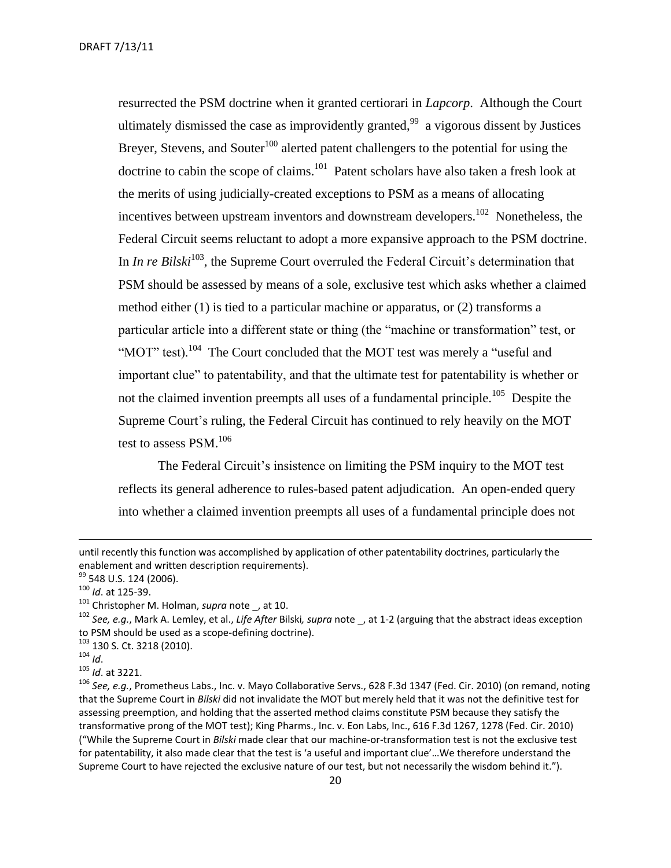resurrected the PSM doctrine when it granted certiorari in *Lapcorp*. Although the Court ultimately dismissed the case as improvidently granted,  $99$  a vigorous dissent by Justices Breyer, Stevens, and Souter<sup>100</sup> alerted patent challengers to the potential for using the doctrine to cabin the scope of claims.<sup>101</sup> Patent scholars have also taken a fresh look at the merits of using judicially-created exceptions to PSM as a means of allocating incentives between upstream inventors and downstream developers.<sup>102</sup> Nonetheless, the Federal Circuit seems reluctant to adopt a more expansive approach to the PSM doctrine. In *In re Bilski*<sup>103</sup>, the Supreme Court overruled the Federal Circuit's determination that PSM should be assessed by means of a sole, exclusive test which asks whether a claimed method either (1) is tied to a particular machine or apparatus, or (2) transforms a particular article into a different state or thing (the "machine or transformation" test, or "MOT" test).<sup>104</sup> The Court concluded that the MOT test was merely a "useful and important clue" to patentability, and that the ultimate test for patentability is whether or not the claimed invention preempts all uses of a fundamental principle.<sup>105</sup> Despite the Supreme Court's ruling, the Federal Circuit has continued to rely heavily on the MOT test to assess  $PSM.<sup>106</sup>$ 

The Federal Circuit's insistence on limiting the PSM inquiry to the MOT test reflects its general adherence to rules-based patent adjudication. An open-ended query into whether a claimed invention preempts all uses of a fundamental principle does not

<sup>103</sup> 130 S. Ct. 3218 (2010).

<sup>104</sup> *Id*.

 $\overline{\phantom{a}}$ 

<sup>105</sup> *Id*. at 3221.

until recently this function was accomplished by application of other patentability doctrines, particularly the enablement and written description requirements).

<sup>&</sup>lt;sup>99</sup> 548 U.S. 124 (2006).

<sup>100</sup> *Id*. at 125-39.

<sup>&</sup>lt;sup>101</sup> Christopher M. Holman, *supra* note, at 10.

<sup>102</sup> *See, e.g.*, Mark A. Lemley, et al., *Life After* Bilski*, supra* note \_, at 1-2 (arguing that the abstract ideas exception to PSM should be used as a scope-defining doctrine).

<sup>106</sup> *See, e.g.*, Prometheus Labs., Inc. v. Mayo Collaborative Servs., 628 F.3d 1347 (Fed. Cir. 2010) (on remand, noting that the Supreme Court in *Bilski* did not invalidate the MOT but merely held that it was not the definitive test for assessing preemption, and holding that the asserted method claims constitute PSM because they satisfy the transformative prong of the MOT test); King Pharms., Inc. v. Eon Labs, Inc., 616 F.3d 1267, 1278 (Fed. Cir. 2010) ("While the Supreme Court in *Bilski* made clear that our machine-or-transformation test is not the exclusive test for patentability, it also made clear that the test is 'a useful and important clue'…We therefore understand the Supreme Court to have rejected the exclusive nature of our test, but not necessarily the wisdom behind it.").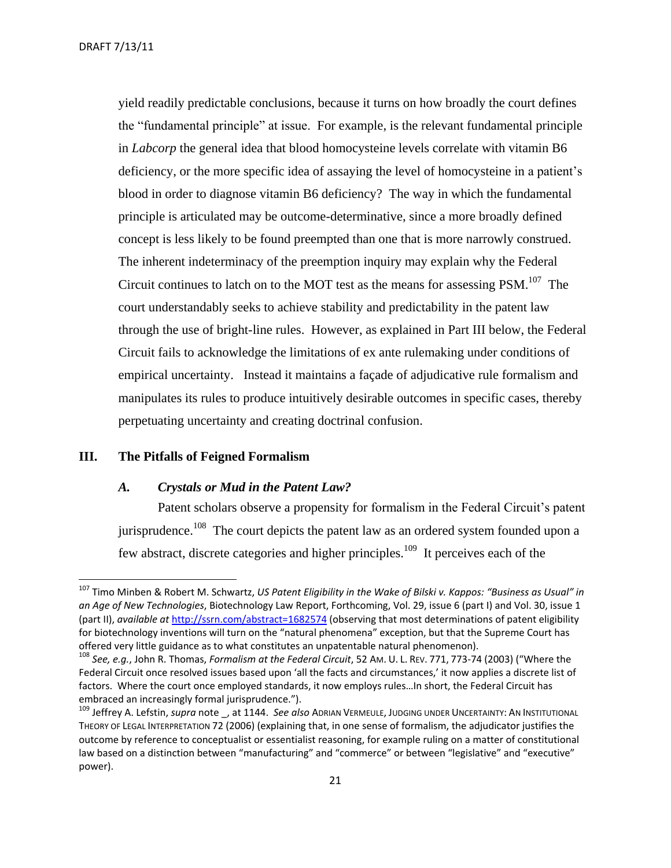yield readily predictable conclusions, because it turns on how broadly the court defines the "fundamental principle" at issue. For example, is the relevant fundamental principle in *Labcorp* the general idea that blood homocysteine levels correlate with vitamin B6 deficiency, or the more specific idea of assaying the level of homocysteine in a patient's blood in order to diagnose vitamin B6 deficiency? The way in which the fundamental principle is articulated may be outcome-determinative, since a more broadly defined concept is less likely to be found preempted than one that is more narrowly construed. The inherent indeterminacy of the preemption inquiry may explain why the Federal Circuit continues to latch on to the MOT test as the means for assessing  $PSM$ .<sup>107</sup> The court understandably seeks to achieve stability and predictability in the patent law through the use of bright-line rules. However, as explained in Part III below, the Federal Circuit fails to acknowledge the limitations of ex ante rulemaking under conditions of empirical uncertainty. Instead it maintains a façade of adjudicative rule formalism and manipulates its rules to produce intuitively desirable outcomes in specific cases, thereby perpetuating uncertainty and creating doctrinal confusion.

#### <span id="page-20-1"></span><span id="page-20-0"></span>**III. The Pitfalls of Feigned Formalism**

 $\overline{a}$ 

#### *A. Crystals or Mud in the Patent Law?*

Patent scholars observe a propensity for formalism in the Federal Circuit's patent jurisprudence.<sup>108</sup> The court depicts the patent law as an ordered system founded upon a few abstract, discrete categories and higher principles.<sup>109</sup> It perceives each of the

<sup>107</sup> Timo Minben & Robert M. Schwartz, *US Patent Eligibility in the Wake of Bilski v. Kappos: "Business as Usual" in an Age of New Technologies*, Biotechnology Law Report, Forthcoming, Vol. 29, issue 6 (part I) and Vol. 30, issue 1 (part II), *available at* <http://ssrn.com/abstract=1682574> (observing that most determinations of patent eligibility for biotechnology inventions will turn on the "natural phenomena" exception, but that the Supreme Court has offered very little guidance as to what constitutes an unpatentable natural phenomenon).

<sup>108</sup> *See, e.g.*, John R. Thomas, *Formalism at the Federal Circuit*, 52 AM. U. L. REV. 771, 773-74 (2003) ("Where the Federal Circuit once resolved issues based upon 'all the facts and circumstances,' it now applies a discrete list of factors. Where the court once employed standards, it now employs rules…In short, the Federal Circuit has embraced an increasingly formal jurisprudence.").

<sup>109</sup> Jeffrey A. Lefstin, *supra* note \_, at 1144. *See also* ADRIAN VERMEULE, JUDGING UNDER UNCERTAINTY: AN INSTITUTIONAL THEORY OF LEGAL INTERPRETATION 72 (2006) (explaining that, in one sense of formalism, the adjudicator justifies the outcome by reference to conceptualist or essentialist reasoning, for example ruling on a matter of constitutional law based on a distinction between "manufacturing" and "commerce" or between "legislative" and "executive" power).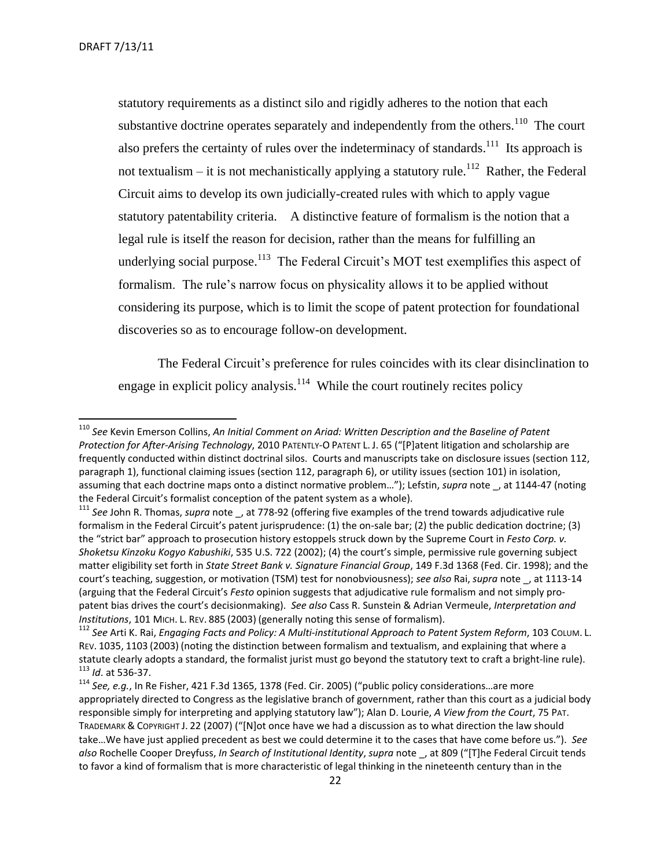statutory requirements as a distinct silo and rigidly adheres to the notion that each substantive doctrine operates separately and independently from the others.<sup>110</sup> The court also prefers the certainty of rules over the indeterminacy of standards.<sup>111</sup> Its approach is not textualism – it is not mechanistically applying a statutory rule.<sup>112</sup> Rather, the Federal Circuit aims to develop its own judicially-created rules with which to apply vague statutory patentability criteria. A distinctive feature of formalism is the notion that a legal rule is itself the reason for decision, rather than the means for fulfilling an underlying social purpose.<sup>113</sup> The Federal Circuit's MOT test exemplifies this aspect of formalism. The rule's narrow focus on physicality allows it to be applied without considering its purpose, which is to limit the scope of patent protection for foundational discoveries so as to encourage follow-on development.

The Federal Circuit's preference for rules coincides with its clear disinclination to engage in explicit policy analysis. $114$  While the court routinely recites policy

<sup>110</sup> *See* Kevin Emerson Collins, *An Initial Comment on Ariad: Written Description and the Baseline of Patent*  Protection for After-Arising Technology, 2010 PATENTLY-O PATENT L. J. 65 ("[P]atent litigation and scholarship are frequently conducted within distinct doctrinal silos. Courts and manuscripts take on disclosure issues (section 112, paragraph 1), functional claiming issues (section 112, paragraph 6), or utility issues (section 101) in isolation, assuming that each doctrine maps onto a distinct normative problem..."); Lefstin, *supra* note, at 1144-47 (noting the Federal Circuit's formalist conception of the patent system as a whole).

<sup>&</sup>lt;sup>111</sup> See John R. Thomas, *supra* note , at 778-92 (offering five examples of the trend towards adjudicative rule formalism in the Federal Circuit's patent jurisprudence: (1) the on-sale bar; (2) the public dedication doctrine; (3) the "strict bar" approach to prosecution history estoppels struck down by the Supreme Court in *Festo Corp. v. Shoketsu Kinzoku Kogyo Kabushiki*, 535 U.S. 722 (2002); (4) the court's simple, permissive rule governing subject matter eligibility set forth in *State Street Bank v. Signature Financial Group*, 149 F.3d 1368 (Fed. Cir. 1998); and the court's teaching, suggestion, or motivation (TSM) test for nonobviousness); *see also* Rai, *supra* note \_, at 1113-14 (arguing that the Federal Circuit's *Festo* opinion suggests that adjudicative rule formalism and not simply propatent bias drives the court's decisionmaking). *See also* Cass R. Sunstein & Adrian Vermeule, *Interpretation and Institutions*, 101 MICH. L. REV. 885 (2003) (generally noting this sense of formalism).

<sup>112</sup> *See* Arti K. Rai, *Engaging Facts and Policy: A Multi-institutional Approach to Patent System Reform*, 103 COLUM. L. REV. 1035, 1103 (2003) (noting the distinction between formalism and textualism, and explaining that where a statute clearly adopts a standard, the formalist jurist must go beyond the statutory text to craft a bright-line rule). <sup>113</sup> *Id*. at 536-37.

<sup>114</sup> *See, e.g.*, In Re Fisher, 421 F.3d 1365, 1378 (Fed. Cir. 2005) ("public policy considerations…are more appropriately directed to Congress as the legislative branch of government, rather than this court as a judicial body responsible simply for interpreting and applying statutory law"); Alan D. Lourie, *A View from the Court*, 75 PAT. TRADEMARK & COPYRIGHT J. 22 (2007) ("[N]ot once have we had a discussion as to what direction the law should take…We have just applied precedent as best we could determine it to the cases that have come before us."). *See*  also Rochelle Cooper Dreyfuss, In Search of Institutional Identity, *supra* note , at 809 ("[T]he Federal Circuit tends to favor a kind of formalism that is more characteristic of legal thinking in the nineteenth century than in the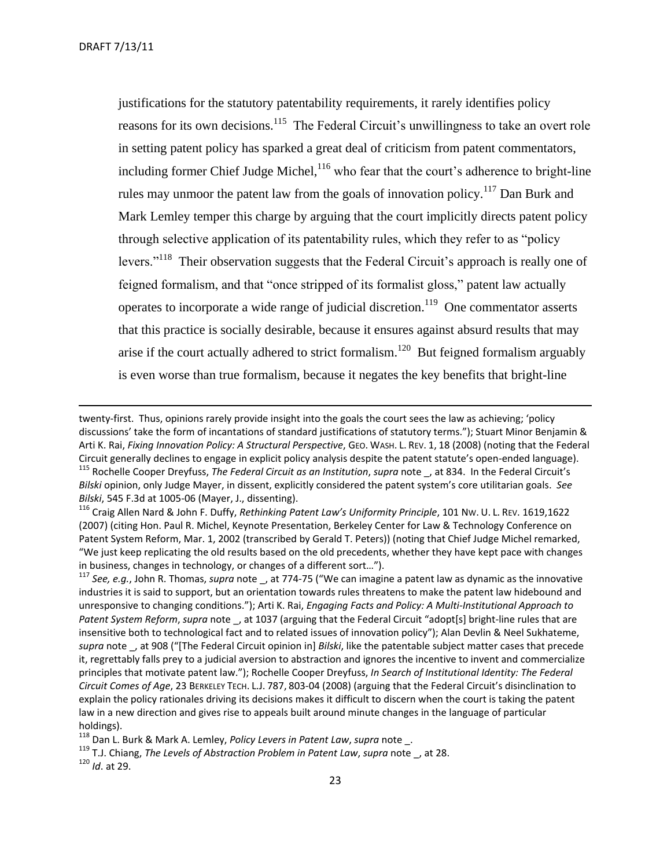justifications for the statutory patentability requirements, it rarely identifies policy reasons for its own decisions.<sup>115</sup> The Federal Circuit's unwillingness to take an overt role in setting patent policy has sparked a great deal of criticism from patent commentators, including former Chief Judge Michel,  $116$  who fear that the court's adherence to bright-line rules may unmoor the patent law from the goals of innovation policy.<sup>117</sup> Dan Burk and Mark Lemley temper this charge by arguing that the court implicitly directs patent policy through selective application of its patentability rules, which they refer to as "policy levers."<sup>118</sup> Their observation suggests that the Federal Circuit's approach is really one of feigned formalism, and that "once stripped of its formalist gloss," patent law actually operates to incorporate a wide range of judicial discretion.<sup>119</sup> One commentator asserts that this practice is socially desirable, because it ensures against absurd results that may arise if the court actually adhered to strict formalism.<sup>120</sup> But feigned formalism arguably is even worse than true formalism, because it negates the key benefits that bright-line

<sup>115</sup> Rochelle Cooper Dreyfuss, *The Federal Circuit as an Institution*, *supra* note \_, at 834. In the Federal Circuit's *Bilski* opinion, only Judge Mayer, in dissent, explicitly considered the patent system's core utilitarian goals. *See Bilski*, 545 F.3d at 1005-06 (Mayer, J., dissenting).

<sup>116</sup> Craig Allen Nard & John F. Duffy, *Rethinking Patent Law's Uniformity Principle*, 101 NW. U. L. REV. 1619,1622 (2007) (citing Hon. Paul R. Michel, Keynote Presentation, Berkeley Center for Law & Technology Conference on Patent System Reform, Mar. 1, 2002 (transcribed by Gerald T. Peters)) (noting that Chief Judge Michel remarked, "We just keep replicating the old results based on the old precedents, whether they have kept pace with changes in business, changes in technology, or changes of a different sort…").

<sup>117</sup> *See, e.g.*, John R. Thomas, *supra* note \_, at 774-75 ("We can imagine a patent law as dynamic as the innovative industries it is said to support, but an orientation towards rules threatens to make the patent law hidebound and unresponsive to changing conditions."); Arti K. Rai, *Engaging Facts and Policy: A Multi-Institutional Approach to Patent System Reform*, *supra* note \_, at 1037 (arguing that the Federal Circuit "adopt[s] bright-line rules that are insensitive both to technological fact and to related issues of innovation policy"); Alan Devlin & Neel Sukhateme, *supra* note \_, at 908 ("\*The Federal Circuit opinion in+ *Bilski*, like the patentable subject matter cases that precede it, regrettably falls prey to a judicial aversion to abstraction and ignores the incentive to invent and commercialize principles that motivate patent law."); Rochelle Cooper Dreyfuss, *In Search of Institutional Identity: The Federal Circuit Comes of Age*, 23 BERKELEY TECH. L.J. 787, 803-04 (2008) (arguing that the Federal Circuit's disinclination to explain the policy rationales driving its decisions makes it difficult to discern when the court is taking the patent law in a new direction and gives rise to appeals built around minute changes in the language of particular holdings).

<sup>118</sup> Dan L. Burk & Mark A. Lemley, *Policy Levers in Patent Law*, *supra* note \_.

<sup>119</sup> T.J. Chiang, *The Levels of Abstraction Problem in Patent Law*, *supra* note \_, at 28.

<sup>120</sup> *Id*. at 29.

twenty-first. Thus, opinions rarely provide insight into the goals the court sees the law as achieving; 'policy discussions' take the form of incantations of standard justifications of statutory terms."); Stuart Minor Benjamin & Arti K. Rai, *Fixing Innovation Policy: A Structural Perspective*, GEO. WASH. L. REV. 1, 18 (2008) (noting that the Federal Circuit generally declines to engage in explicit policy analysis despite the patent statute's open-ended language).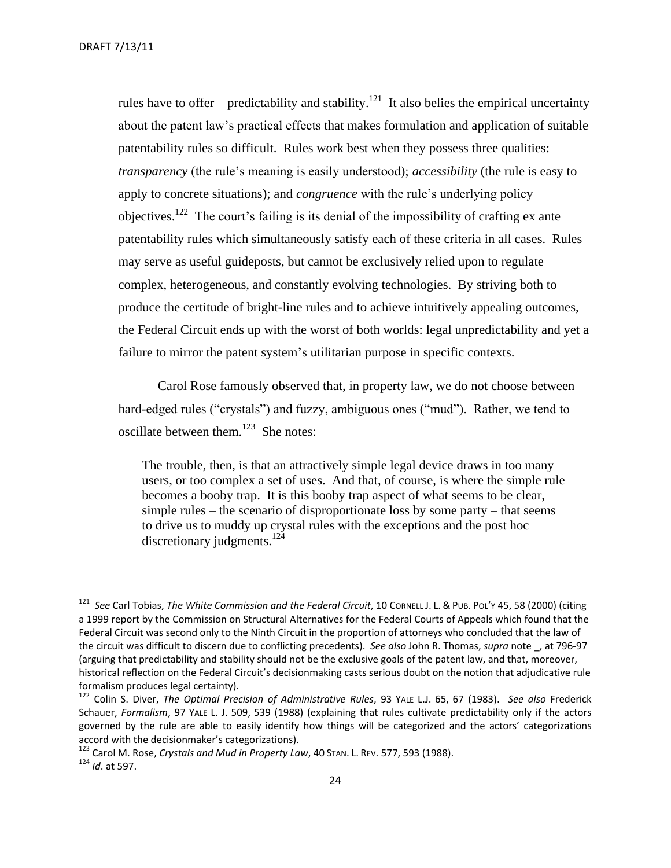rules have to offer – predictability and stability.<sup>121</sup> It also belies the empirical uncertainty about the patent law's practical effects that makes formulation and application of suitable patentability rules so difficult. Rules work best when they possess three qualities: *transparency* (the rule's meaning is easily understood); *accessibility* (the rule is easy to apply to concrete situations); and *congruence* with the rule's underlying policy objectives.<sup>122</sup> The court's failing is its denial of the impossibility of crafting ex ante patentability rules which simultaneously satisfy each of these criteria in all cases. Rules may serve as useful guideposts, but cannot be exclusively relied upon to regulate complex, heterogeneous, and constantly evolving technologies. By striving both to produce the certitude of bright-line rules and to achieve intuitively appealing outcomes, the Federal Circuit ends up with the worst of both worlds: legal unpredictability and yet a failure to mirror the patent system's utilitarian purpose in specific contexts.

Carol Rose famously observed that, in property law, we do not choose between hard-edged rules ("crystals") and fuzzy, ambiguous ones ("mud"). Rather, we tend to oscillate between them. $^{123}$  She notes:

The trouble, then, is that an attractively simple legal device draws in too many users, or too complex a set of uses. And that, of course, is where the simple rule becomes a booby trap. It is this booby trap aspect of what seems to be clear, simple rules – the scenario of disproportionate loss by some party – that seems to drive us to muddy up crystal rules with the exceptions and the post hoc discretionary judgments.<sup>124</sup>

 121 *See* Carl Tobias, *The White Commission and the Federal Circuit*, 10 CORNELL J. L. & PUB. POL'Y 45, 58 (2000) (citing a 1999 report by the Commission on Structural Alternatives for the Federal Courts of Appeals which found that the Federal Circuit was second only to the Ninth Circuit in the proportion of attorneys who concluded that the law of the circuit was difficult to discern due to conflicting precedents). *See also* John R. Thomas, *supra* note \_, at 796-97 (arguing that predictability and stability should not be the exclusive goals of the patent law, and that, moreover, historical reflection on the Federal Circuit's decisionmaking casts serious doubt on the notion that adjudicative rule formalism produces legal certainty).

<sup>122</sup> Colin S. Diver, *The Optimal Precision of Administrative Rules*, 93 YALE L.J. 65, 67 (1983). *See also* Frederick Schauer, *Formalism*, 97 YALE L. J. 509, 539 (1988) (explaining that rules cultivate predictability only if the actors governed by the rule are able to easily identify how things will be categorized and the actors' categorizations accord with the decisionmaker's categorizations).

<sup>123</sup> Carol M. Rose, *Crystals and Mud in Property Law*, 40 STAN. L. REV. 577, 593 (1988). <sup>124</sup> *Id*. at 597.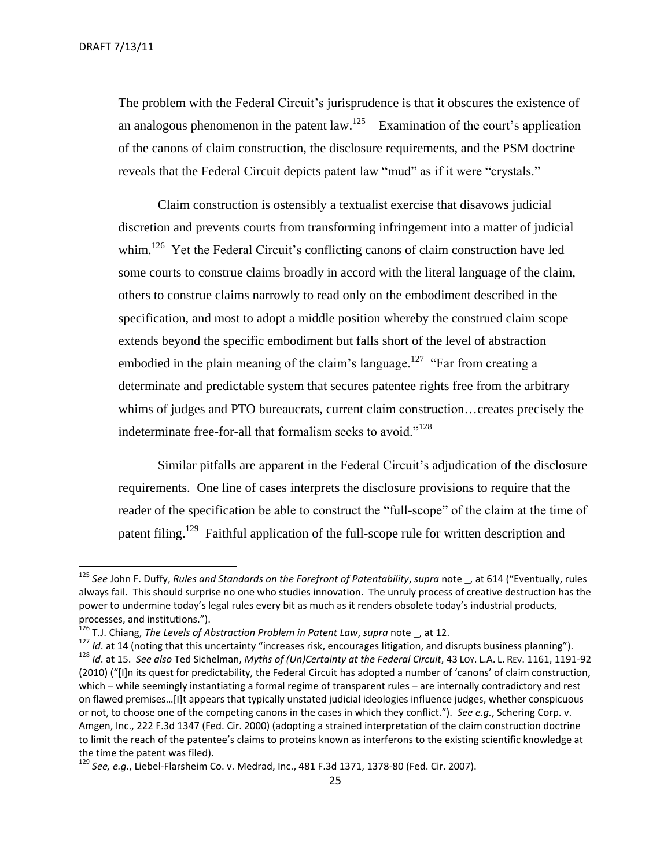The problem with the Federal Circuit's jurisprudence is that it obscures the existence of an analogous phenomenon in the patent  $law$ <sup>125</sup> Examination of the court's application of the canons of claim construction, the disclosure requirements, and the PSM doctrine reveals that the Federal Circuit depicts patent law "mud" as if it were "crystals."

Claim construction is ostensibly a textualist exercise that disavows judicial discretion and prevents courts from transforming infringement into a matter of judicial whim.<sup>126</sup> Yet the Federal Circuit's conflicting canons of claim construction have led some courts to construe claims broadly in accord with the literal language of the claim, others to construe claims narrowly to read only on the embodiment described in the specification, and most to adopt a middle position whereby the construed claim scope extends beyond the specific embodiment but falls short of the level of abstraction embodied in the plain meaning of the claim's language.<sup>127</sup> "Far from creating a determinate and predictable system that secures patentee rights free from the arbitrary whims of judges and PTO bureaucrats, current claim construction…creates precisely the indeterminate free-for-all that formalism seeks to avoid."<sup>128</sup>

Similar pitfalls are apparent in the Federal Circuit's adjudication of the disclosure requirements. One line of cases interprets the disclosure provisions to require that the reader of the specification be able to construct the "full-scope" of the claim at the time of patent filing.<sup>129</sup> Faithful application of the full-scope rule for written description and

<sup>125</sup> *See* John F. Duffy, *Rules and Standards on the Forefront of Patentability*, *supra* note \_, at 614 ("Eventually, rules always fail. This should surprise no one who studies innovation. The unruly process of creative destruction has the power to undermine today's legal rules every bit as much as it renders obsolete today's industrial products, processes, and institutions.").

<sup>126</sup> T.J. Chiang, *The Levels of Abstraction Problem in Patent Law*, *supra* note \_, at 12.

<sup>127</sup> *Id*. at 14 (noting that this uncertainty "increases risk, encourages litigation, and disrupts business planning"). <sup>128</sup> *Id*. at 15. *See also* Ted Sichelman, *Myths of (Un)Certainty at the Federal Circuit*, 43 LOY. L.A. L. REV. 1161, 1191-92 (2010) ("[I]n its quest for predictability, the Federal Circuit has adopted a number of 'canons' of claim construction, which – while seemingly instantiating a formal regime of transparent rules – are internally contradictory and rest on flawed premises...[I]t appears that typically unstated judicial ideologies influence judges, whether conspicuous or not, to choose one of the competing canons in the cases in which they conflict."). *See e.g.*, Schering Corp. v. Amgen, Inc., 222 F.3d 1347 (Fed. Cir. 2000) (adopting a strained interpretation of the claim construction doctrine to limit the reach of the patentee's claims to proteins known as interferons to the existing scientific knowledge at the time the patent was filed).

<sup>129</sup> *See, e.g.*, Liebel-Flarsheim Co. v. Medrad, Inc., 481 F.3d 1371, 1378-80 (Fed. Cir. 2007).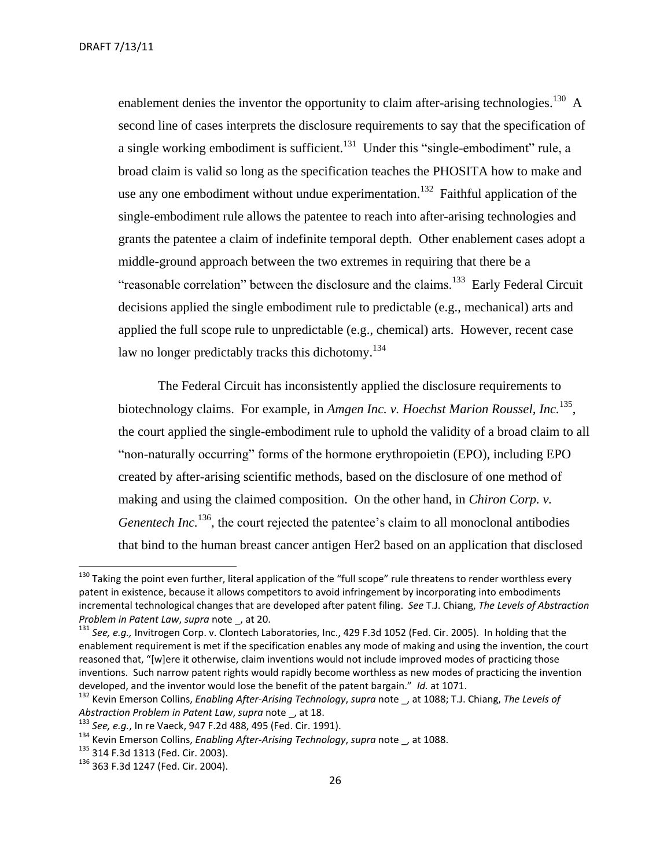enablement denies the inventor the opportunity to claim after-arising technologies.<sup>130</sup> A second line of cases interprets the disclosure requirements to say that the specification of a single working embodiment is sufficient.<sup>131</sup> Under this "single-embodiment" rule, a broad claim is valid so long as the specification teaches the PHOSITA how to make and use any one embodiment without undue experimentation.<sup>132</sup> Faithful application of the single-embodiment rule allows the patentee to reach into after-arising technologies and grants the patentee a claim of indefinite temporal depth. Other enablement cases adopt a middle-ground approach between the two extremes in requiring that there be a "reasonable correlation" between the disclosure and the claims.<sup>133</sup> Early Federal Circuit decisions applied the single embodiment rule to predictable (e.g., mechanical) arts and applied the full scope rule to unpredictable (e.g., chemical) arts. However, recent case law no longer predictably tracks this dichotomy.<sup>134</sup>

The Federal Circuit has inconsistently applied the disclosure requirements to biotechnology claims. For example, in *Amgen Inc. v. Hoechst Marion Roussel, Inc.*<sup>135</sup> , the court applied the single-embodiment rule to uphold the validity of a broad claim to all "non-naturally occurring" forms of the hormone erythropoietin (EPO), including EPO created by after-arising scientific methods, based on the disclosure of one method of making and using the claimed composition. On the other hand, in *Chiron Corp. v. Genentech Inc.*<sup>136</sup>, the court rejected the patentee's claim to all monoclonal antibodies that bind to the human breast cancer antigen Her2 based on an application that disclosed

<sup>&</sup>lt;sup>130</sup> Taking the point even further, literal application of the "full scope" rule threatens to render worthless every patent in existence, because it allows competitors to avoid infringement by incorporating into embodiments incremental technological changes that are developed after patent filing. *See* T.J. Chiang, *The Levels of Abstraction Problem in Patent Law*, *supra* note \_, at 20.

<sup>131</sup> *See, e.g.,* Invitrogen Corp. v. Clontech Laboratories, Inc., 429 F.3d 1052 (Fed. Cir. 2005). In holding that the enablement requirement is met if the specification enables any mode of making and using the invention, the court reasoned that, "[w]ere it otherwise, claim inventions would not include improved modes of practicing those inventions. Such narrow patent rights would rapidly become worthless as new modes of practicing the invention developed, and the inventor would lose the benefit of the patent bargain." *Id.* at 1071.

<sup>132</sup> Kevin Emerson Collins, *Enabling After-Arising Technology*, *supra* note \_, at 1088; T.J. Chiang, *The Levels of Abstraction Problem in Patent Law*, *supra* note \_, at 18.

<sup>133</sup> *See, e.g.*, In re Vaeck, 947 F.2d 488, 495 (Fed. Cir. 1991).

<sup>134</sup> Kevin Emerson Collins, *Enabling After-Arising Technology*, *supra* note \_, at 1088.

<sup>135 314</sup> F.3d 1313 (Fed. Cir. 2003).

<sup>136</sup> 363 F.3d 1247 (Fed. Cir. 2004).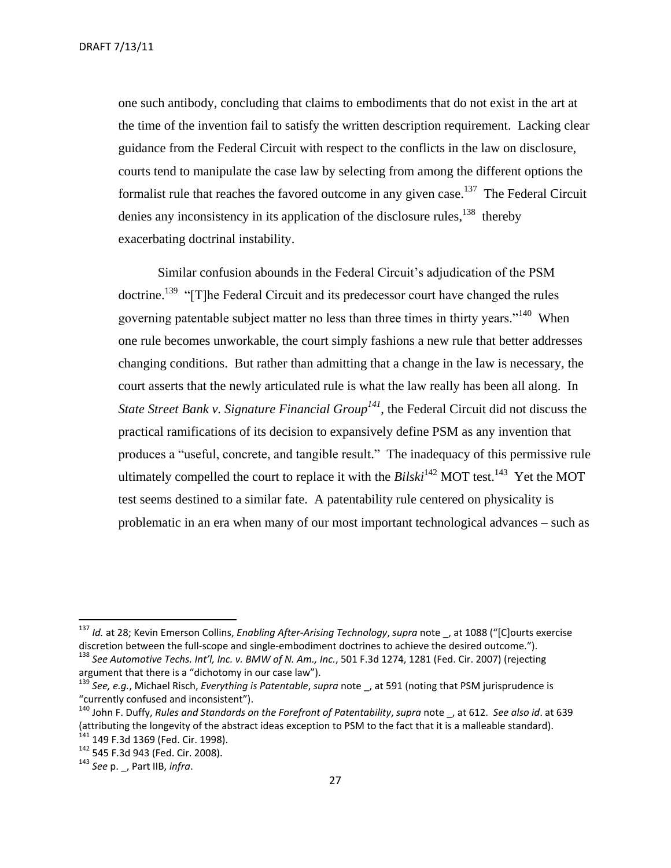DRAFT 7/13/11

one such antibody, concluding that claims to embodiments that do not exist in the art at the time of the invention fail to satisfy the written description requirement. Lacking clear guidance from the Federal Circuit with respect to the conflicts in the law on disclosure, courts tend to manipulate the case law by selecting from among the different options the formalist rule that reaches the favored outcome in any given case.<sup>137</sup> The Federal Circuit denies any inconsistency in its application of the disclosure rules, <sup>138</sup> thereby exacerbating doctrinal instability.

Similar confusion abounds in the Federal Circuit's adjudication of the PSM doctrine.<sup>139</sup> "[T]he Federal Circuit and its predecessor court have changed the rules governing patentable subject matter no less than three times in thirty years."<sup>140</sup> When one rule becomes unworkable, the court simply fashions a new rule that better addresses changing conditions. But rather than admitting that a change in the law is necessary, the court asserts that the newly articulated rule is what the law really has been all along. In *State Street Bank v. Signature Financial Group<sup>141</sup>*, the Federal Circuit did not discuss the practical ramifications of its decision to expansively define PSM as any invention that produces a "useful, concrete, and tangible result." The inadequacy of this permissive rule ultimately compelled the court to replace it with the  $Bilski^{142}$  MOT test.<sup>143</sup> Yet the MOT test seems destined to a similar fate. A patentability rule centered on physicality is problematic in an era when many of our most important technological advances – such as

<sup>&</sup>lt;sup>137</sup> Id. at 28; Kevin Emerson Collins, *Enabling After-Arising Technology, supra* note \_, at 1088 ("[C]ourts exercise discretion between the full-scope and single-embodiment doctrines to achieve the desired outcome."). <sup>138</sup> *See Automotive Techs. Int'l, Inc. v. BMW of N. Am., Inc.*, 501 F.3d 1274, 1281 (Fed. Cir. 2007) (rejecting

argument that there is a "dichotomy in our case law").

<sup>139</sup> *See, e.g.*, Michael Risch, *Everything is Patentable*, *supra* note \_, at 591 (noting that PSM jurisprudence is "currently confused and inconsistent").

<sup>140</sup> John F. Duffy, *Rules and Standards on the Forefront of Patentability*, *supra* note \_, at 612. *See also id*. at 639 (attributing the longevity of the abstract ideas exception to PSM to the fact that it is a malleable standard). <sup>141</sup> 149 F.3d 1369 (Fed. Cir. 1998).

<sup>142</sup> 545 F.3d 943 (Fed. Cir. 2008).

<sup>143</sup> *See* p. \_, Part IIB, *infra*.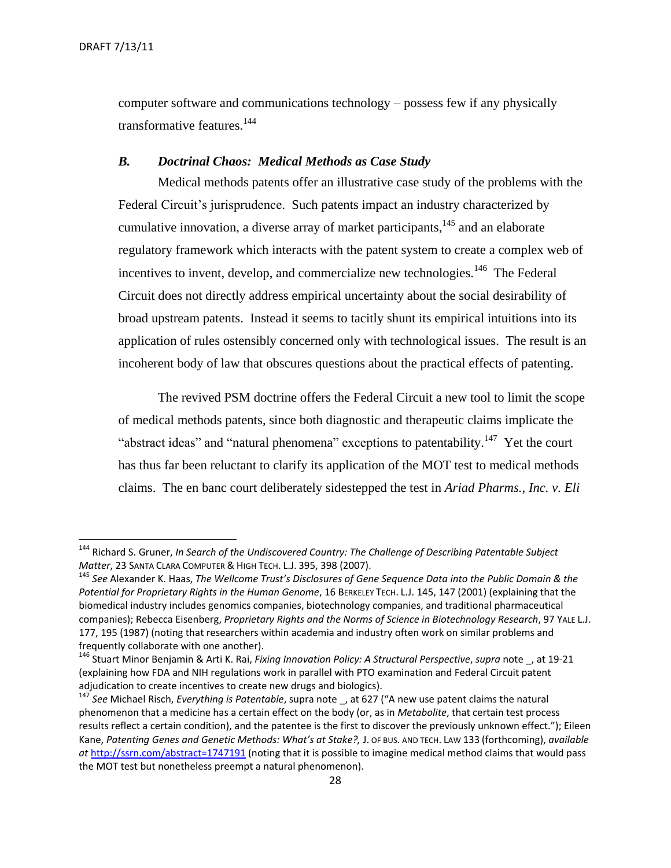computer software and communications technology – possess few if any physically transformative features.<sup>144</sup>

#### <span id="page-27-0"></span>*B. Doctrinal Chaos: Medical Methods as Case Study*

Medical methods patents offer an illustrative case study of the problems with the Federal Circuit's jurisprudence. Such patents impact an industry characterized by cumulative innovation, a diverse array of market participants, <sup>145</sup> and an elaborate regulatory framework which interacts with the patent system to create a complex web of incentives to invent, develop, and commercialize new technologies.<sup>146</sup> The Federal Circuit does not directly address empirical uncertainty about the social desirability of broad upstream patents. Instead it seems to tacitly shunt its empirical intuitions into its application of rules ostensibly concerned only with technological issues. The result is an incoherent body of law that obscures questions about the practical effects of patenting.

The revived PSM doctrine offers the Federal Circuit a new tool to limit the scope of medical methods patents, since both diagnostic and therapeutic claims implicate the "abstract ideas" and "natural phenomena" exceptions to patentability.<sup>147</sup> Yet the court has thus far been reluctant to clarify its application of the MOT test to medical methods claims. The en banc court deliberately sidestepped the test in *Ariad Pharms., Inc. v. Eli* 

<sup>144</sup> Richard S. Gruner, *In Search of the Undiscovered Country: The Challenge of Describing Patentable Subject Matter*, 23 SANTA CLARA COMPUTER & HIGH TECH. L.J. 395, 398 (2007).

<sup>145</sup> *See* Alexander K. Haas, *The Wellcome Trust's Disclosures of Gene Sequence Data into the Public Domain & the Potential for Proprietary Rights in the Human Genome*, 16 BERKELEY TECH. L.J. 145, 147 (2001) (explaining that the biomedical industry includes genomics companies, biotechnology companies, and traditional pharmaceutical companies); Rebecca Eisenberg, *Proprietary Rights and the Norms of Science in Biotechnology Research*, 97 YALE L.J. 177, 195 (1987) (noting that researchers within academia and industry often work on similar problems and frequently collaborate with one another).

<sup>146</sup> Stuart Minor Benjamin & Arti K. Rai, *Fixing Innovation Policy: A Structural Perspective*, *supra* note \_, at 19-21 (explaining how FDA and NIH regulations work in parallel with PTO examination and Federal Circuit patent adjudication to create incentives to create new drugs and biologics).

<sup>147</sup> *See* Michael Risch, *Everything is Patentable*, supra note \_, at 627 ("A new use patent claims the natural phenomenon that a medicine has a certain effect on the body (or, as in *Metabolite*, that certain test process results reflect a certain condition), and the patentee is the first to discover the previously unknown effect."); Eileen Kane, *Patenting Genes and Genetic Methods: What's at Stake?,* J. OF BUS. AND TECH. LAW 133 (forthcoming), *available at* <http://ssrn.com/abstract=1747191> (noting that it is possible to imagine medical method claims that would pass the MOT test but nonetheless preempt a natural phenomenon).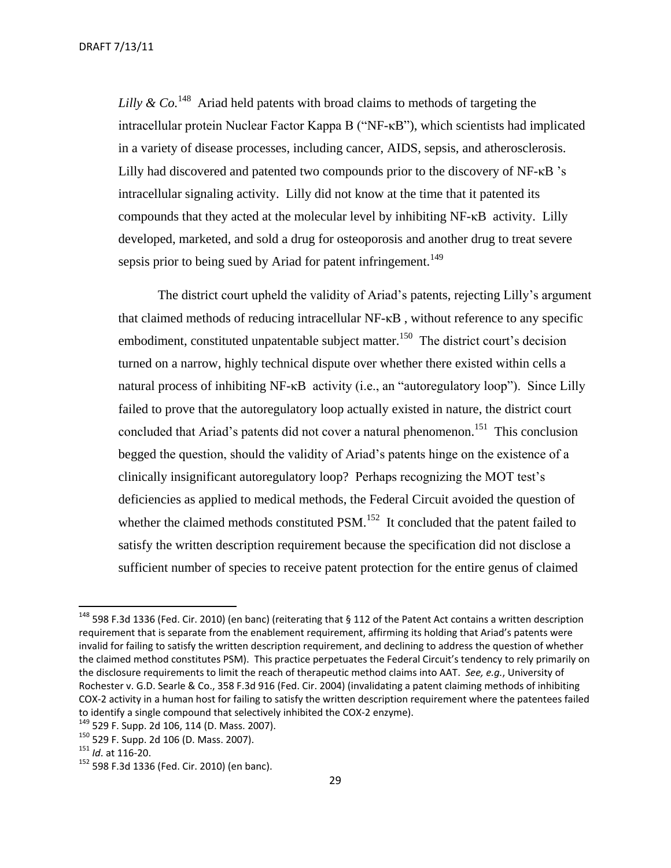DRAFT 7/13/11

Lilly  $\&$  Co.<sup>148</sup> Ariad held patents with broad claims to methods of targeting the intracellular protein Nuclear Factor Kappa B ("NF-κB"), which scientists had implicated in a variety of disease processes, including cancer, AIDS, sepsis, and atherosclerosis. Lilly had discovered and patented two compounds prior to the discovery of NF-κB 's intracellular signaling activity. Lilly did not know at the time that it patented its compounds that they acted at the molecular level by inhibiting NF-κB activity. Lilly developed, marketed, and sold a drug for osteoporosis and another drug to treat severe sepsis prior to being sued by Ariad for patent infringement.<sup>149</sup>

The district court upheld the validity of Ariad's patents, rejecting Lilly's argument that claimed methods of reducing intracellular NF-κB , without reference to any specific embodiment, constituted unpatentable subject matter.<sup>150</sup> The district court's decision turned on a narrow, highly technical dispute over whether there existed within cells a natural process of inhibiting NF-κB activity (i.e., an "autoregulatory loop"). Since Lilly failed to prove that the autoregulatory loop actually existed in nature, the district court concluded that Ariad's patents did not cover a natural phenomenon.<sup>151</sup> This conclusion begged the question, should the validity of Ariad's patents hinge on the existence of a clinically insignificant autoregulatory loop? Perhaps recognizing the MOT test's deficiencies as applied to medical methods, the Federal Circuit avoided the question of whether the claimed methods constituted  $PSM$ <sup>152</sup>. It concluded that the patent failed to satisfy the written description requirement because the specification did not disclose a sufficient number of species to receive patent protection for the entire genus of claimed

 $\overline{a}$ 

<sup>&</sup>lt;sup>148</sup> 598 F.3d 1336 (Fed. Cir. 2010) (en banc) (reiterating that § 112 of the Patent Act contains a written description requirement that is separate from the enablement requirement, affirming its holding that Ariad's patents were invalid for failing to satisfy the written description requirement, and declining to address the question of whether the claimed method constitutes PSM). This practice perpetuates the Federal Circuit's tendency to rely primarily on the disclosure requirements to limit the reach of therapeutic method claims into AAT. *See, e.g.*, University of Rochester v. G.D. Searle & Co., 358 F.3d 916 (Fed. Cir. 2004) (invalidating a patent claiming methods of inhibiting COX-2 activity in a human host for failing to satisfy the written description requirement where the patentees failed to identify a single compound that selectively inhibited the COX-2 enzyme).

<sup>149</sup> 529 F. Supp. 2d 106, 114 (D. Mass. 2007).

<sup>150</sup> 529 F. Supp. 2d 106 (D. Mass. 2007).

<sup>151</sup> *Id*. at 116-20.

<sup>152</sup> 598 F.3d 1336 (Fed. Cir. 2010) (en banc).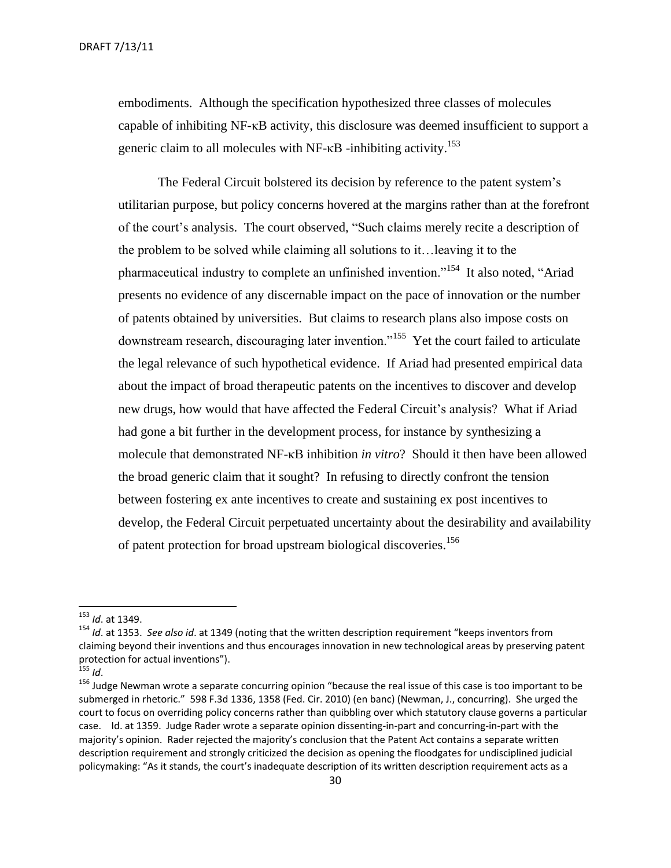embodiments. Although the specification hypothesized three classes of molecules capable of inhibiting NF-κB activity, this disclosure was deemed insufficient to support a generic claim to all molecules with NF- $\kappa$ B -inhibiting activity.<sup>153</sup>

The Federal Circuit bolstered its decision by reference to the patent system's utilitarian purpose, but policy concerns hovered at the margins rather than at the forefront of the court's analysis. The court observed, "Such claims merely recite a description of the problem to be solved while claiming all solutions to it…leaving it to the pharmaceutical industry to complete an unfinished invention."<sup>154</sup> It also noted, "Ariad presents no evidence of any discernable impact on the pace of innovation or the number of patents obtained by universities. But claims to research plans also impose costs on downstream research, discouraging later invention."<sup>155</sup> Yet the court failed to articulate the legal relevance of such hypothetical evidence. If Ariad had presented empirical data about the impact of broad therapeutic patents on the incentives to discover and develop new drugs, how would that have affected the Federal Circuit's analysis? What if Ariad had gone a bit further in the development process, for instance by synthesizing a molecule that demonstrated NF-κB inhibition *in vitro*? Should it then have been allowed the broad generic claim that it sought? In refusing to directly confront the tension between fostering ex ante incentives to create and sustaining ex post incentives to develop, the Federal Circuit perpetuated uncertainty about the desirability and availability of patent protection for broad upstream biological discoveries.<sup>156</sup>

 $\overline{a}$ 

<sup>153</sup> *Id*. at 1349.

<sup>154</sup> *Id*. at 1353. *See also id*. at 1349 (noting that the written description requirement "keeps inventors from claiming beyond their inventions and thus encourages innovation in new technological areas by preserving patent protection for actual inventions").

 $155$  *Id.* 

<sup>&</sup>lt;sup>156</sup> Judge Newman wrote a separate concurring opinion "because the real issue of this case is too important to be submerged in rhetoric." 598 F.3d 1336, 1358 (Fed. Cir. 2010) (en banc) (Newman, J., concurring). She urged the court to focus on overriding policy concerns rather than quibbling over which statutory clause governs a particular case. Id. at 1359. Judge Rader wrote a separate opinion dissenting-in-part and concurring-in-part with the majority's opinion. Rader rejected the majority's conclusion that the Patent Act contains a separate written description requirement and strongly criticized the decision as opening the floodgates for undisciplined judicial policymaking: "As it stands, the court's inadequate description of its written description requirement acts as a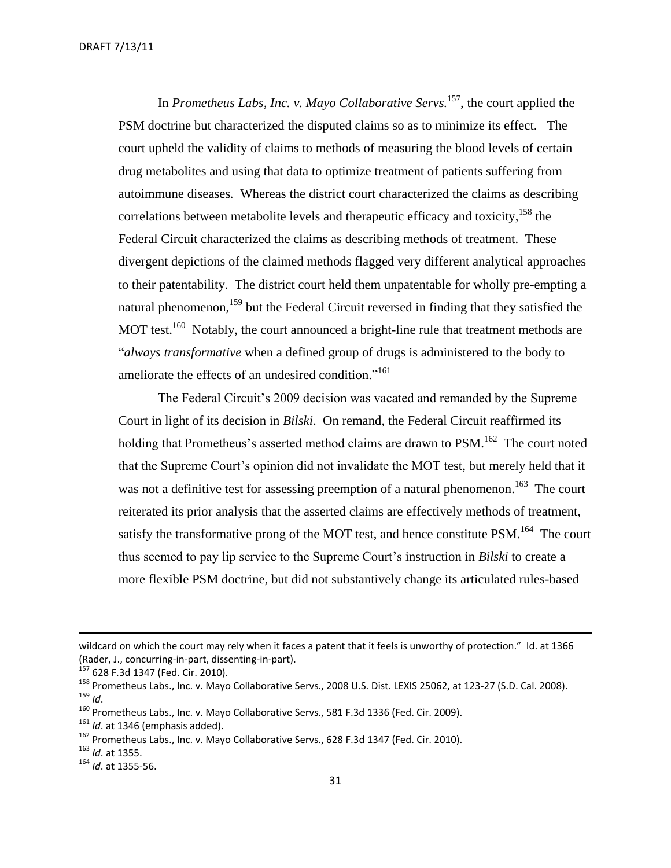In *Prometheus Labs, Inc. v. Mayo Collaborative Servs.*<sup>157</sup>, the court applied the PSM doctrine but characterized the disputed claims so as to minimize its effect. The court upheld the validity of claims to methods of measuring the blood levels of certain drug metabolites and using that data to optimize treatment of patients suffering from autoimmune diseases*.* Whereas the district court characterized the claims as describing correlations between metabolite levels and therapeutic efficacy and toxicity,  $^{158}$  the Federal Circuit characterized the claims as describing methods of treatment. These divergent depictions of the claimed methods flagged very different analytical approaches to their patentability. The district court held them unpatentable for wholly pre-empting a natural phenomenon,<sup>159</sup> but the Federal Circuit reversed in finding that they satisfied the MOT test.<sup>160</sup> Notably, the court announced a bright-line rule that treatment methods are "*always transformative* when a defined group of drugs is administered to the body to ameliorate the effects of an undesired condition."<sup>161</sup>

The Federal Circuit's 2009 decision was vacated and remanded by the Supreme Court in light of its decision in *Bilski*. On remand, the Federal Circuit reaffirmed its holding that Prometheus's asserted method claims are drawn to PSM.<sup>162</sup> The court noted that the Supreme Court's opinion did not invalidate the MOT test, but merely held that it was not a definitive test for assessing preemption of a natural phenomenon.<sup>163</sup> The court reiterated its prior analysis that the asserted claims are effectively methods of treatment, satisfy the transformative prong of the MOT test, and hence constitute PSM.<sup>164</sup> The court thus seemed to pay lip service to the Supreme Court's instruction in *Bilski* to create a more flexible PSM doctrine, but did not substantively change its articulated rules-based

wildcard on which the court may rely when it faces a patent that it feels is unworthy of protection." Id. at 1366 (Rader, J., concurring-in-part, dissenting-in-part).

<sup>157 628</sup> F.3d 1347 (Fed. Cir. 2010).

<sup>&</sup>lt;sup>158</sup> Prometheus Labs., Inc. v. Mayo Collaborative Servs., 2008 U.S. Dist. LEXIS 25062, at 123-27 (S.D. Cal. 2008). <sup>159</sup> *Id*.

<sup>&</sup>lt;sup>160</sup> Prometheus Labs., Inc. v. Mayo Collaborative Servs., 581 F.3d 1336 (Fed. Cir. 2009).

<sup>&</sup>lt;sup>161</sup> *Id.* at 1346 (emphasis added).

<sup>&</sup>lt;sup>162</sup> Prometheus Labs., Inc. v. Mayo Collaborative Servs., 628 F.3d 1347 (Fed. Cir. 2010).

<sup>163</sup> *Id*. at 1355.

<sup>164</sup> *Id*. at 1355-56.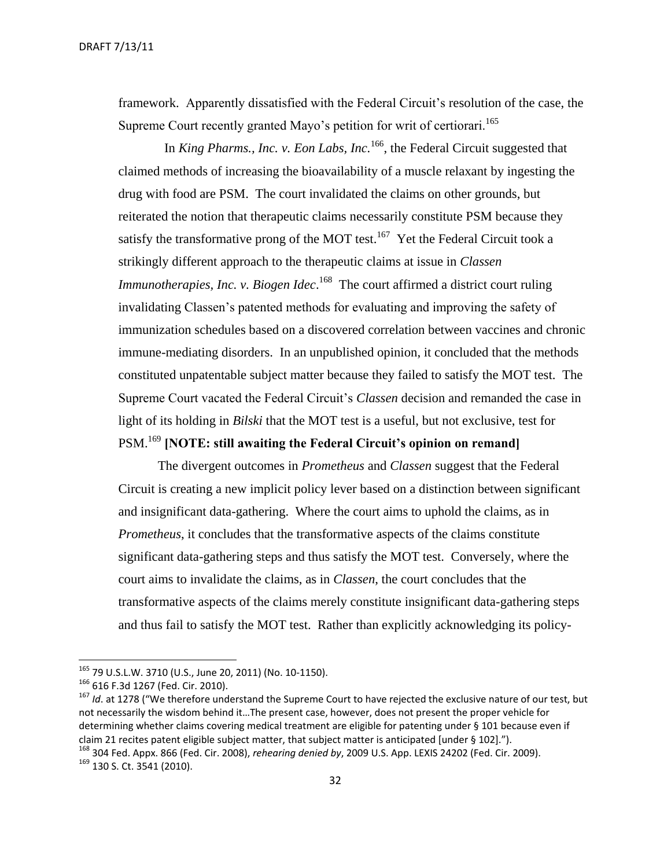DRAFT 7/13/11

framework. Apparently dissatisfied with the Federal Circuit's resolution of the case, the Supreme Court recently granted Mayo's petition for writ of certiorari.<sup>165</sup>

In *King Pharms., Inc. v. Eon Labs, Inc.*<sup>166</sup>, the Federal Circuit suggested that claimed methods of increasing the bioavailability of a muscle relaxant by ingesting the drug with food are PSM. The court invalidated the claims on other grounds, but reiterated the notion that therapeutic claims necessarily constitute PSM because they satisfy the transformative prong of the MOT test.<sup>167</sup> Yet the Federal Circuit took a strikingly different approach to the therapeutic claims at issue in *Classen Immunotherapies, Inc. v. Biogen Idec.*<sup>168</sup> The court affirmed a district court ruling invalidating Classen's patented methods for evaluating and improving the safety of immunization schedules based on a discovered correlation between vaccines and chronic immune-mediating disorders. In an unpublished opinion, it concluded that the methods constituted unpatentable subject matter because they failed to satisfy the MOT test. The Supreme Court vacated the Federal Circuit's *Classen* decision and remanded the case in light of its holding in *Bilski* that the MOT test is a useful, but not exclusive, test for PSM.<sup>169</sup> **[NOTE: still awaiting the Federal Circuit's opinion on remand]**

The divergent outcomes in *Prometheus* and *Classen* suggest that the Federal Circuit is creating a new implicit policy lever based on a distinction between significant and insignificant data-gathering. Where the court aims to uphold the claims, as in *Prometheus*, it concludes that the transformative aspects of the claims constitute significant data-gathering steps and thus satisfy the MOT test. Conversely, where the court aims to invalidate the claims, as in *Classen*, the court concludes that the transformative aspects of the claims merely constitute insignificant data-gathering steps and thus fail to satisfy the MOT test. Rather than explicitly acknowledging its policy-

<sup>&</sup>lt;sup>165</sup> 79 U.S.L.W. 3710 (U.S., June 20, 2011) (No. 10-1150).

<sup>166</sup> 616 F.3d 1267 (Fed. Cir. 2010).

<sup>167</sup> *Id*. at 1278 ("We therefore understand the Supreme Court to have rejected the exclusive nature of our test, but not necessarily the wisdom behind it…The present case, however, does not present the proper vehicle for determining whether claims covering medical treatment are eligible for patenting under § 101 because even if claim 21 recites patent eligible subject matter, that subject matter is anticipated [under § 102].").

<sup>168</sup> 304 Fed. Appx. 866 (Fed. Cir. 2008), *rehearing denied by*, 2009 U.S. App. LEXIS 24202 (Fed. Cir. 2009). 169 130 S. Ct. 3541 (2010).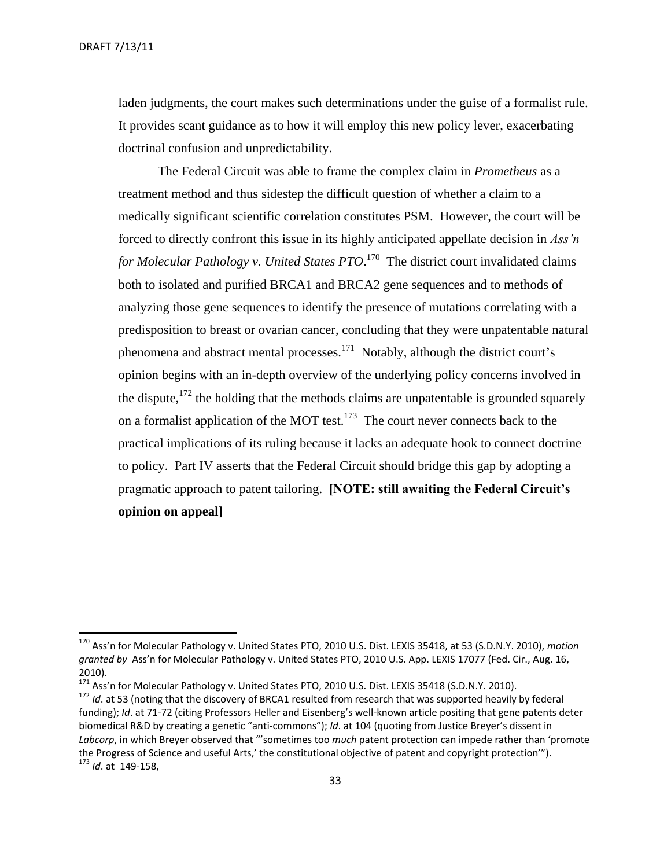laden judgments, the court makes such determinations under the guise of a formalist rule. It provides scant guidance as to how it will employ this new policy lever, exacerbating doctrinal confusion and unpredictability.

The Federal Circuit was able to frame the complex claim in *Prometheus* as a treatment method and thus sidestep the difficult question of whether a claim to a medically significant scientific correlation constitutes PSM. However, the court will be forced to directly confront this issue in its highly anticipated appellate decision in *Ass'n for Molecular Pathology v. United States PTO*. 170 The district court invalidated claims both to isolated and purified BRCA1 and BRCA2 gene sequences and to methods of analyzing those gene sequences to identify the presence of mutations correlating with a predisposition to breast or ovarian cancer, concluding that they were unpatentable natural phenomena and abstract mental processes.<sup>171</sup> Notably, although the district court's opinion begins with an in-depth overview of the underlying policy concerns involved in the dispute, $172$  the holding that the methods claims are unpatentable is grounded squarely on a formalist application of the MOT test.<sup>173</sup> The court never connects back to the practical implications of its ruling because it lacks an adequate hook to connect doctrine to policy. Part IV asserts that the Federal Circuit should bridge this gap by adopting a pragmatic approach to patent tailoring. **[NOTE: still awaiting the Federal Circuit's opinion on appeal]**

<sup>171</sup> Ass'n for Molecular Pathology v. United States PTO, 2010 U.S. Dist. LEXIS 35418 (S.D.N.Y. 2010).

<sup>170</sup> Ass'n for Molecular Pathology v. United States PTO, 2010 U.S. Dist. LEXIS 35418, at 53 (S.D.N.Y. 2010), *motion granted by* Ass'n for Molecular Pathology v. United States PTO, 2010 U.S. App. LEXIS 17077 (Fed. Cir., Aug. 16, 2010).

<sup>&</sup>lt;sup>172</sup> *Id*. at 53 (noting that the discovery of BRCA1 resulted from research that was supported heavily by federal funding); *Id*. at 71-72 (citing Professors Heller and Eisenberg's well-known article positing that gene patents deter biomedical R&D by creating a genetic "anti-commons"); *Id*. at 104 (quoting from Justice Breyer's dissent in *Labcorp*, in which Breyer observed that "'sometimes too *much* patent protection can impede rather than 'promote the Progress of Science and useful Arts,' the constitutional objective of patent and copyright protection'"). <sup>173</sup> *Id*. at 149-158,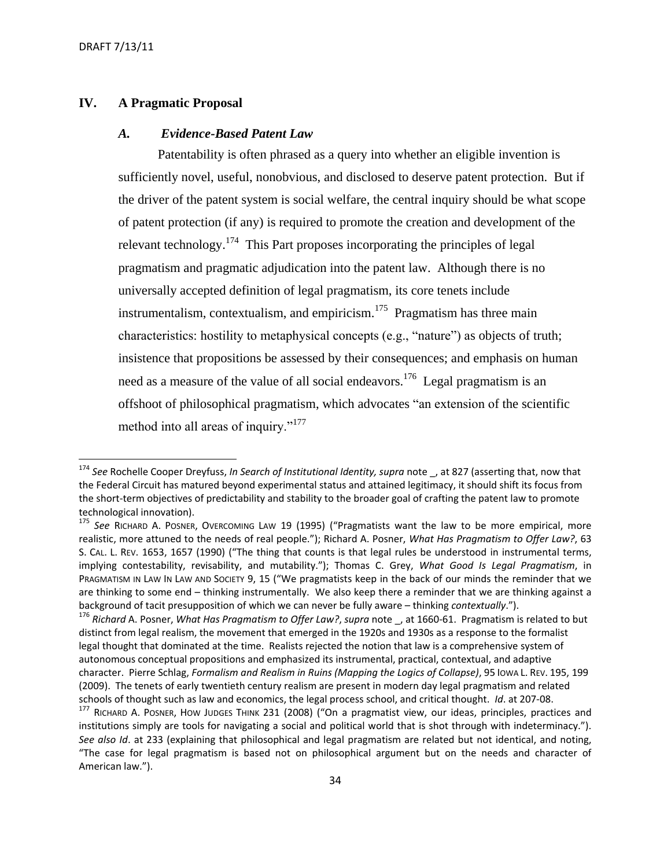$\overline{a}$ 

# <span id="page-33-0"></span>**IV. A Pragmatic Proposal**

### <span id="page-33-1"></span>*A. Evidence-Based Patent Law*

Patentability is often phrased as a query into whether an eligible invention is sufficiently novel, useful, nonobvious, and disclosed to deserve patent protection. But if the driver of the patent system is social welfare, the central inquiry should be what scope of patent protection (if any) is required to promote the creation and development of the relevant technology.<sup>174</sup> This Part proposes incorporating the principles of legal pragmatism and pragmatic adjudication into the patent law. Although there is no universally accepted definition of legal pragmatism, its core tenets include instrumentalism, contextualism, and empiricism.<sup>175</sup> Pragmatism has three main characteristics: hostility to metaphysical concepts (e.g., "nature") as objects of truth; insistence that propositions be assessed by their consequences; and emphasis on human need as a measure of the value of all social endeavors.<sup>176</sup> Legal pragmatism is an offshoot of philosophical pragmatism, which advocates "an extension of the scientific method into all areas of inquiry."<sup>177</sup>

<sup>174</sup> *See* Rochelle Cooper Dreyfuss, *In Search of Institutional Identity, supra* note \_, at 827 (asserting that, now that the Federal Circuit has matured beyond experimental status and attained legitimacy, it should shift its focus from the short-term objectives of predictability and stability to the broader goal of crafting the patent law to promote technological innovation).

<sup>175</sup> *See* RICHARD A. POSNER, OVERCOMING LAW 19 (1995) ("Pragmatists want the law to be more empirical, more realistic, more attuned to the needs of real people."); Richard A. Posner, *What Has Pragmatism to Offer Law?*, 63 S. CAL. L. REV. 1653, 1657 (1990) ("The thing that counts is that legal rules be understood in instrumental terms, implying contestability, revisability, and mutability."); Thomas C. Grey, *What Good Is Legal Pragmatism*, in PRAGMATISM IN LAW IN LAW AND SOCIETY 9, 15 ("We pragmatists keep in the back of our minds the reminder that we are thinking to some end – thinking instrumentally. We also keep there a reminder that we are thinking against a background of tacit presupposition of which we can never be fully aware – thinking *contextually*.").

<sup>176</sup> *Richard* A. Posner, *What Has Pragmatism to Offer Law?*, *supra* note \_, at 1660-61. Pragmatism is related to but distinct from legal realism, the movement that emerged in the 1920s and 1930s as a response to the formalist legal thought that dominated at the time. Realists rejected the notion that law is a comprehensive system of autonomous conceptual propositions and emphasized its instrumental, practical, contextual, and adaptive character. Pierre Schlag, *Formalism and Realism in Ruins (Mapping the Logics of Collapse)*, 95 IOWA L. REV. 195, 199 (2009). The tenets of early twentieth century realism are present in modern day legal pragmatism and related schools of thought such as law and economics, the legal process school, and critical thought. *Id*. at 207-08.

<sup>177</sup> RICHARD A. POSNER, HOW JUDGES THINK 231 (2008) ("On a pragmatist view, our ideas, principles, practices and institutions simply are tools for navigating a social and political world that is shot through with indeterminacy."). *See also Id*. at 233 (explaining that philosophical and legal pragmatism are related but not identical, and noting, "The case for legal pragmatism is based not on philosophical argument but on the needs and character of American law.").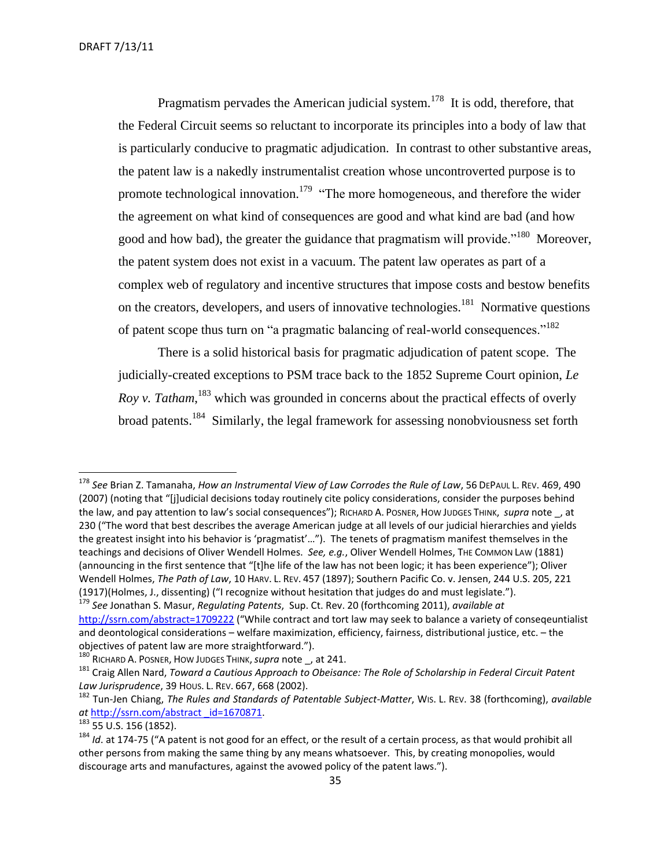Pragmatism pervades the American judicial system.<sup>178</sup> It is odd, therefore, that the Federal Circuit seems so reluctant to incorporate its principles into a body of law that is particularly conducive to pragmatic adjudication. In contrast to other substantive areas, the patent law is a nakedly instrumentalist creation whose uncontroverted purpose is to promote technological innovation.<sup>179</sup> "The more homogeneous, and therefore the wider the agreement on what kind of consequences are good and what kind are bad (and how good and how bad), the greater the guidance that pragmatism will provide."<sup>180</sup> Moreover, the patent system does not exist in a vacuum. The patent law operates as part of a complex web of regulatory and incentive structures that impose costs and bestow benefits on the creators, developers, and users of innovative technologies.<sup>181</sup> Normative questions of patent scope thus turn on "a pragmatic balancing of real-world consequences."<sup>182</sup>

There is a solid historical basis for pragmatic adjudication of patent scope. The judicially-created exceptions to PSM trace back to the 1852 Supreme Court opinion, *Le Roy v. Tatham*, <sup>183</sup> which was grounded in concerns about the practical effects of overly broad patents.<sup>184</sup> Similarly, the legal framework for assessing nonobviousness set forth

<sup>178</sup> *See* Brian Z. Tamanaha, *How an Instrumental View of Law Corrodes the Rule of Law*, 56 DEPAUL L. REV. 469, 490 (2007) (noting that "[j]udicial decisions today routinely cite policy considerations, consider the purposes behind the law, and pay attention to law's social consequences"); RICHARD A. POSNER, HOW JUDGES THINK, *supra* note \_, at 230 ("The word that best describes the average American judge at all levels of our judicial hierarchies and yields the greatest insight into his behavior is 'pragmatist'…"). The tenets of pragmatism manifest themselves in the teachings and decisions of Oliver Wendell Holmes. *See, e.g.*, Oliver Wendell Holmes, THE COMMON LAW (1881) (announcing in the first sentence that "[t]he life of the law has not been logic; it has been experience"); Oliver Wendell Holmes, *The Path of Law*, 10 HARV. L. REV. 457 (1897); Southern Pacific Co. v. Jensen, 244 U.S. 205, 221 (1917)(Holmes, J., dissenting) ("I recognize without hesitation that judges do and must legislate.").

<sup>179</sup> *See* Jonathan S. Masur, *Regulating Patents*, Sup. Ct. Rev. 20 (forthcoming 2011), *available at* <http://ssrn.com/abstract=1709222> ("While contract and tort law may seek to balance a variety of conseqeuntialist and deontological considerations – welfare maximization, efficiency, fairness, distributional justice, etc. – the objectives of patent law are more straightforward.").

<sup>180</sup> RICHARD A. POSNER, HOW JUDGES THINK, *supra* note , at 241.

<sup>181</sup> Craig Allen Nard, *Toward a Cautious Approach to Obeisance: The Role of Scholarship in Federal Circuit Patent Law Jurisprudence*, 39 HOUS. L. REV. 667, 668 (2002).

<sup>182</sup> Tun-Jen Chiang, *The Rules and Standards of Patentable Subject-Matter*, WIS. L. REV. 38 (forthcoming), *available at* [http://ssrn.com/abstract \\_id=1670871.](http://ssrn.com/abstract%20_id=1670871)

 $183$  55 U.S. 156 (1852).

<sup>&</sup>lt;sup>184</sup> *Id*. at 174-75 ("A patent is not good for an effect, or the result of a certain process, as that would prohibit all other persons from making the same thing by any means whatsoever. This, by creating monopolies, would discourage arts and manufactures, against the avowed policy of the patent laws.").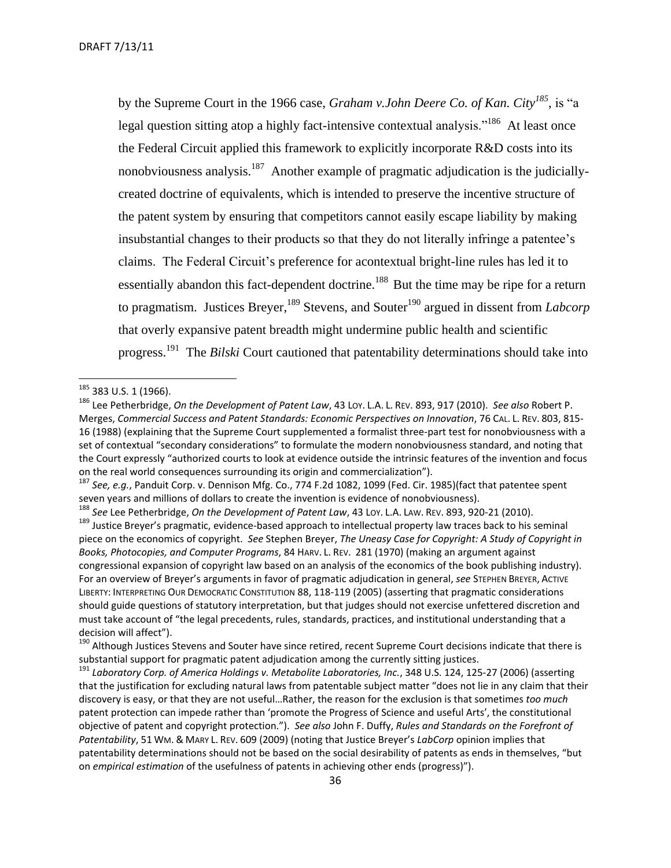by the Supreme Court in the 1966 case, *Graham v.John Deere Co. of Kan. City<sup>185</sup>* , is "a legal question sitting atop a highly fact-intensive contextual analysis."<sup>186</sup> At least once the Federal Circuit applied this framework to explicitly incorporate R&D costs into its nonobviousness analysis.<sup>187</sup> Another example of pragmatic adjudication is the judiciallycreated doctrine of equivalents, which is intended to preserve the incentive structure of the patent system by ensuring that competitors cannot easily escape liability by making insubstantial changes to their products so that they do not literally infringe a patentee's claims. The Federal Circuit's preference for acontextual bright-line rules has led it to essentially abandon this fact-dependent doctrine.<sup>188</sup> But the time may be ripe for a return to pragmatism. Justices Breyer,<sup>189</sup> Stevens, and Souter<sup>190</sup> argued in dissent from *Labcorp* that overly expansive patent breadth might undermine public health and scientific progress.<sup>191</sup> The *Bilski* Court cautioned that patentability determinations should take into

 $185$  383 U.S. 1 (1966).

<sup>186</sup> Lee Petherbridge, *On the Development of Patent Law*, 43 LOY. L.A. L. REV. 893, 917 (2010). *See also* Robert P. Merges, *Commercial Success and Patent Standards: Economic Perspectives on Innovation*, 76 CAL. L. REV. 803, 815- 16 (1988) (explaining that the Supreme Court supplemented a formalist three-part test for nonobviousness with a set of contextual "secondary considerations" to formulate the modern nonobviousness standard, and noting that the Court expressly "authorized courts to look at evidence outside the intrinsic features of the invention and focus on the real world consequences surrounding its origin and commercialization").

<sup>187</sup> *See, e.g.*, Panduit Corp. v. Dennison Mfg. Co., 774 F.2d 1082, 1099 (Fed. Cir. 1985)(fact that patentee spent seven years and millions of dollars to create the invention is evidence of nonobviousness).

<sup>188</sup> *See* Lee Petherbridge, *On the Development of Patent Law*, 43 LOY. L.A. LAW. REV. 893, 920-21 (2010).

<sup>&</sup>lt;sup>189</sup> Justice Breyer's pragmatic, evidence-based approach to intellectual property law traces back to his seminal piece on the economics of copyright. *See* Stephen Breyer, *The Uneasy Case for Copyright: A Study of Copyright in Books, Photocopies, and Computer Programs*, 84 HARV. L. REV. 281 (1970) (making an argument against congressional expansion of copyright law based on an analysis of the economics of the book publishing industry). For an overview of Breyer's arguments in favor of pragmatic adjudication in general, *see* STEPHEN BREYER, ACTIVE LIBERTY: INTERPRETING OUR DEMOCRATIC CONSTITUTION 88, 118-119 (2005) (asserting that pragmatic considerations should guide questions of statutory interpretation, but that judges should not exercise unfettered discretion and must take account of "the legal precedents, rules, standards, practices, and institutional understanding that a decision will affect").

<sup>&</sup>lt;sup>190</sup> Although Justices Stevens and Souter have since retired, recent Supreme Court decisions indicate that there is substantial support for pragmatic patent adjudication among the currently sitting justices.

<sup>191</sup> *Laboratory Corp. of America Holdings v. Metabolite Laboratories, Inc.*, 348 U.S. 124, 125-27 (2006) (asserting that the justification for excluding natural laws from patentable subject matter "does not lie in any claim that their discovery is easy, or that they are not useful…Rather, the reason for the exclusion is that sometimes *too much* patent protection can impede rather than 'promote the Progress of Science and useful Arts', the constitutional objective of patent and copyright protection."). *See also* John F. Duffy, *Rules and Standards on the Forefront of Patentability*, 51 WM. & MARY L. REV. 609 (2009) (noting that Justice Breyer's *LabCorp* opinion implies that patentability determinations should not be based on the social desirability of patents as ends in themselves, "but on *empirical estimation* of the usefulness of patents in achieving other ends (progress)").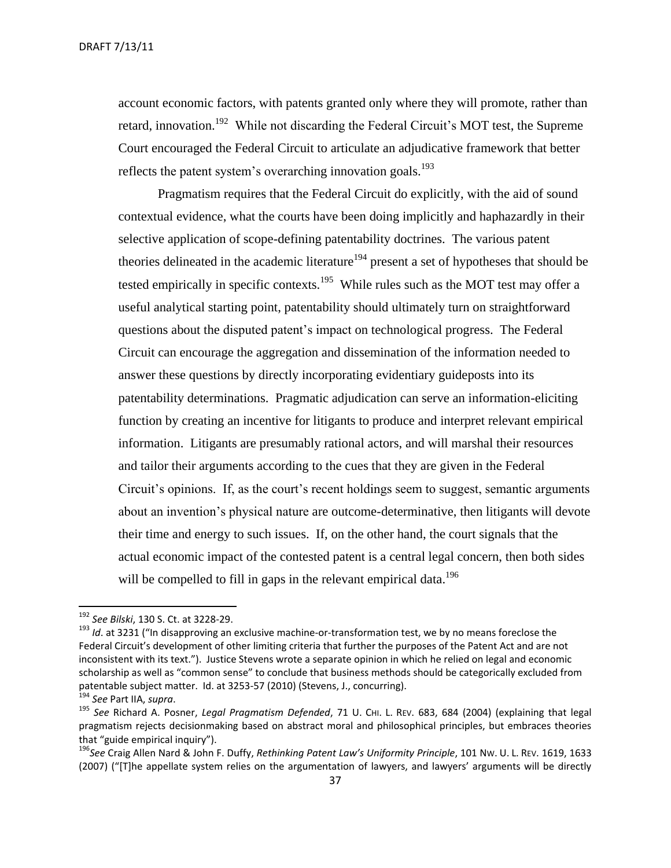account economic factors, with patents granted only where they will promote, rather than retard, innovation.<sup>192</sup> While not discarding the Federal Circuit's MOT test, the Supreme Court encouraged the Federal Circuit to articulate an adjudicative framework that better reflects the patent system's overarching innovation goals.<sup>193</sup>

Pragmatism requires that the Federal Circuit do explicitly, with the aid of sound contextual evidence, what the courts have been doing implicitly and haphazardly in their selective application of scope-defining patentability doctrines. The various patent theories delineated in the academic literature<sup>194</sup> present a set of hypotheses that should be tested empirically in specific contexts.<sup>195</sup> While rules such as the MOT test may offer a useful analytical starting point, patentability should ultimately turn on straightforward questions about the disputed patent's impact on technological progress. The Federal Circuit can encourage the aggregation and dissemination of the information needed to answer these questions by directly incorporating evidentiary guideposts into its patentability determinations. Pragmatic adjudication can serve an information-eliciting function by creating an incentive for litigants to produce and interpret relevant empirical information. Litigants are presumably rational actors, and will marshal their resources and tailor their arguments according to the cues that they are given in the Federal Circuit's opinions. If, as the court's recent holdings seem to suggest, semantic arguments about an invention's physical nature are outcome-determinative, then litigants will devote their time and energy to such issues. If, on the other hand, the court signals that the actual economic impact of the contested patent is a central legal concern, then both sides will be compelled to fill in gaps in the relevant empirical data.<sup>196</sup>

 $\overline{a}$ 

<sup>192</sup> *See Bilski*, 130 S. Ct. at 3228-29.

<sup>&</sup>lt;sup>193</sup> *Id.* at 3231 ("In disapproving an exclusive machine-or-transformation test, we by no means foreclose the Federal Circuit's development of other limiting criteria that further the purposes of the Patent Act and are not inconsistent with its text."). Justice Stevens wrote a separate opinion in which he relied on legal and economic scholarship as well as "common sense" to conclude that business methods should be categorically excluded from patentable subject matter. Id. at 3253-57 (2010) (Stevens, J., concurring).

<sup>194</sup> *See* Part IIA, *supra*.

<sup>195</sup> *See* Richard A. Posner, *Legal Pragmatism Defended*, 71 U. CHI. L. REV. 683, 684 (2004) (explaining that legal pragmatism rejects decisionmaking based on abstract moral and philosophical principles, but embraces theories that "guide empirical inquiry").

<sup>196</sup>*See* Craig Allen Nard & John F. Duffy, *Rethinking Patent Law's Uniformity Principle*, 101 NW. U. L. REV. 1619, 1633  $(2007)$  ("[T]he appellate system relies on the argumentation of lawyers, and lawyers' arguments will be directly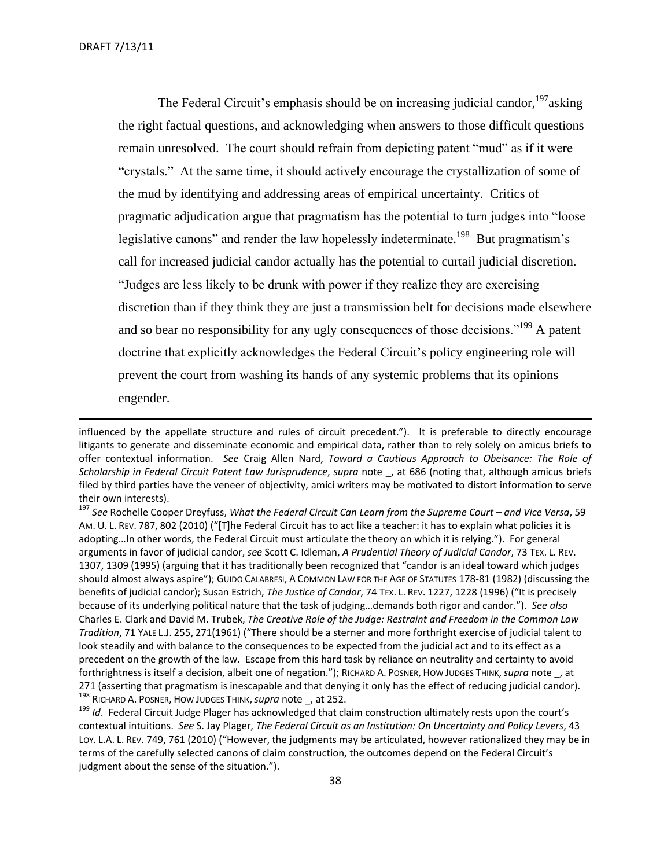The Federal Circuit's emphasis should be on increasing judicial candor,  $197$  asking the right factual questions, and acknowledging when answers to those difficult questions remain unresolved. The court should refrain from depicting patent "mud" as if it were "crystals." At the same time, it should actively encourage the crystallization of some of the mud by identifying and addressing areas of empirical uncertainty. Critics of pragmatic adjudication argue that pragmatism has the potential to turn judges into "loose legislative canons" and render the law hopelessly indeterminate.<sup>198</sup> But pragmatism's call for increased judicial candor actually has the potential to curtail judicial discretion. "Judges are less likely to be drunk with power if they realize they are exercising discretion than if they think they are just a transmission belt for decisions made elsewhere and so bear no responsibility for any ugly consequences of those decisions."<sup>199</sup> A patent doctrine that explicitly acknowledges the Federal Circuit's policy engineering role will prevent the court from washing its hands of any systemic problems that its opinions engender.

influenced by the appellate structure and rules of circuit precedent."). It is preferable to directly encourage litigants to generate and disseminate economic and empirical data, rather than to rely solely on amicus briefs to offer contextual information. *See* Craig Allen Nard, *Toward a Cautious Approach to Obeisance: The Role of Scholarship in Federal Circuit Patent Law Jurisprudence*, *supra* note \_, at 686 (noting that, although amicus briefs filed by third parties have the veneer of objectivity, amici writers may be motivated to distort information to serve their own interests).

<sup>197</sup> See Rochelle Cooper Dreyfuss, What the Federal Circuit Can Learn from the Supreme Court – and Vice Versa, 59 AM. U. L. REV. 787, 802 (2010) ("[T]he Federal Circuit has to act like a teacher: it has to explain what policies it is adopting…In other words, the Federal Circuit must articulate the theory on which it is relying."). For general arguments in favor of judicial candor, *see* Scott C. Idleman, *A Prudential Theory of Judicial Candor*, 73 TEX. L. REV. 1307, 1309 (1995) (arguing that it has traditionally been recognized that "candor is an ideal toward which judges should almost always aspire"); GUIDO CALABRESI, A COMMON LAW FOR THE AGE OF STATUTES 178-81 (1982) (discussing the benefits of judicial candor); Susan Estrich, *The Justice of Candor*, 74 TEX. L. REV. 1227, 1228 (1996) ("It is precisely because of its underlying political nature that the task of judging…demands both rigor and candor."). *See also* Charles E. Clark and David M. Trubek, *The Creative Role of the Judge: Restraint and Freedom in the Common Law Tradition*, 71 YALE L.J. 255, 271(1961) ("There should be a sterner and more forthright exercise of judicial talent to look steadily and with balance to the consequences to be expected from the judicial act and to its effect as a precedent on the growth of the law. Escape from this hard task by reliance on neutrality and certainty to avoid forthrightness is itself a decision, albeit one of negation."); RICHARD A. POSNER, HOW JUDGES THINK,*supra* note \_, at 271 (asserting that pragmatism is inescapable and that denying it only has the effect of reducing judicial candor). <sup>198</sup> RICHARD A. POSNER, HOW JUDGES THINK,*supra* note \_, at 252.

<sup>199</sup> *Id*. Federal Circuit Judge Plager has acknowledged that claim construction ultimately rests upon the court's contextual intuitions. *See* S. Jay Plager, *The Federal Circuit as an Institution: On Uncertainty and Policy Levers*, 43 LOY. L.A. L. REV. 749, 761 (2010) ("However, the judgments may be articulated, however rationalized they may be in terms of the carefully selected canons of claim construction, the outcomes depend on the Federal Circuit's judgment about the sense of the situation.").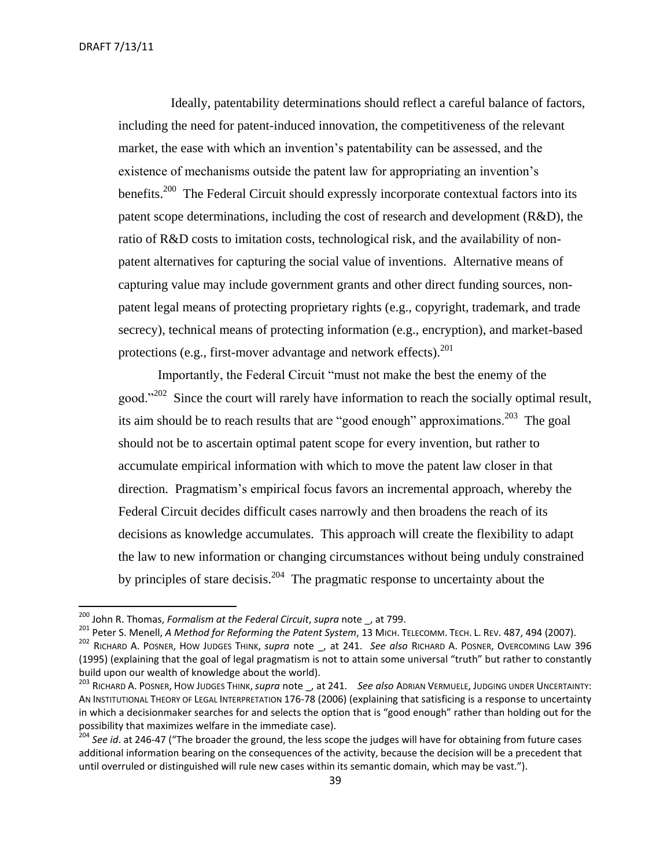$\overline{a}$ 

 Ideally, patentability determinations should reflect a careful balance of factors, including the need for patent-induced innovation, the competitiveness of the relevant market, the ease with which an invention's patentability can be assessed, and the existence of mechanisms outside the patent law for appropriating an invention's benefits.<sup>200</sup> The Federal Circuit should expressly incorporate contextual factors into its patent scope determinations, including the cost of research and development (R&D), the ratio of R&D costs to imitation costs, technological risk, and the availability of nonpatent alternatives for capturing the social value of inventions. Alternative means of capturing value may include government grants and other direct funding sources, nonpatent legal means of protecting proprietary rights (e.g., copyright, trademark, and trade secrecy), technical means of protecting information (e.g., encryption), and market-based protections (e.g., first-mover advantage and network effects). $^{201}$ 

Importantly, the Federal Circuit "must not make the best the enemy of the good."<sup>202</sup> Since the court will rarely have information to reach the socially optimal result, its aim should be to reach results that are "good enough" approximations.<sup>203</sup> The goal should not be to ascertain optimal patent scope for every invention, but rather to accumulate empirical information with which to move the patent law closer in that direction. Pragmatism's empirical focus favors an incremental approach, whereby the Federal Circuit decides difficult cases narrowly and then broadens the reach of its decisions as knowledge accumulates. This approach will create the flexibility to adapt the law to new information or changing circumstances without being unduly constrained by principles of stare decisis.<sup>204</sup> The pragmatic response to uncertainty about the

<sup>201</sup> Peter S. Menell, *A Method for Reforming the Patent System*, 13 MICH. TELECOMM. TECH. L. REV. 487, 494 (2007).

<sup>200</sup> John R. Thomas, *Formalism at the Federal Circuit*, *supra* note \_, at 799.

<sup>202</sup> RICHARD A. POSNER, HOW JUDGES THINK, *supra* note \_, at 241. *See also* RICHARD A. POSNER, OVERCOMING LAW 396 (1995) (explaining that the goal of legal pragmatism is not to attain some universal "truth" but rather to constantly build upon our wealth of knowledge about the world).

<sup>203</sup> RICHARD A. POSNER, HOW JUDGES THINK,*supra* note \_, at 241. *See also* ADRIAN VERMUELE, JUDGING UNDER UNCERTAINTY: AN INSTITUTIONAL THEORY OF LEGAL INTERPRETATION 176-78 (2006) (explaining that satisficing is a response to uncertainty in which a decisionmaker searches for and selects the option that is "good enough" rather than holding out for the possibility that maximizes welfare in the immediate case).

<sup>204</sup> *See id*. at 246-47 ("The broader the ground, the less scope the judges will have for obtaining from future cases additional information bearing on the consequences of the activity, because the decision will be a precedent that until overruled or distinguished will rule new cases within its semantic domain, which may be vast.").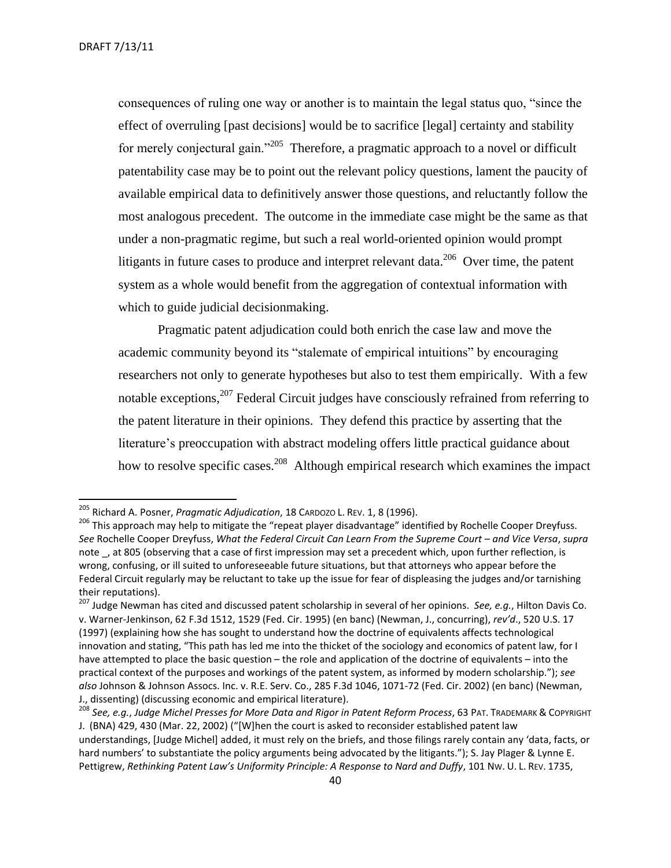consequences of ruling one way or another is to maintain the legal status quo, "since the effect of overruling [past decisions] would be to sacrifice [legal] certainty and stability for merely conjectural gain."<sup>205</sup> Therefore, a pragmatic approach to a novel or difficult patentability case may be to point out the relevant policy questions, lament the paucity of available empirical data to definitively answer those questions, and reluctantly follow the most analogous precedent. The outcome in the immediate case might be the same as that under a non-pragmatic regime, but such a real world-oriented opinion would prompt litigants in future cases to produce and interpret relevant data.<sup>206</sup> Over time, the patent system as a whole would benefit from the aggregation of contextual information with which to guide judicial decisionmaking.

Pragmatic patent adjudication could both enrich the case law and move the academic community beyond its "stalemate of empirical intuitions" by encouraging researchers not only to generate hypotheses but also to test them empirically. With a few notable exceptions, <sup>207</sup> Federal Circuit judges have consciously refrained from referring to the patent literature in their opinions. They defend this practice by asserting that the literature's preoccupation with abstract modeling offers little practical guidance about how to resolve specific cases.<sup>208</sup> Although empirical research which examines the impact

<sup>205</sup> Richard A. Posner, *Pragmatic Adjudication*, 18 CARDOZO L. REV. 1, 8 (1996).

<sup>&</sup>lt;sup>206</sup> This approach may help to mitigate the "repeat player disadvantage" identified by Rochelle Cooper Dreyfuss. *See* Rochelle Cooper Dreyfuss, *What the Federal Circuit Can Learn From the Supreme Court – and Vice Versa*, *supra* note , at 805 (observing that a case of first impression may set a precedent which, upon further reflection, is wrong, confusing, or ill suited to unforeseeable future situations, but that attorneys who appear before the Federal Circuit regularly may be reluctant to take up the issue for fear of displeasing the judges and/or tarnishing their reputations).

<sup>207</sup> Judge Newman has cited and discussed patent scholarship in several of her opinions. *See, e.g.*, Hilton Davis Co. v. Warner-Jenkinson, 62 F.3d 1512, 1529 (Fed. Cir. 1995) (en banc) (Newman, J., concurring), *rev'd*., 520 U.S. 17 (1997) (explaining how she has sought to understand how the doctrine of equivalents affects technological innovation and stating, "This path has led me into the thicket of the sociology and economics of patent law, for I have attempted to place the basic question – the role and application of the doctrine of equivalents – into the practical context of the purposes and workings of the patent system, as informed by modern scholarship."); *see also* Johnson & Johnson Assocs. Inc. v. R.E. Serv. Co., 285 F.3d 1046, 1071-72 (Fed. Cir. 2002) (en banc) (Newman, J., dissenting) (discussing economic and empirical literature).

<sup>208</sup> *See, e.g.*, *Judge Michel Presses for More Data and Rigor in Patent Reform Process*, 63 PAT. TRADEMARK & COPYRIGHT J. (BNA) 429, 430 (Mar. 22, 2002) ("[W]hen the court is asked to reconsider established patent law understandings, [Judge Michel] added, it must rely on the briefs, and those filings rarely contain any 'data, facts, or hard numbers' to substantiate the policy arguments being advocated by the litigants."); S. Jay Plager & Lynne E. Pettigrew, *Rethinking Patent Law's Uniformity Principle: A Response to Nard and Duffy*, 101 Nw. U. L. REV. 1735,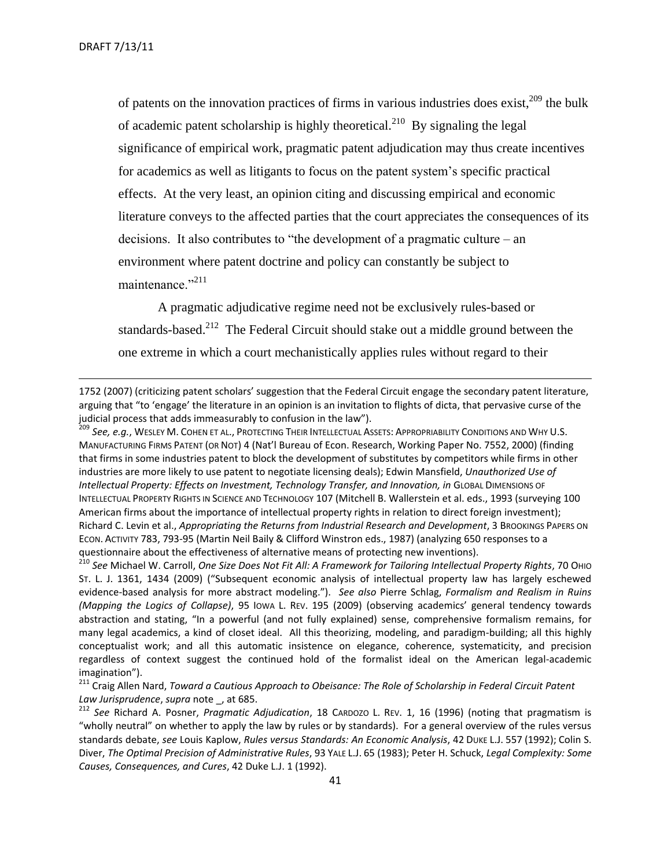of patents on the innovation practices of firms in various industries does exist,<sup>209</sup> the bulk of academic patent scholarship is highly theoretical.<sup>210</sup> By signaling the legal significance of empirical work, pragmatic patent adjudication may thus create incentives for academics as well as litigants to focus on the patent system's specific practical effects. At the very least, an opinion citing and discussing empirical and economic literature conveys to the affected parties that the court appreciates the consequences of its decisions. It also contributes to "the development of a pragmatic culture – an environment where patent doctrine and policy can constantly be subject to maintenance."<sup>211</sup>

A pragmatic adjudicative regime need not be exclusively rules-based or standards-based. $2^{12}$  The Federal Circuit should stake out a middle ground between the one extreme in which a court mechanistically applies rules without regard to their

1752 (2007) (criticizing patent scholars' suggestion that the Federal Circuit engage the secondary patent literature, arguing that "to 'engage' the literature in an opinion is an invitation to flights of dicta, that pervasive curse of the judicial process that adds immeasurably to confusion in the law").

<sup>209</sup> *See, e.g.*, WESLEY M. COHEN ET AL., PROTECTING THEIR INTELLECTUAL ASSETS: APPROPRIABILITY CONDITIONS AND WHY U.S. MANUFACTURING FIRMS PATENT (OR NOT) 4 (Nat'l Bureau of Econ. Research, Working Paper No. 7552, 2000) (finding that firms in some industries patent to block the development of substitutes by competitors while firms in other industries are more likely to use patent to negotiate licensing deals); Edwin Mansfield, *Unauthorized Use of Intellectual Property: Effects on Investment, Technology Transfer, and Innovation, in* GLOBAL DIMENSIONS OF INTELLECTUAL PROPERTY RIGHTS IN SCIENCE AND TECHNOLOGY 107 (Mitchell B. Wallerstein et al. eds., 1993 (surveying 100 American firms about the importance of intellectual property rights in relation to direct foreign investment); Richard C. Levin et al., *Appropriating the Returns from Industrial Research and Development*, 3 BROOKINGS PAPERS ON ECON. ACTIVITY 783, 793-95 (Martin Neil Baily & Clifford Winstron eds., 1987) (analyzing 650 responses to a questionnaire about the effectiveness of alternative means of protecting new inventions).

<sup>210</sup> See Michael W. Carroll, *One Size Does Not Fit All: A Framework for Tailoring Intellectual Property Rights, 70 Он*о ST. L. J. 1361, 1434 (2009) ("Subsequent economic analysis of intellectual property law has largely eschewed evidence-based analysis for more abstract modeling."). *See also* Pierre Schlag, *Formalism and Realism in Ruins (Mapping the Logics of Collapse)*, 95 IOWA L. REV. 195 (2009) (observing academics' general tendency towards abstraction and stating, "In a powerful (and not fully explained) sense, comprehensive formalism remains, for many legal academics, a kind of closet ideal. All this theorizing, modeling, and paradigm-building; all this highly conceptualist work; and all this automatic insistence on elegance, coherence, systematicity, and precision regardless of context suggest the continued hold of the formalist ideal on the American legal-academic imagination").

<sup>211</sup> Craig Allen Nard, *Toward a Cautious Approach to Obeisance: The Role of Scholarship in Federal Circuit Patent Law Jurisprudence*, *supra* note \_, at 685.

<sup>212</sup> *See* Richard A. Posner, *Pragmatic Adjudication*, 18 CARDOZO L. REV. 1, 16 (1996) (noting that pragmatism is "wholly neutral" on whether to apply the law by rules or by standards). For a general overview of the rules versus standards debate, *see* Louis Kaplow, *Rules versus Standards: An Economic Analysis*, 42 DUKE L.J. 557 (1992); Colin S. Diver, *The Optimal Precision of Administrative Rules*, 93 YALE L.J. 65 (1983); Peter H. Schuck, *Legal Complexity: Some Causes, Consequences, and Cures*, 42 Duke L.J. 1 (1992).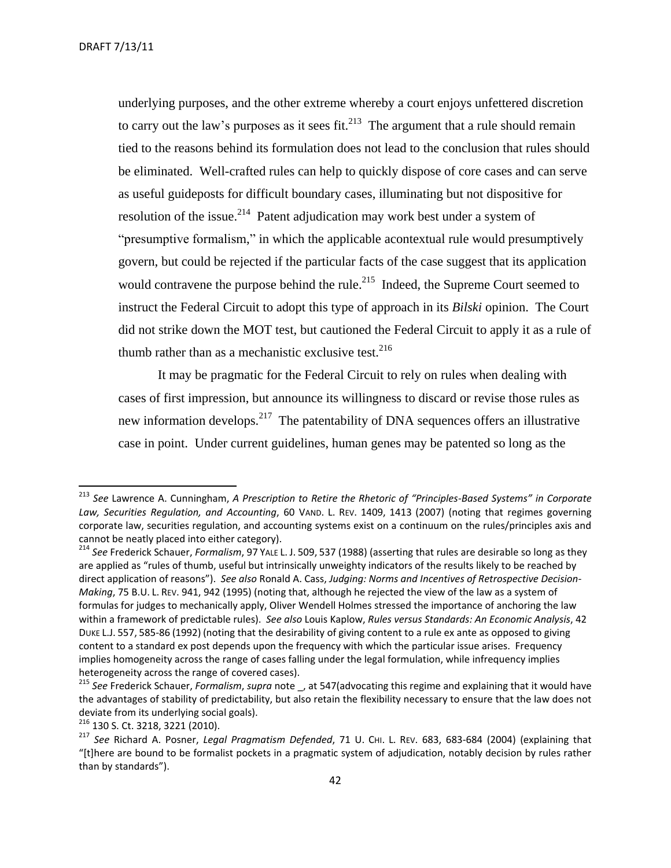underlying purposes, and the other extreme whereby a court enjoys unfettered discretion to carry out the law's purposes as it sees fit.<sup>213</sup> The argument that a rule should remain tied to the reasons behind its formulation does not lead to the conclusion that rules should be eliminated. Well-crafted rules can help to quickly dispose of core cases and can serve as useful guideposts for difficult boundary cases, illuminating but not dispositive for resolution of the issue.<sup>214</sup> Patent adjudication may work best under a system of "presumptive formalism," in which the applicable acontextual rule would presumptively govern, but could be rejected if the particular facts of the case suggest that its application would contravene the purpose behind the rule. $^{215}$  Indeed, the Supreme Court seemed to instruct the Federal Circuit to adopt this type of approach in its *Bilski* opinion. The Court did not strike down the MOT test, but cautioned the Federal Circuit to apply it as a rule of thumb rather than as a mechanistic exclusive test.  $216$ 

It may be pragmatic for the Federal Circuit to rely on rules when dealing with cases of first impression, but announce its willingness to discard or revise those rules as new information develops.<sup>217</sup> The patentability of DNA sequences offers an illustrative case in point. Under current guidelines, human genes may be patented so long as the

l

<sup>213</sup> *See* Lawrence A. Cunningham, *A Prescription to Retire the Rhetoric of "Principles-Based Systems" in Corporate Law, Securities Regulation, and Accounting*, 60 VAND. L. REV. 1409, 1413 (2007) (noting that regimes governing corporate law, securities regulation, and accounting systems exist on a continuum on the rules/principles axis and cannot be neatly placed into either category).

<sup>214</sup> *See* Frederick Schauer, *Formalism*, 97 YALE L. J. 509, 537 (1988) (asserting that rules are desirable so long as they are applied as "rules of thumb, useful but intrinsically unweighty indicators of the results likely to be reached by direct application of reasons"). *See also* Ronald A. Cass, *Judging: Norms and Incentives of Retrospective Decision-Making*, 75 B.U. L. REV. 941, 942 (1995) (noting that, although he rejected the view of the law as a system of formulas for judges to mechanically apply, Oliver Wendell Holmes stressed the importance of anchoring the law within a framework of predictable rules). *See also* Louis Kaplow, *Rules versus Standards: An Economic Analysis*, 42 DUKE L.J. 557, 585-86 (1992) (noting that the desirability of giving content to a rule ex ante as opposed to giving content to a standard ex post depends upon the frequency with which the particular issue arises. Frequency implies homogeneity across the range of cases falling under the legal formulation, while infrequency implies heterogeneity across the range of covered cases).

<sup>215</sup> *See* Frederick Schauer, *Formalism*, *supra* note \_, at 547(advocating this regime and explaining that it would have the advantages of stability of predictability, but also retain the flexibility necessary to ensure that the law does not deviate from its underlying social goals).

<sup>216</sup> 130 S. Ct. 3218, 3221 (2010).

<sup>217</sup> *See* Richard A. Posner, *Legal Pragmatism Defended*, 71 U. CHI. L. REV. 683, 683-684 (2004) (explaining that "[t]here are bound to be formalist pockets in a pragmatic system of adjudication, notably decision by rules rather than by standards").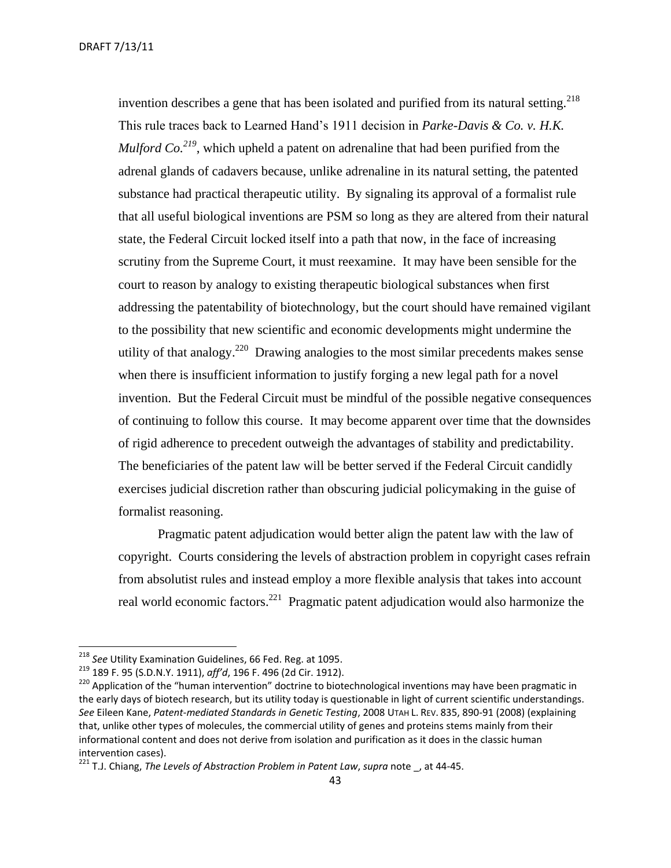invention describes a gene that has been isolated and purified from its natural setting.<sup>218</sup> This rule traces back to Learned Hand's 1911 decision in *Parke-Davis & Co. v. H.K. Mulford Co.*<sup>219</sup>, which upheld a patent on adrenaline that had been purified from the adrenal glands of cadavers because, unlike adrenaline in its natural setting, the patented substance had practical therapeutic utility. By signaling its approval of a formalist rule that all useful biological inventions are PSM so long as they are altered from their natural state, the Federal Circuit locked itself into a path that now, in the face of increasing scrutiny from the Supreme Court, it must reexamine. It may have been sensible for the court to reason by analogy to existing therapeutic biological substances when first addressing the patentability of biotechnology, but the court should have remained vigilant to the possibility that new scientific and economic developments might undermine the utility of that analogy.<sup>220</sup> Drawing analogies to the most similar precedents makes sense when there is insufficient information to justify forging a new legal path for a novel invention. But the Federal Circuit must be mindful of the possible negative consequences of continuing to follow this course. It may become apparent over time that the downsides of rigid adherence to precedent outweigh the advantages of stability and predictability. The beneficiaries of the patent law will be better served if the Federal Circuit candidly exercises judicial discretion rather than obscuring judicial policymaking in the guise of formalist reasoning.

Pragmatic patent adjudication would better align the patent law with the law of copyright. Courts considering the levels of abstraction problem in copyright cases refrain from absolutist rules and instead employ a more flexible analysis that takes into account real world economic factors.<sup>221</sup> Pragmatic patent adjudication would also harmonize the

<sup>218</sup> *See* Utility Examination Guidelines, 66 Fed. Reg. at 1095.

<sup>219</sup> 189 F. 95 (S.D.N.Y. 1911), *aff'd*, 196 F. 496 (2d Cir. 1912).

<sup>&</sup>lt;sup>220</sup> Application of the "human intervention" doctrine to biotechnological inventions may have been pragmatic in the early days of biotech research, but its utility today is questionable in light of current scientific understandings. *See* Eileen Kane, *Patent-mediated Standards in Genetic Testing*, 2008 UTAH L. REV. 835, 890-91 (2008) (explaining that, unlike other types of molecules, the commercial utility of genes and proteins stems mainly from their informational content and does not derive from isolation and purification as it does in the classic human intervention cases).

<sup>221</sup> T.J. Chiang, *The Levels of Abstraction Problem in Patent Law*, *supra* note \_, at 44-45.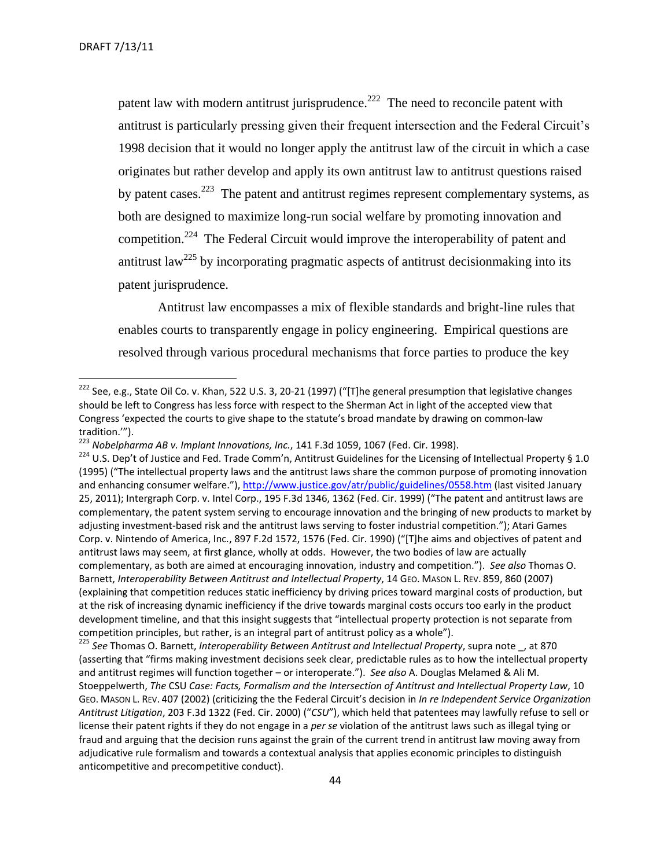patent law with modern antitrust jurisprudence. $222$  The need to reconcile patent with antitrust is particularly pressing given their frequent intersection and the Federal Circuit's 1998 decision that it would no longer apply the antitrust law of the circuit in which a case originates but rather develop and apply its own antitrust law to antitrust questions raised by patent cases.<sup>223</sup> The patent and antitrust regimes represent complementary systems, as both are designed to maximize long-run social welfare by promoting innovation and competition.<sup>224</sup> The Federal Circuit would improve the interoperability of patent and antitrust law<sup>225</sup> by incorporating pragmatic aspects of antitrust decisionmaking into its patent jurisprudence.

Antitrust law encompasses a mix of flexible standards and bright-line rules that enables courts to transparently engage in policy engineering. Empirical questions are resolved through various procedural mechanisms that force parties to produce the key

<sup>225</sup> *See* Thomas O. Barnett, *Interoperability Between Antitrust and Intellectual Property*, supra note \_, at 870 (asserting that "firms making investment decisions seek clear, predictable rules as to how the intellectual property and antitrust regimes will function together – or interoperate."). *See also* A. Douglas Melamed & Ali M. Stoeppelwerth, *The* CSU *Case: Facts, Formalism and the Intersection of Antitrust and Intellectual Property Law*, 10 GEO. MASON L. REV. 407 (2002) (criticizing the the Federal Circuit's decision in *In re Independent Service Organization Antitrust Litigation*, 203 F.3d 1322 (Fed. Cir. 2000) ("*CSU*"), which held that patentees may lawfully refuse to sell or license their patent rights if they do not engage in a *per se* violation of the antitrust laws such as illegal tying or fraud and arguing that the decision runs against the grain of the current trend in antitrust law moving away from adjudicative rule formalism and towards a contextual analysis that applies economic principles to distinguish anticompetitive and precompetitive conduct).

<sup>&</sup>lt;sup>222</sup> See, e.g., State Oil Co. v. Khan, 522 U.S. 3, 20-21 (1997) ("[T]he general presumption that legislative changes should be left to Congress has less force with respect to the Sherman Act in light of the accepted view that Congress 'expected the courts to give shape to the statute's broad mandate by drawing on common-law tradition.'").

<sup>223</sup> *Nobelpharma AB v. Implant Innovations, Inc.*, 141 F.3d 1059, 1067 (Fed. Cir. 1998).

 $224$  U.S. Dep't of Justice and Fed. Trade Comm'n, Antitrust Guidelines for the Licensing of Intellectual Property § 1.0 (1995) ("The intellectual property laws and the antitrust laws share the common purpose of promoting innovation and enhancing consumer welfare."), <http://www.justice.gov/atr/public/guidelines/0558.htm> (last visited January 25, 2011); Intergraph Corp. v. Intel Corp., 195 F.3d 1346, 1362 (Fed. Cir. 1999) ("The patent and antitrust laws are complementary, the patent system serving to encourage innovation and the bringing of new products to market by adjusting investment-based risk and the antitrust laws serving to foster industrial competition."); Atari Games Corp. v. Nintendo of America, Inc., 897 F.2d 1572, 1576 (Fed. Cir. 1990) ("[T]he aims and objectives of patent and antitrust laws may seem, at first glance, wholly at odds. However, the two bodies of law are actually complementary, as both are aimed at encouraging innovation, industry and competition."). *See also* Thomas O. Barnett, *Interoperability Between Antitrust and Intellectual Property*, 14 GEO. MASON L. REV. 859, 860 (2007) (explaining that competition reduces static inefficiency by driving prices toward marginal costs of production, but at the risk of increasing dynamic inefficiency if the drive towards marginal costs occurs too early in the product development timeline, and that this insight suggests that "intellectual property protection is not separate from competition principles, but rather, is an integral part of antitrust policy as a whole").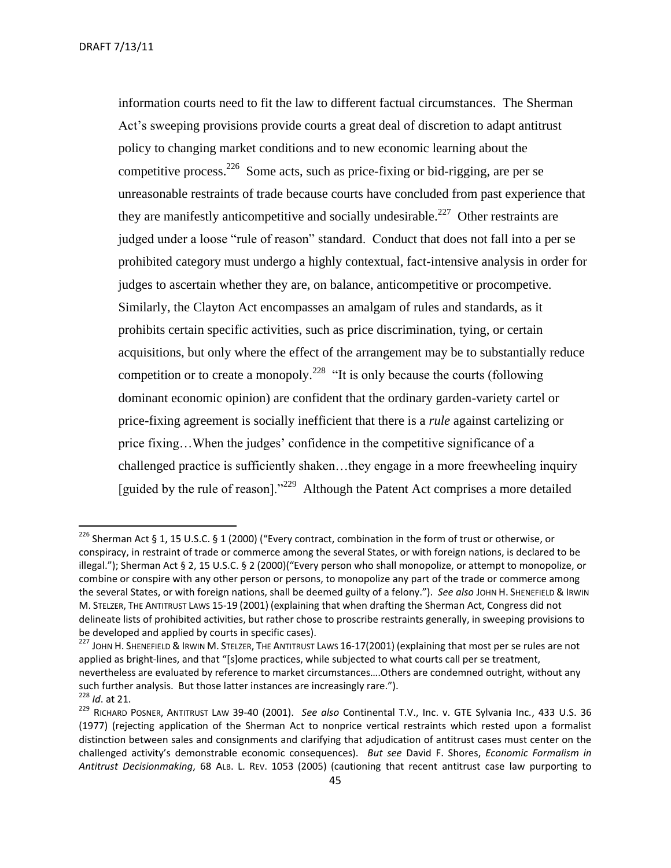DRAFT 7/13/11

information courts need to fit the law to different factual circumstances. The Sherman Act's sweeping provisions provide courts a great deal of discretion to adapt antitrust policy to changing market conditions and to new economic learning about the competitive process.<sup>226</sup> Some acts, such as price-fixing or bid-rigging, are per se unreasonable restraints of trade because courts have concluded from past experience that they are manifestly anticompetitive and socially undesirable.<sup>227</sup> Other restraints are judged under a loose "rule of reason" standard. Conduct that does not fall into a per se prohibited category must undergo a highly contextual, fact-intensive analysis in order for judges to ascertain whether they are, on balance, anticompetitive or procompetive. Similarly, the Clayton Act encompasses an amalgam of rules and standards, as it prohibits certain specific activities, such as price discrimination, tying, or certain acquisitions, but only where the effect of the arrangement may be to substantially reduce competition or to create a monopoly.<sup>228</sup> "It is only because the courts (following dominant economic opinion) are confident that the ordinary garden-variety cartel or price-fixing agreement is socially inefficient that there is a *rule* against cartelizing or price fixing…When the judges' confidence in the competitive significance of a challenged practice is sufficiently shaken…they engage in a more freewheeling inquiry [guided by the rule of reason]."<sup>229</sup> Although the Patent Act comprises a more detailed

<sup>227</sup> JOHN H. SHENEFIELD & IRWIN M. STELZER, THE ANTITRUST LAWS 16-17(2001) (explaining that most per se rules are not applied as bright-lines, and that "[s]ome practices, while subjected to what courts call per se treatment, nevertheless are evaluated by reference to market circumstances….Others are condemned outright, without any such further analysis. But those latter instances are increasingly rare.").

<sup>&</sup>lt;sup>226</sup> Sherman Act § 1, 15 U.S.C. § 1 (2000) ("Every contract, combination in the form of trust or otherwise, or conspiracy, in restraint of trade or commerce among the several States, or with foreign nations, is declared to be illegal."); Sherman Act § 2, 15 U.S.C. § 2 (2000)("Every person who shall monopolize, or attempt to monopolize, or combine or conspire with any other person or persons, to monopolize any part of the trade or commerce among the several States, or with foreign nations, shall be deemed guilty of a felony."). *See also* JOHN H. SHENEFIELD & IRWIN M. STELZER, THE ANTITRUST LAWS 15-19 (2001) (explaining that when drafting the Sherman Act, Congress did not delineate lists of prohibited activities, but rather chose to proscribe restraints generally, in sweeping provisions to be developed and applied by courts in specific cases).

<sup>228</sup> *Id*. at 21.

<sup>229</sup> RICHARD POSNER, ANTITRUST LAW 39-40 (2001). *See also* Continental T.V., Inc. v. GTE Sylvania Inc*.*, 433 U.S. 36 (1977) (rejecting application of the Sherman Act to nonprice vertical restraints which rested upon a formalist distinction between sales and consignments and clarifying that adjudication of antitrust cases must center on the challenged activity's demonstrable economic consequences). *But see* David F. Shores, *Economic Formalism in Antitrust Decisionmaking*, 68 ALB. L. REV. 1053 (2005) (cautioning that recent antitrust case law purporting to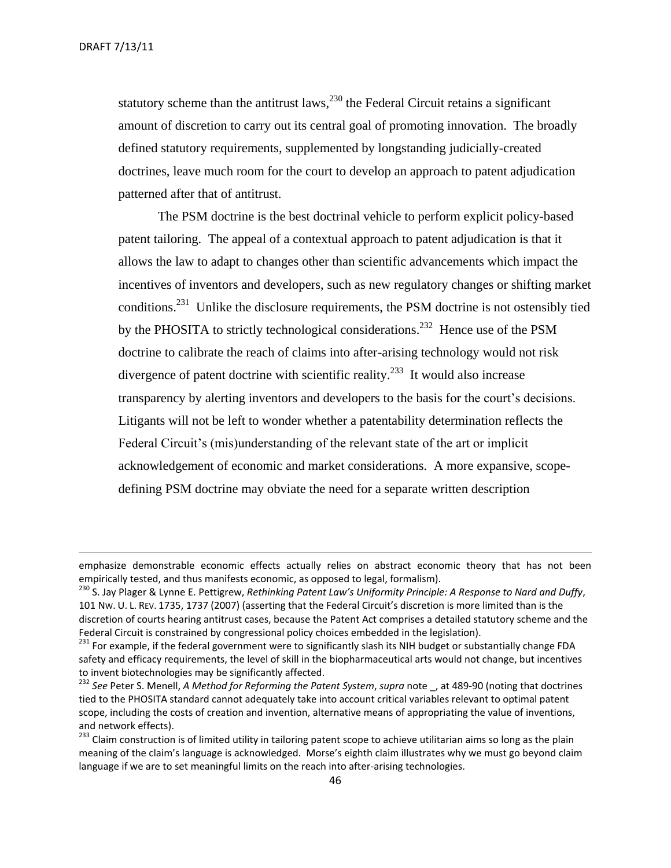statutory scheme than the antitrust laws,  $^{230}$  the Federal Circuit retains a significant amount of discretion to carry out its central goal of promoting innovation. The broadly defined statutory requirements, supplemented by longstanding judicially-created doctrines, leave much room for the court to develop an approach to patent adjudication patterned after that of antitrust.

The PSM doctrine is the best doctrinal vehicle to perform explicit policy-based patent tailoring. The appeal of a contextual approach to patent adjudication is that it allows the law to adapt to changes other than scientific advancements which impact the incentives of inventors and developers, such as new regulatory changes or shifting market conditions.<sup>231</sup> Unlike the disclosure requirements, the PSM doctrine is not ostensibly tied by the PHOSITA to strictly technological considerations.<sup>232</sup> Hence use of the PSM doctrine to calibrate the reach of claims into after-arising technology would not risk divergence of patent doctrine with scientific reality.<sup>233</sup> It would also increase transparency by alerting inventors and developers to the basis for the court's decisions. Litigants will not be left to wonder whether a patentability determination reflects the Federal Circuit's (mis)understanding of the relevant state of the art or implicit acknowledgement of economic and market considerations. A more expansive, scopedefining PSM doctrine may obviate the need for a separate written description

emphasize demonstrable economic effects actually relies on abstract economic theory that has not been empirically tested, and thus manifests economic, as opposed to legal, formalism).

<sup>230</sup> S. Jay Plager & Lynne E. Pettigrew, *Rethinking Patent Law's Uniformity Principle: A Response to Nard and Duffy*, 101 NW. U. L. REV. 1735, 1737 (2007) (asserting that the Federal Circuit's discretion is more limited than is the discretion of courts hearing antitrust cases, because the Patent Act comprises a detailed statutory scheme and the Federal Circuit is constrained by congressional policy choices embedded in the legislation).

<sup>&</sup>lt;sup>231</sup> For example, if the federal government were to significantly slash its NIH budget or substantially change FDA safety and efficacy requirements, the level of skill in the biopharmaceutical arts would not change, but incentives to invent biotechnologies may be significantly affected.

<sup>232</sup> *See* Peter S. Menell, *A Method for Reforming the Patent System*, *supra* note \_, at 489-90 (noting that doctrines tied to the PHOSITA standard cannot adequately take into account critical variables relevant to optimal patent scope, including the costs of creation and invention, alternative means of appropriating the value of inventions, and network effects).

<sup>&</sup>lt;sup>233</sup> Claim construction is of limited utility in tailoring patent scope to achieve utilitarian aims so long as the plain meaning of the claim's language is acknowledged. Morse's eighth claim illustrates why we must go beyond claim language if we are to set meaningful limits on the reach into after-arising technologies.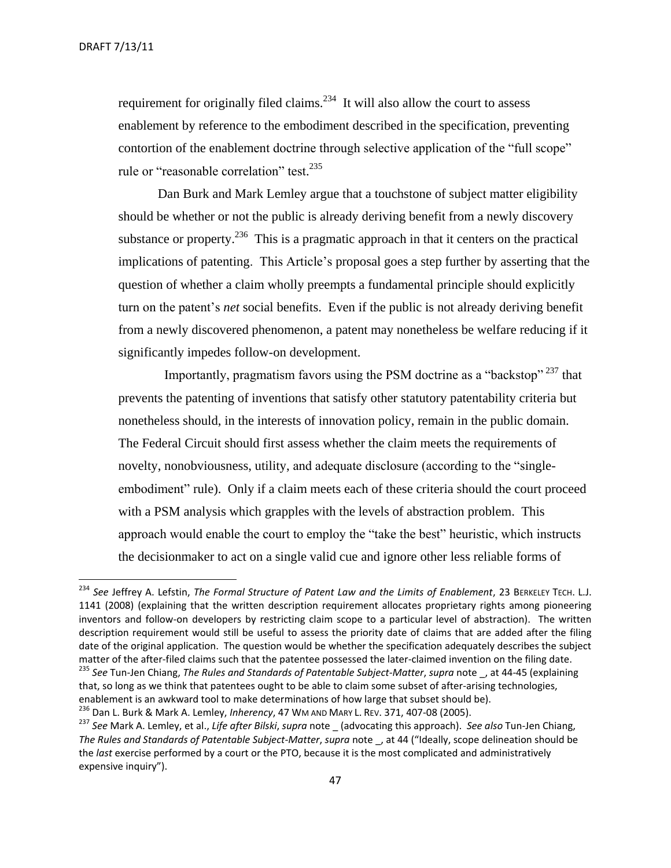$\overline{a}$ 

requirement for originally filed claims. $2^{34}$  It will also allow the court to assess enablement by reference to the embodiment described in the specification, preventing contortion of the enablement doctrine through selective application of the "full scope" rule or "reasonable correlation" test.<sup>235</sup>

Dan Burk and Mark Lemley argue that a touchstone of subject matter eligibility should be whether or not the public is already deriving benefit from a newly discovery substance or property.<sup>236</sup> This is a pragmatic approach in that it centers on the practical implications of patenting. This Article's proposal goes a step further by asserting that the question of whether a claim wholly preempts a fundamental principle should explicitly turn on the patent's *net* social benefits. Even if the public is not already deriving benefit from a newly discovered phenomenon, a patent may nonetheless be welfare reducing if it significantly impedes follow-on development.

Importantly, pragmatism favors using the PSM doctrine as a "backstop" <sup>237</sup> that prevents the patenting of inventions that satisfy other statutory patentability criteria but nonetheless should, in the interests of innovation policy, remain in the public domain. The Federal Circuit should first assess whether the claim meets the requirements of novelty, nonobviousness, utility, and adequate disclosure (according to the "singleembodiment" rule). Only if a claim meets each of these criteria should the court proceed with a PSM analysis which grapples with the levels of abstraction problem. This approach would enable the court to employ the "take the best" heuristic, which instructs the decisionmaker to act on a single valid cue and ignore other less reliable forms of

<sup>234</sup> *See* Jeffrey A. Lefstin, *The Formal Structure of Patent Law and the Limits of Enablement*, 23 BERKELEY TECH. L.J. 1141 (2008) (explaining that the written description requirement allocates proprietary rights among pioneering inventors and follow-on developers by restricting claim scope to a particular level of abstraction). The written description requirement would still be useful to assess the priority date of claims that are added after the filing date of the original application. The question would be whether the specification adequately describes the subject matter of the after-filed claims such that the patentee possessed the later-claimed invention on the filing date.

<sup>235</sup> *See* Tun-Jen Chiang, *The Rules and Standards of Patentable Subject-Matter*, *supra* note \_, at 44-45 (explaining that, so long as we think that patentees ought to be able to claim some subset of after-arising technologies, enablement is an awkward tool to make determinations of how large that subset should be). <sup>236</sup> Dan L. Burk & Mark A. Lemley, *Inherency*, 47 WM AND MARY L. REV. 371, 407-08 (2005).

<sup>237</sup> *See* Mark A. Lemley, et al., *Life after Bilski*, *supra* note \_ (advocating this approach). *See also* Tun-Jen Chiang, *The Rules and Standards of Patentable Subject-Matter*, *supra* note \_, at 44 ("Ideally, scope delineation should be the *last* exercise performed by a court or the PTO, because it is the most complicated and administratively expensive inquiry").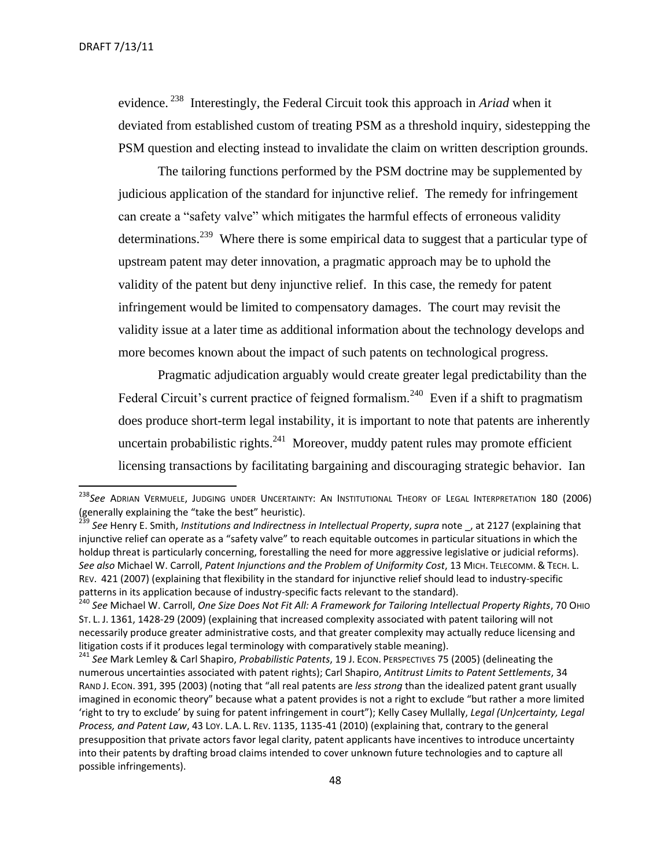l

evidence.<sup>238</sup> Interestingly, the Federal Circuit took this approach in *Ariad* when it deviated from established custom of treating PSM as a threshold inquiry, sidestepping the PSM question and electing instead to invalidate the claim on written description grounds.

The tailoring functions performed by the PSM doctrine may be supplemented by judicious application of the standard for injunctive relief. The remedy for infringement can create a "safety valve" which mitigates the harmful effects of erroneous validity determinations.<sup>239</sup> Where there is some empirical data to suggest that a particular type of upstream patent may deter innovation, a pragmatic approach may be to uphold the validity of the patent but deny injunctive relief. In this case, the remedy for patent infringement would be limited to compensatory damages. The court may revisit the validity issue at a later time as additional information about the technology develops and more becomes known about the impact of such patents on technological progress.

Pragmatic adjudication arguably would create greater legal predictability than the Federal Circuit's current practice of feigned formalism.<sup>240</sup> Even if a shift to pragmatism does produce short-term legal instability, it is important to note that patents are inherently uncertain probabilistic rights. $^{241}$  Moreover, muddy patent rules may promote efficient licensing transactions by facilitating bargaining and discouraging strategic behavior. Ian

<sup>238</sup>*See* ADRIAN VERMUELE, JUDGING UNDER UNCERTAINTY: AN INSTITUTIONAL THEORY OF LEGAL INTERPRETATION 180 (2006) (generally explaining the "take the best" heuristic).

<sup>239</sup> *See* Henry E. Smith, *Institutions and Indirectness in Intellectual Property*, *supra* note \_, at 2127 (explaining that injunctive relief can operate as a "safety valve" to reach equitable outcomes in particular situations in which the holdup threat is particularly concerning, forestalling the need for more aggressive legislative or judicial reforms). *See also* Michael W. Carroll, *Patent Injunctions and the Problem of Uniformity Cost*, 13 MICH. TELECOMM. & TECH. L. REV. 421 (2007) (explaining that flexibility in the standard for injunctive relief should lead to industry-specific patterns in its application because of industry-specific facts relevant to the standard).

<sup>240</sup> *See* Michael W. Carroll, *One Size Does Not Fit All: A Framework for Tailoring Intellectual Property Rights*, 70 OHIO ST. L. J. 1361, 1428-29 (2009) (explaining that increased complexity associated with patent tailoring will not necessarily produce greater administrative costs, and that greater complexity may actually reduce licensing and litigation costs if it produces legal terminology with comparatively stable meaning).

<sup>241</sup> *See* Mark Lemley & Carl Shapiro, *Probabilistic Patents*, 19 J. ECON. PERSPECTIVES 75 (2005) (delineating the numerous uncertainties associated with patent rights); Carl Shapiro, *Antitrust Limits to Patent Settlements*, 34 RAND J. ECON. 391, 395 (2003) (noting that "all real patents are *less strong* than the idealized patent grant usually imagined in economic theory" because what a patent provides is not a right to exclude "but rather a more limited 'right to try to exclude' by suing for patent infringement in court"); Kelly Casey Mullally, *Legal (Un)certainty, Legal Process, and Patent Law*, 43 LOY. L.A. L. REV. 1135, 1135-41 (2010) (explaining that, contrary to the general presupposition that private actors favor legal clarity, patent applicants have incentives to introduce uncertainty into their patents by drafting broad claims intended to cover unknown future technologies and to capture all possible infringements).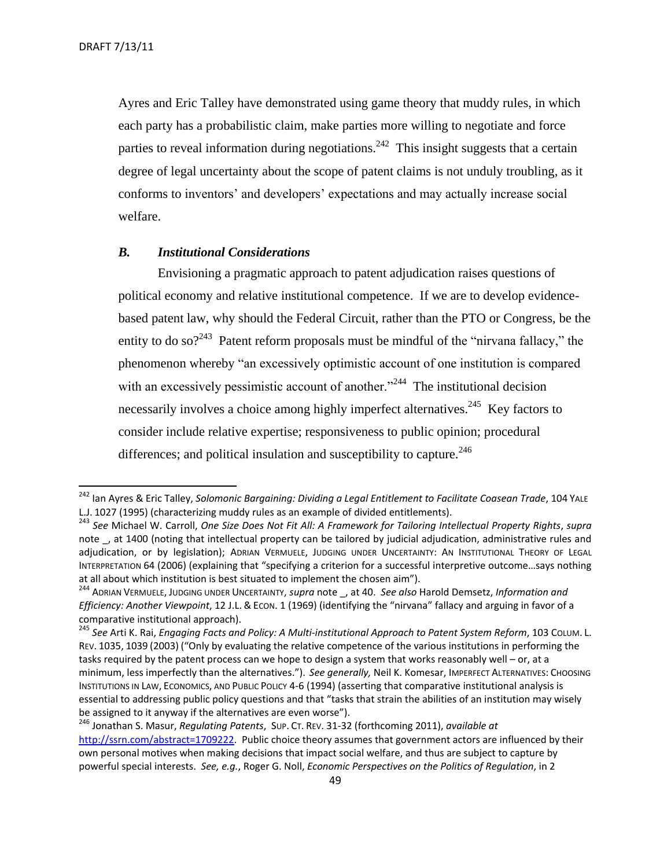l

Ayres and Eric Talley have demonstrated using game theory that muddy rules, in which each party has a probabilistic claim, make parties more willing to negotiate and force parties to reveal information during negotiations.<sup>242</sup> This insight suggests that a certain degree of legal uncertainty about the scope of patent claims is not unduly troubling, as it conforms to inventors' and developers' expectations and may actually increase social welfare.

#### <span id="page-48-0"></span>*B. Institutional Considerations*

Envisioning a pragmatic approach to patent adjudication raises questions of political economy and relative institutional competence. If we are to develop evidencebased patent law, why should the Federal Circuit, rather than the PTO or Congress, be the entity to do so?<sup>243</sup> Patent reform proposals must be mindful of the "nirvana fallacy," the phenomenon whereby "an excessively optimistic account of one institution is compared with an excessively pessimistic account of another. $1244$  The institutional decision necessarily involves a choice among highly imperfect alternatives.<sup>245</sup> Key factors to consider include relative expertise; responsiveness to public opinion; procedural differences; and political insulation and susceptibility to capture.<sup>246</sup>

<sup>&</sup>lt;sup>242</sup> Ian Ayres & Eric Talley, *Solomonic Bargaining: Dividing a Legal Entitlement to Facilitate Coasean Trade, 104 YALE* L.J. 1027 (1995) (characterizing muddy rules as an example of divided entitlements).

<sup>243</sup> *See* Michael W. Carroll, *One Size Does Not Fit All: A Framework for Tailoring Intellectual Property Rights*, *supra* note , at 1400 (noting that intellectual property can be tailored by judicial adjudication, administrative rules and adjudication, or by legislation); ADRIAN VERMUELE, JUDGING UNDER UNCERTAINTY: AN INSTITUTIONAL THEORY OF LEGAL INTERPRETATION 64 (2006) (explaining that "specifying a criterion for a successful interpretive outcome…says nothing at all about which institution is best situated to implement the chosen aim").

<sup>244</sup> ADRIAN VERMUELE, JUDGING UNDER UNCERTAINTY, *supra* note \_, at 40. *See also* Harold Demsetz, *Information and Efficiency: Another Viewpoint*, 12 J.L. & ECON. 1 (1969) (identifying the "nirvana" fallacy and arguing in favor of a comparative institutional approach).

<sup>245</sup> *See* Arti K. Rai, *Engaging Facts and Policy: A Multi-institutional Approach to Patent System Reform*, 103 COLUM. L. REV. 1035, 1039 (2003) ("Only by evaluating the relative competence of the various institutions in performing the tasks required by the patent process can we hope to design a system that works reasonably well – or, at a minimum, less imperfectly than the alternatives."). *See generally,* Neil K. Komesar, IMPERFECT ALTERNATIVES: CHOOSING INSTITUTIONS IN LAW, ECONOMICS, AND PUBLIC POLICY 4-6 (1994) (asserting that comparative institutional analysis is essential to addressing public policy questions and that "tasks that strain the abilities of an institution may wisely be assigned to it anyway if the alternatives are even worse").

<sup>246</sup> Jonathan S. Masur, *Regulating Patents*, SUP. CT. REV. 31-32 (forthcoming 2011), *available at* [http://ssrn.com/abstract=1709222.](http://ssrn.com/abstract=1709222) Public choice theory assumes that government actors are influenced by their own personal motives when making decisions that impact social welfare, and thus are subject to capture by powerful special interests. *See, e.g.*, Roger G. Noll, *Economic Perspectives on the Politics of Regulation*, in 2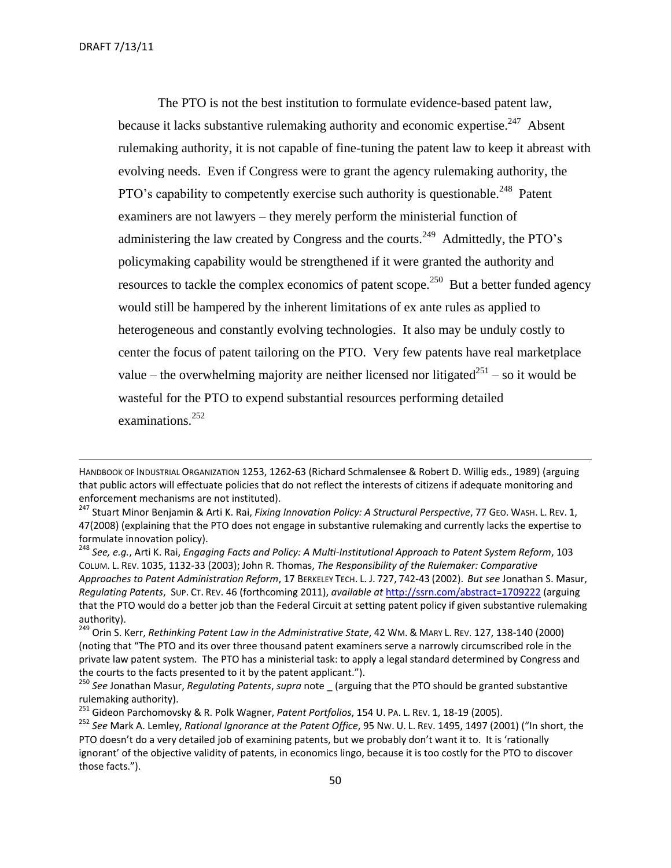$\overline{a}$ 

The PTO is not the best institution to formulate evidence-based patent law, because it lacks substantive rulemaking authority and economic expertise.<sup>247</sup> Absent rulemaking authority, it is not capable of fine-tuning the patent law to keep it abreast with evolving needs. Even if Congress were to grant the agency rulemaking authority, the PTO's capability to competently exercise such authority is questionable.<sup>248</sup> Patent examiners are not lawyers – they merely perform the ministerial function of administering the law created by Congress and the courts.<sup>249</sup> Admittedly, the PTO's policymaking capability would be strengthened if it were granted the authority and resources to tackle the complex economics of patent scope.<sup>250</sup> But a better funded agency would still be hampered by the inherent limitations of ex ante rules as applied to heterogeneous and constantly evolving technologies. It also may be unduly costly to center the focus of patent tailoring on the PTO. Very few patents have real marketplace value – the overwhelming majority are neither licensed nor litigated<sup>251</sup> – so it would be wasteful for the PTO to expend substantial resources performing detailed examinations.<sup>252</sup>

HANDBOOK OF INDUSTRIAL ORGANIZATION 1253, 1262-63 (Richard Schmalensee & Robert D. Willig eds., 1989) (arguing that public actors will effectuate policies that do not reflect the interests of citizens if adequate monitoring and enforcement mechanisms are not instituted).

<sup>247</sup> Stuart Minor Benjamin & Arti K. Rai, *Fixing Innovation Policy: A Structural Perspective*, 77 GEO. WASH. L. REV. 1, 47(2008) (explaining that the PTO does not engage in substantive rulemaking and currently lacks the expertise to formulate innovation policy).

<sup>248</sup> *See, e.g.*, Arti K. Rai, *Engaging Facts and Policy: A Multi-Institutional Approach to Patent System Reform*, 103 COLUM. L. REV. 1035, 1132-33 (2003); John R. Thomas, *The Responsibility of the Rulemaker: Comparative Approaches to Patent Administration Reform*, 17 BERKELEY TECH. L. J. 727, 742-43 (2002). *But see* Jonathan S. Masur, *Regulating Patents*, SUP. CT. REV. 46 (forthcoming 2011), *available at* <http://ssrn.com/abstract=1709222> (arguing that the PTO would do a better job than the Federal Circuit at setting patent policy if given substantive rulemaking authority).

<sup>249</sup> Orin S. Kerr, *Rethinking Patent Law in the Administrative State*, 42 WM. & MARY L. REV. 127, 138-140 (2000) (noting that "The PTO and its over three thousand patent examiners serve a narrowly circumscribed role in the private law patent system. The PTO has a ministerial task: to apply a legal standard determined by Congress and the courts to the facts presented to it by the patent applicant.").

<sup>250</sup> *See* Jonathan Masur, *Regulating Patents*, *supra* note \_ (arguing that the PTO should be granted substantive rulemaking authority).

<sup>251</sup> Gideon Parchomovsky & R. Polk Wagner, *Patent Portfolios*, 154 U. PA. L. REV. 1, 18-19 (2005).

<sup>252</sup> *See* Mark A. Lemley, *Rational Ignorance at the Patent Office*, 95 NW. U. L. REV. 1495, 1497 (2001) ("In short, the PTO doesn't do a very detailed job of examining patents, but we probably don't want it to. It is 'rationally ignorant' of the objective validity of patents, in economics lingo, because it is too costly for the PTO to discover those facts.").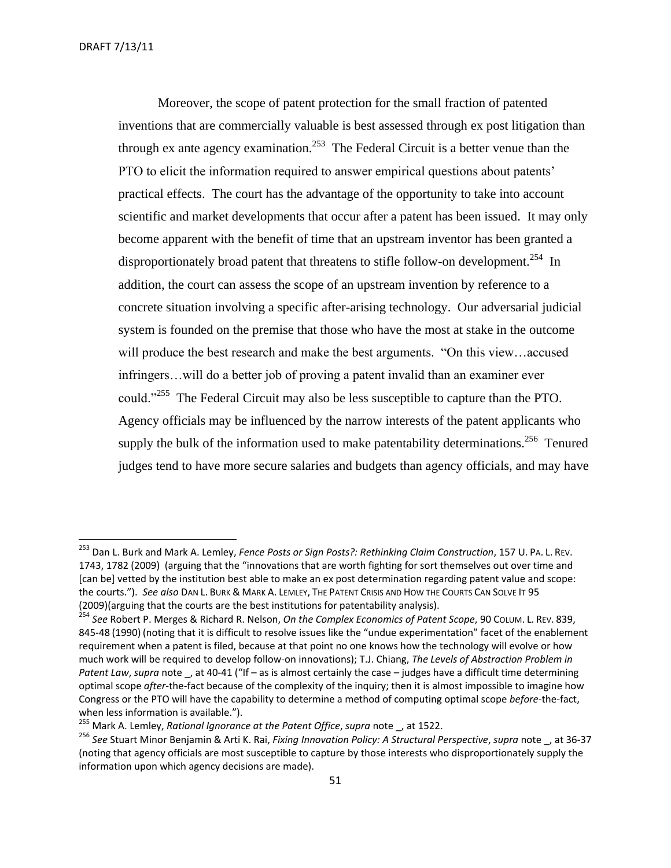Moreover, the scope of patent protection for the small fraction of patented inventions that are commercially valuable is best assessed through ex post litigation than through ex ante agency examination.<sup>253</sup> The Federal Circuit is a better venue than the PTO to elicit the information required to answer empirical questions about patents' practical effects. The court has the advantage of the opportunity to take into account scientific and market developments that occur after a patent has been issued. It may only become apparent with the benefit of time that an upstream inventor has been granted a disproportionately broad patent that threatens to stifle follow-on development.<sup>254</sup> In addition, the court can assess the scope of an upstream invention by reference to a concrete situation involving a specific after-arising technology. Our adversarial judicial system is founded on the premise that those who have the most at stake in the outcome will produce the best research and make the best arguments. "On this view...accused infringers…will do a better job of proving a patent invalid than an examiner ever could."<sup>255</sup> The Federal Circuit may also be less susceptible to capture than the PTO. Agency officials may be influenced by the narrow interests of the patent applicants who supply the bulk of the information used to make patentability determinations.<sup>256</sup> Tenured judges tend to have more secure salaries and budgets than agency officials, and may have

<sup>253</sup> Dan L. Burk and Mark A. Lemley, *Fence Posts or Sign Posts?: Rethinking Claim Construction*, 157 U. PA. L. REV. 1743, 1782 (2009) (arguing that the "innovations that are worth fighting for sort themselves out over time and [can be] vetted by the institution best able to make an ex post determination regarding patent value and scope: the courts."). *See also* DAN L. BURK & MARK A. LEMLEY, THE PATENT CRISIS AND HOW THE COURTS CAN SOLVE IT 95 (2009)(arguing that the courts are the best institutions for patentability analysis).

<sup>254</sup> *See* Robert P. Merges & Richard R. Nelson, *On the Complex Economics of Patent Scope*, 90 COLUM. L. REV. 839, 845-48 (1990) (noting that it is difficult to resolve issues like the "undue experimentation" facet of the enablement requirement when a patent is filed, because at that point no one knows how the technology will evolve or how much work will be required to develop follow-on innovations); T.J. Chiang, *The Levels of Abstraction Problem in Patent Law, supra* note , at 40-41 ("If – as is almost certainly the case – judges have a difficult time determining optimal scope *after*-the-fact because of the complexity of the inquiry; then it is almost impossible to imagine how Congress or the PTO will have the capability to determine a method of computing optimal scope *before*-the-fact, when less information is available.").

<sup>255</sup> Mark A. Lemley, *Rational Ignorance at the Patent Office*, *supra* note \_, at 1522.

<sup>256</sup> *See* Stuart Minor Benjamin & Arti K. Rai, *Fixing Innovation Policy: A Structural Perspective*, *supra* note \_, at 36-37 (noting that agency officials are most susceptible to capture by those interests who disproportionately supply the information upon which agency decisions are made).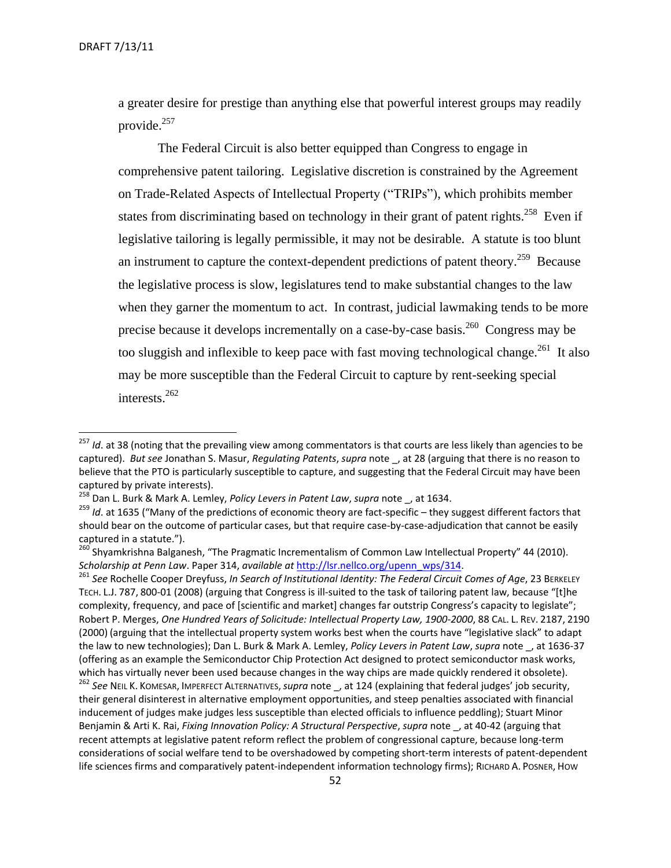a greater desire for prestige than anything else that powerful interest groups may readily provide.<sup>257</sup>

The Federal Circuit is also better equipped than Congress to engage in comprehensive patent tailoring. Legislative discretion is constrained by the Agreement on Trade-Related Aspects of Intellectual Property ("TRIPs"), which prohibits member states from discriminating based on technology in their grant of patent rights.<sup>258</sup> Even if legislative tailoring is legally permissible, it may not be desirable. A statute is too blunt an instrument to capture the context-dependent predictions of patent theory.<sup>259</sup> Because the legislative process is slow, legislatures tend to make substantial changes to the law when they garner the momentum to act. In contrast, judicial lawmaking tends to be more precise because it develops incrementally on a case-by-case basis.<sup>260</sup> Congress may be too sluggish and inflexible to keep pace with fast moving technological change.<sup>261</sup> It also may be more susceptible than the Federal Circuit to capture by rent-seeking special interests. $^{262}$ 

<sup>&</sup>lt;sup>257</sup> *Id*. at 38 (noting that the prevailing view among commentators is that courts are less likely than agencies to be captured). *But see* Jonathan S. Masur, *Regulating Patents*, *supra* note \_, at 28 (arguing that there is no reason to believe that the PTO is particularly susceptible to capture, and suggesting that the Federal Circuit may have been captured by private interests).

<sup>258</sup> Dan L. Burk & Mark A. Lemley, *Policy Levers in Patent Law*, *supra* note \_, at 1634.

<sup>&</sup>lt;sup>259</sup> *Id*. at 1635 ("Many of the predictions of economic theory are fact-specific – they suggest different factors that should bear on the outcome of particular cases, but that require case-by-case-adjudication that cannot be easily captured in a statute.").

<sup>&</sup>lt;sup>260</sup> Shyamkrishna Balganesh, "The Pragmatic Incrementalism of Common Law Intellectual Property" 44 (2010). *Scholarship at Penn Law*. Paper 314, *available at* [http://lsr.nellco.org/upenn\\_wps/314.](http://lsr.nellco.org/upenn_wps/314)

<sup>261</sup> *See* Rochelle Cooper Dreyfuss, *In Search of Institutional Identity: The Federal Circuit Comes of Age*, 23 BERKELEY TECH. L.J. 787, 800-01 (2008) (arguing that Congress is ill-suited to the task of tailoring patent law, because "[t]he complexity, frequency, and pace of [scientific and market] changes far outstrip Congress's capacity to legislate"; Robert P. Merges, *One Hundred Years of Solicitude: Intellectual Property Law, 1900-2000*, 88 CAL. L. REV. 2187, 2190 (2000) (arguing that the intellectual property system works best when the courts have "legislative slack" to adapt the law to new technologies); Dan L. Burk & Mark A. Lemley, *Policy Levers in Patent Law*, *supra* note \_, at 1636-37 (offering as an example the Semiconductor Chip Protection Act designed to protect semiconductor mask works, which has virtually never been used because changes in the way chips are made quickly rendered it obsolete).

<sup>262</sup> *See* NEIL K. KOMESAR, IMPERFECT ALTERNATIVES,*supra* note \_, at 124 (explaining that federal judges' job security, their general disinterest in alternative employment opportunities, and steep penalties associated with financial inducement of judges make judges less susceptible than elected officials to influence peddling); Stuart Minor Benjamin & Arti K. Rai, *Fixing Innovation Policy: A Structural Perspective*, *supra* note \_, at 40-42 (arguing that recent attempts at legislative patent reform reflect the problem of congressional capture, because long-term considerations of social welfare tend to be overshadowed by competing short-term interests of patent-dependent life sciences firms and comparatively patent-independent information technology firms); RICHARD A. POSNER, HOW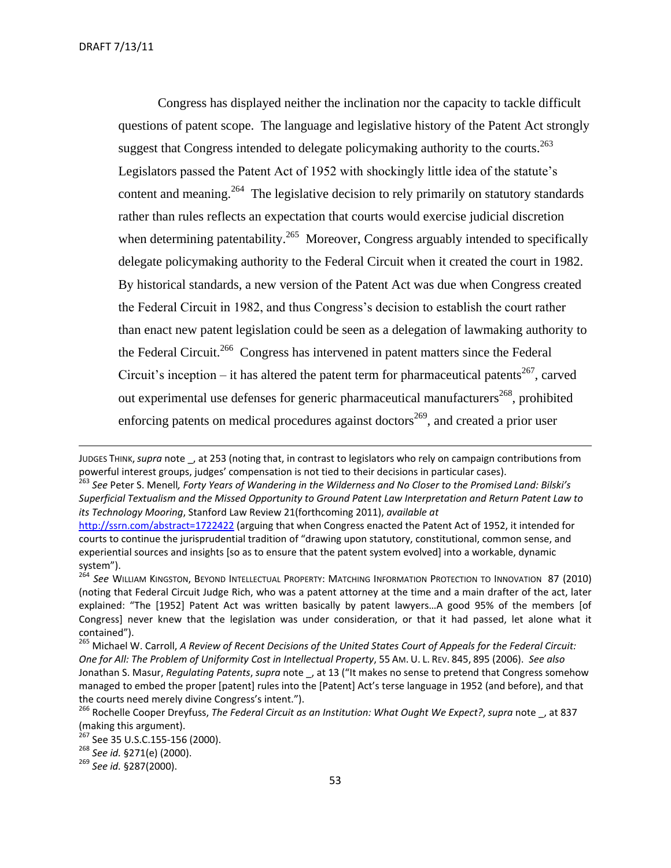Congress has displayed neither the inclination nor the capacity to tackle difficult questions of patent scope. The language and legislative history of the Patent Act strongly suggest that Congress intended to delegate policymaking authority to the courts.<sup>263</sup> Legislators passed the Patent Act of 1952 with shockingly little idea of the statute's content and meaning.<sup>264</sup> The legislative decision to rely primarily on statutory standards rather than rules reflects an expectation that courts would exercise judicial discretion when determining patentability.<sup>265</sup> Moreover, Congress arguably intended to specifically delegate policymaking authority to the Federal Circuit when it created the court in 1982. By historical standards, a new version of the Patent Act was due when Congress created the Federal Circuit in 1982, and thus Congress's decision to establish the court rather than enact new patent legislation could be seen as a delegation of lawmaking authority to the Federal Circuit.<sup>266</sup> Congress has intervened in patent matters since the Federal Circuit's inception – it has altered the patent term for pharmaceutical patents<sup>267</sup>, carved out experimental use defenses for generic pharmaceutical manufacturers<sup>268</sup>, prohibited enforcing patents on medical procedures against doctors<sup>269</sup>, and created a prior user

JUDGES THINK,*supra* note \_, at 253 (noting that, in contrast to legislators who rely on campaign contributions from powerful interest groups, judges' compensation is not tied to their decisions in particular cases).

<sup>263</sup> *See* Peter S. Menell*, Forty Years of Wandering in the Wilderness and No Closer to the Promised Land: Bilski's Superficial Textualism and the Missed Opportunity to Ground Patent Law Interpretation and Return Patent Law to its Technology Mooring*, Stanford Law Review 21(forthcoming 2011), *available at*

<http://ssrn.com/abstract=1722422> (arguing that when Congress enacted the Patent Act of 1952, it intended for courts to continue the jurisprudential tradition of "drawing upon statutory, constitutional, common sense, and experiential sources and insights [so as to ensure that the patent system evolved] into a workable, dynamic system").

<sup>264</sup> *See* WILLIAM KINGSTON, BEYOND INTELLECTUAL PROPERTY: MATCHING INFORMATION PROTECTION TO INNOVATION 87 (2010) (noting that Federal Circuit Judge Rich, who was a patent attorney at the time and a main drafter of the act, later explained: "The [1952] Patent Act was written basically by patent lawyers...A good 95% of the members [of Congress] never knew that the legislation was under consideration, or that it had passed, let alone what it contained").

<sup>265</sup> Michael W. Carroll, *A Review of Recent Decisions of the United States Court of Appeals for the Federal Circuit: One for All: The Problem of Uniformity Cost in Intellectual Property*, 55 AM. U. L. REV. 845, 895 (2006). *See also*  Jonathan S. Masur, *Regulating Patents*, *supra* note \_, at 13 ("It makes no sense to pretend that Congress somehow managed to embed the proper [patent] rules into the [Patent] Act's terse language in 1952 (and before), and that the courts need merely divine Congress's intent.").

<sup>266</sup> Rochelle Cooper Dreyfuss, *The Federal Circuit as an Institution: What Ought We Expect?*, *supra* note \_, at 837 (making this argument).

<sup>&</sup>lt;sup>267</sup> See 35 U.S.C.155-156 (2000).

<sup>268</sup> *See id.* §271(e) (2000).

<sup>269</sup> *See id.* §287(2000).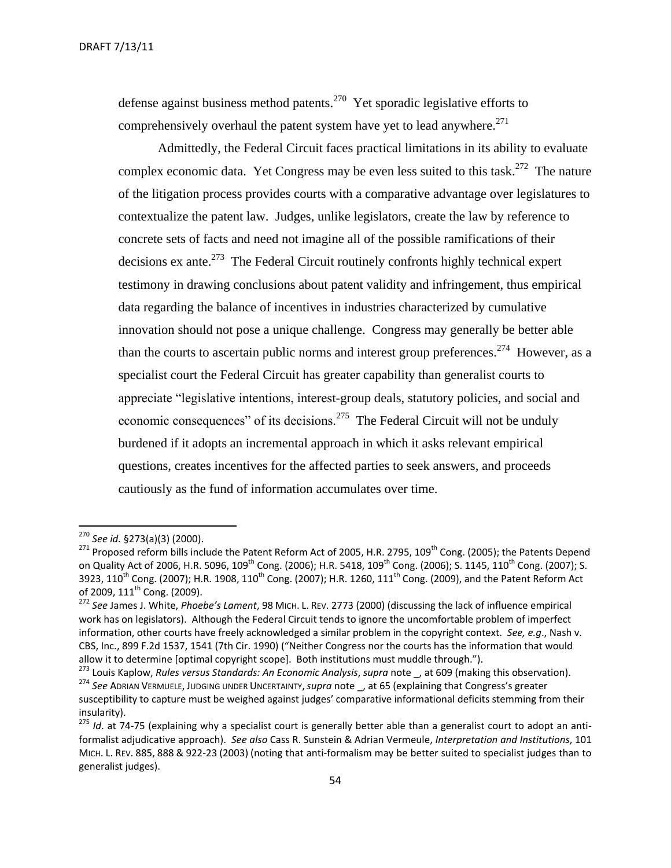defense against business method patents.<sup>270</sup> Yet sporadic legislative efforts to comprehensively overhaul the patent system have yet to lead anywhere. $271$ 

Admittedly, the Federal Circuit faces practical limitations in its ability to evaluate complex economic data. Yet Congress may be even less suited to this task.<sup>272</sup> The nature of the litigation process provides courts with a comparative advantage over legislatures to contextualize the patent law. Judges, unlike legislators, create the law by reference to concrete sets of facts and need not imagine all of the possible ramifications of their decisions ex ante.<sup>273</sup> The Federal Circuit routinely confronts highly technical expert testimony in drawing conclusions about patent validity and infringement, thus empirical data regarding the balance of incentives in industries characterized by cumulative innovation should not pose a unique challenge. Congress may generally be better able than the courts to ascertain public norms and interest group preferences.<sup>274</sup> However, as a specialist court the Federal Circuit has greater capability than generalist courts to appreciate "legislative intentions, interest-group deals, statutory policies, and social and economic consequences" of its decisions.<sup>275</sup> The Federal Circuit will not be unduly burdened if it adopts an incremental approach in which it asks relevant empirical questions, creates incentives for the affected parties to seek answers, and proceeds cautiously as the fund of information accumulates over time.

<sup>270</sup> *See id.* §273(a)(3) (2000).

<sup>271</sup> Proposed reform bills include the Patent Reform Act of 2005, H.R. 2795, 109<sup>th</sup> Cong. (2005); the Patents Depend on Quality Act of 2006, H.R. 5096, 109<sup>th</sup> Cong. (2006); H.R. 5418, 109<sup>th</sup> Cong. (2006); S. 1145, 110<sup>th</sup> Cong. (2007); S. 3923, 110<sup>th</sup> Cong. (2007); H.R. 1908, 110<sup>th</sup> Cong. (2007); H.R. 1260, 111<sup>th</sup> Cong. (2009), and the Patent Reform Act of 2009, 111<sup>th</sup> Cong. (2009).

<sup>272</sup> *See* James J. White, *Phoebe's Lament*, 98 MICH. L. REV. 2773 (2000) (discussing the lack of influence empirical work has on legislators). Although the Federal Circuit tends to ignore the uncomfortable problem of imperfect information, other courts have freely acknowledged a similar problem in the copyright context. *See, e.g*., Nash v. CBS, Inc., 899 F.2d 1537, 1541 (7th Cir. 1990) ("Neither Congress nor the courts has the information that would allow it to determine (optimal copyright scope). Both institutions must muddle through.").

<sup>273</sup> Louis Kaplow, *Rules versus Standards: An Economic Analysis*, *supra* note \_, at 609 (making this observation).

<sup>274</sup> *See* ADRIAN VERMUELE, JUDGING UNDER UNCERTAINTY,*supra* note \_, at 65 (explaining that Congress's greater susceptibility to capture must be weighed against judges' comparative informational deficits stemming from their insularity).

<sup>&</sup>lt;sup>275</sup> *Id*. at 74-75 (explaining why a specialist court is generally better able than a generalist court to adopt an antiformalist adjudicative approach). *See also* Cass R. Sunstein & Adrian Vermeule, *Interpretation and Institutions*, 101 MICH. L. REV. 885, 888 & 922-23 (2003) (noting that anti-formalism may be better suited to specialist judges than to generalist judges).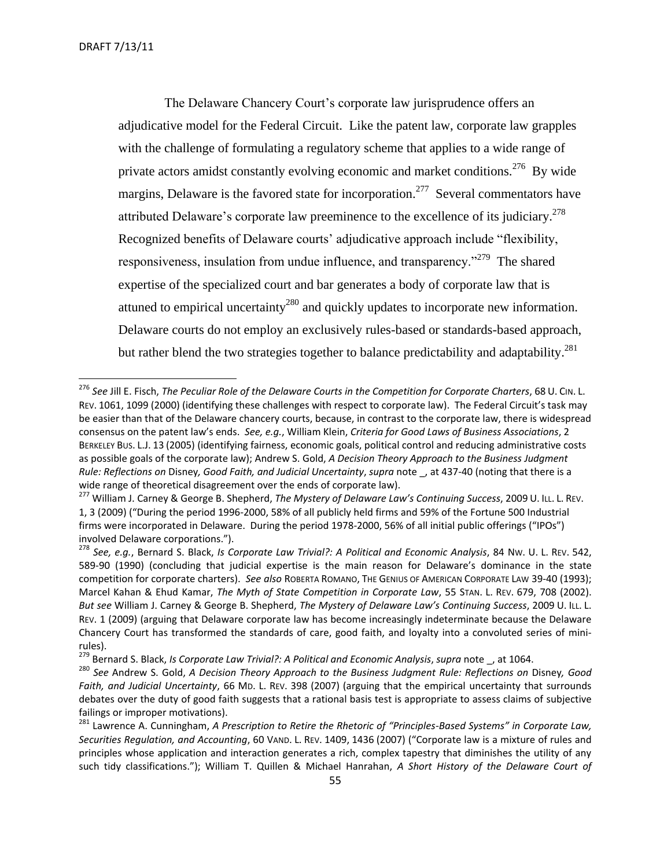The Delaware Chancery Court's corporate law jurisprudence offers an adjudicative model for the Federal Circuit. Like the patent law, corporate law grapples with the challenge of formulating a regulatory scheme that applies to a wide range of private actors amidst constantly evolving economic and market conditions.<sup>276</sup> By wide margins, Delaware is the favored state for incorporation.<sup>277</sup> Several commentators have attributed Delaware's corporate law preeminence to the excellence of its judiciary.<sup>278</sup> Recognized benefits of Delaware courts' adjudicative approach include "flexibility, responsiveness, insulation from undue influence, and transparency.<sup>279</sup> The shared expertise of the specialized court and bar generates a body of corporate law that is attuned to empirical uncertainty<sup>280</sup> and quickly updates to incorporate new information. Delaware courts do not employ an exclusively rules-based or standards-based approach, but rather blend the two strategies together to balance predictability and adaptability.<sup>281</sup>

<sup>276</sup> *See* Jill E. Fisch, *The Peculiar Role of the Delaware Courts in the Competition for Corporate Charters*, 68 U. CIN. L. REV. 1061, 1099 (2000) (identifying these challenges with respect to corporate law). The Federal Circuit's task may be easier than that of the Delaware chancery courts, because, in contrast to the corporate law, there is widespread consensus on the patent law's ends. *See, e.g.*, William Klein, *Criteria for Good Laws of Business Associations*, 2 BERKELEY BUS. L.J. 13 (2005) (identifying fairness, economic goals, political control and reducing administrative costs as possible goals of the corporate law); Andrew S. Gold, *A Decision Theory Approach to the Business Judgment Rule: Reflections on* Disney*, Good Faith, and Judicial Uncertainty*, *supra* note \_, at 437-40 (noting that there is a wide range of theoretical disagreement over the ends of corporate law).

<sup>277</sup> William J. Carney & George B. Shepherd, *The Mystery of Delaware Law's Continuing Success*, 2009 U. ILL. L. REV. 1, 3 (2009) ("During the period 1996-2000, 58% of all publicly held firms and 59% of the Fortune 500 Industrial firms were incorporated in Delaware. During the period 1978-2000, 56% of all initial public offerings ("IPOs") involved Delaware corporations.").

<sup>278</sup> *See, e.g.*, Bernard S. Black, *Is Corporate Law Trivial?: A Political and Economic Analysis*, 84 NW. U. L. REV. 542, 589-90 (1990) (concluding that judicial expertise is the main reason for Delaware's dominance in the state competition for corporate charters). *See also* ROBERTA ROMANO, THE GENIUS OF AMERICAN CORPORATE LAW 39-40 (1993); Marcel Kahan & Ehud Kamar, *The Myth of State Competition in Corporate Law*, 55 STAN. L. REV. 679, 708 (2002). *But see* William J. Carney & George B. Shepherd, *The Mystery of Delaware Law's Continuing Success*, 2009 U. ILL. L. REV. 1 (2009) (arguing that Delaware corporate law has become increasingly indeterminate because the Delaware Chancery Court has transformed the standards of care, good faith, and loyalty into a convoluted series of minirules).

<sup>279</sup> Bernard S. Black, *Is Corporate Law Trivial?: A Political and Economic Analysis*, *supra* note \_, at 1064.

<sup>280</sup> *See* Andrew S. Gold, *A Decision Theory Approach to the Business Judgment Rule: Reflections on* Disney*, Good Faith, and Judicial Uncertainty*, 66 MD. L. REV. 398 (2007) (arguing that the empirical uncertainty that surrounds debates over the duty of good faith suggests that a rational basis test is appropriate to assess claims of subjective failings or improper motivations).

<sup>281</sup> Lawrence A. Cunningham, *A Prescription to Retire the Rhetoric of "Principles-Based Systems" in Corporate Law, Securities Regulation, and Accounting*, 60 VAND. L. REV. 1409, 1436 (2007) ("Corporate law is a mixture of rules and principles whose application and interaction generates a rich, complex tapestry that diminishes the utility of any such tidy classifications."); William T. Quillen & Michael Hanrahan, *A Short History of the Delaware Court of*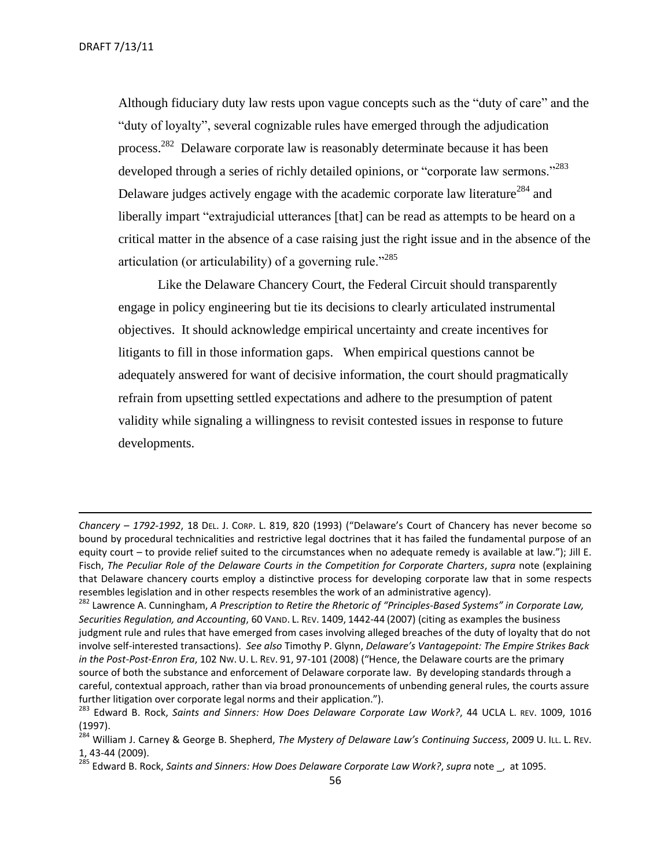Although fiduciary duty law rests upon vague concepts such as the "duty of care" and the "duty of loyalty", several cognizable rules have emerged through the adjudication process.<sup>282</sup> Delaware corporate law is reasonably determinate because it has been developed through a series of richly detailed opinions, or "corporate law sermons."<sup>283</sup> Delaware judges actively engage with the academic corporate law literature<sup>284</sup> and liberally impart "extrajudicial utterances [that] can be read as attempts to be heard on a critical matter in the absence of a case raising just the right issue and in the absence of the articulation (or articulability) of a governing rule."<sup>285</sup>

Like the Delaware Chancery Court, the Federal Circuit should transparently engage in policy engineering but tie its decisions to clearly articulated instrumental objectives. It should acknowledge empirical uncertainty and create incentives for litigants to fill in those information gaps. When empirical questions cannot be adequately answered for want of decisive information, the court should pragmatically refrain from upsetting settled expectations and adhere to the presumption of patent validity while signaling a willingness to revisit contested issues in response to future developments.

*Chancery – 1792-1992*, 18 DEL. J. CORP. L. 819, 820 (1993) ("Delaware's Court of Chancery has never become so bound by procedural technicalities and restrictive legal doctrines that it has failed the fundamental purpose of an equity court – to provide relief suited to the circumstances when no adequate remedy is available at law."); Jill E. Fisch, *The Peculiar Role of the Delaware Courts in the Competition for Corporate Charters*, *supra* note (explaining that Delaware chancery courts employ a distinctive process for developing corporate law that in some respects resembles legislation and in other respects resembles the work of an administrative agency).

<sup>282</sup> Lawrence A. Cunningham, *A Prescription to Retire the Rhetoric of "Principles-Based Systems" in Corporate Law, Securities Regulation, and Accounting*, 60 VAND. L. REV. 1409, 1442-44 (2007) (citing as examples the business judgment rule and rules that have emerged from cases involving alleged breaches of the duty of loyalty that do not involve self-interested transactions). *See also* Timothy P. Glynn, *Delaware's Vantagepoint: The Empire Strikes Back in the Post-Post-Enron Era*, 102 NW. U. L. REV. 91, 97-101 (2008) ("Hence, the Delaware courts are the primary source of both the substance and enforcement of Delaware corporate law. By developing standards through a careful, contextual approach, rather than via broad pronouncements of unbending general rules, the courts assure further litigation over corporate legal norms and their application.").

<sup>&</sup>lt;sup>283</sup> Edward B. Rock, *Saints and Sinners: How Does Delaware Corporate Law Work?*, 44 UCLA L. REV. 1009, 1016 (1997).

<sup>284</sup> William J. Carney & George B. Shepherd, *The Mystery of Delaware Law's Continuing Success*, 2009 U. ILL. L. REV. 1, 43-44 (2009).

<sup>285</sup> Edward B. Rock, *Saints and Sinners: How Does Delaware Corporate Law Work?*, *supra* note \_, at 1095.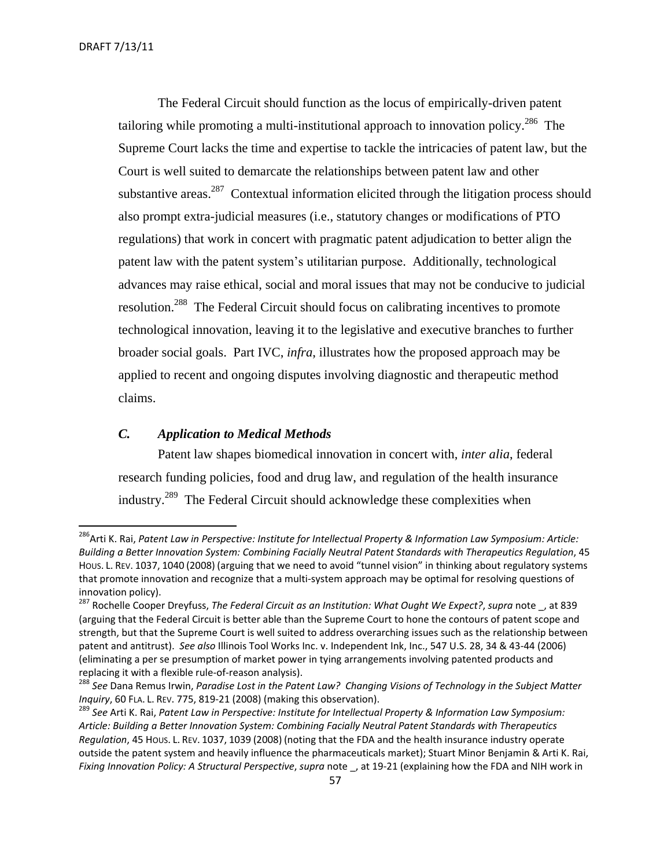The Federal Circuit should function as the locus of empirically-driven patent tailoring while promoting a multi-institutional approach to innovation policy.<sup>286</sup> The Supreme Court lacks the time and expertise to tackle the intricacies of patent law, but the Court is well suited to demarcate the relationships between patent law and other substantive areas.<sup>287</sup> Contextual information elicited through the litigation process should also prompt extra-judicial measures (i.e., statutory changes or modifications of PTO regulations) that work in concert with pragmatic patent adjudication to better align the patent law with the patent system's utilitarian purpose. Additionally, technological advances may raise ethical, social and moral issues that may not be conducive to judicial resolution.<sup>288</sup> The Federal Circuit should focus on calibrating incentives to promote technological innovation, leaving it to the legislative and executive branches to further broader social goals. Part IVC, *infra*, illustrates how the proposed approach may be applied to recent and ongoing disputes involving diagnostic and therapeutic method claims.

# <span id="page-56-0"></span>*C. Application to Medical Methods*

Patent law shapes biomedical innovation in concert with, *inter alia*, federal research funding policies, food and drug law, and regulation of the health insurance industry.<sup>289</sup> The Federal Circuit should acknowledge these complexities when

<sup>&</sup>lt;sup>286</sup>Arti K. Rai, *Patent Law in Perspective: Institute for Intellectual Property & Information Law Symposium: Article: Building a Better Innovation System: Combining Facially Neutral Patent Standards with Therapeutics Regulation*, 45 HOUS. L. REV. 1037, 1040 (2008) (arguing that we need to avoid "tunnel vision" in thinking about regulatory systems that promote innovation and recognize that a multi-system approach may be optimal for resolving questions of innovation policy).

<sup>287</sup> Rochelle Cooper Dreyfuss, *The Federal Circuit as an Institution: What Ought We Expect?*, *supra* note \_, at 839 (arguing that the Federal Circuit is better able than the Supreme Court to hone the contours of patent scope and strength, but that the Supreme Court is well suited to address overarching issues such as the relationship between patent and antitrust). *See also* Illinois Tool Works Inc. v. Independent Ink, Inc., 547 U.S. 28, 34 & 43-44 (2006) (eliminating a per se presumption of market power in tying arrangements involving patented products and replacing it with a flexible rule-of-reason analysis).

<sup>288</sup> *See* Dana Remus Irwin, *Paradise Lost in the Patent Law? Changing Visions of Technology in the Subject Matter Inquiry*, 60 FLA. L. REV. 775, 819-21 (2008) (making this observation).

<sup>289</sup> *See* Arti K. Rai, *Patent Law in Perspective: Institute for Intellectual Property & Information Law Symposium: Article: Building a Better Innovation System: Combining Facially Neutral Patent Standards with Therapeutics Regulation*, 45 HOUS. L. REV. 1037, 1039 (2008) (noting that the FDA and the health insurance industry operate outside the patent system and heavily influence the pharmaceuticals market); Stuart Minor Benjamin & Arti K. Rai, *Fixing Innovation Policy: A Structural Perspective*, *supra* note \_, at 19-21 (explaining how the FDA and NIH work in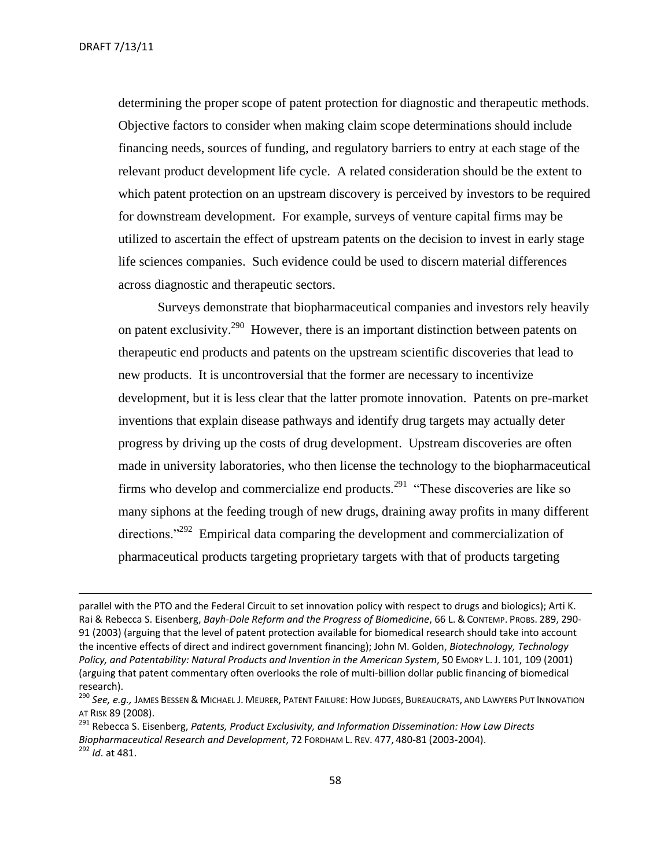determining the proper scope of patent protection for diagnostic and therapeutic methods. Objective factors to consider when making claim scope determinations should include financing needs, sources of funding, and regulatory barriers to entry at each stage of the relevant product development life cycle. A related consideration should be the extent to which patent protection on an upstream discovery is perceived by investors to be required for downstream development. For example, surveys of venture capital firms may be utilized to ascertain the effect of upstream patents on the decision to invest in early stage life sciences companies. Such evidence could be used to discern material differences across diagnostic and therapeutic sectors.

Surveys demonstrate that biopharmaceutical companies and investors rely heavily on patent exclusivity.<sup>290</sup> However, there is an important distinction between patents on therapeutic end products and patents on the upstream scientific discoveries that lead to new products. It is uncontroversial that the former are necessary to incentivize development, but it is less clear that the latter promote innovation. Patents on pre-market inventions that explain disease pathways and identify drug targets may actually deter progress by driving up the costs of drug development. Upstream discoveries are often made in university laboratories, who then license the technology to the biopharmaceutical firms who develop and commercialize end products.<sup>291</sup> "These discoveries are like so many siphons at the feeding trough of new drugs, draining away profits in many different directions."<sup>292</sup> Empirical data comparing the development and commercialization of pharmaceutical products targeting proprietary targets with that of products targeting

parallel with the PTO and the Federal Circuit to set innovation policy with respect to drugs and biologics); Arti K. Rai & Rebecca S. Eisenberg, *Bayh-Dole Reform and the Progress of Biomedicine*, 66 L. & CONTEMP. PROBS. 289, 290- 91 (2003) (arguing that the level of patent protection available for biomedical research should take into account the incentive effects of direct and indirect government financing); John M. Golden, *Biotechnology, Technology Policy, and Patentability: Natural Products and Invention in the American System*, 50 EMORY L. J. 101, 109 (2001) (arguing that patent commentary often overlooks the role of multi-billion dollar public financing of biomedical research).

<sup>290</sup> *See, e.g.,* JAMES BESSEN & MICHAEL J. MEURER, PATENT FAILURE: HOW JUDGES, BUREAUCRATS, AND LAWYERS PUT INNOVATION AT RISK 89 (2008).

<sup>291</sup> Rebecca S. Eisenberg, *Patents, Product Exclusivity, and Information Dissemination: How Law Directs Biopharmaceutical Research and Development*, 72 FORDHAM L. REV. 477, 480-81 (2003-2004).

<sup>292</sup> *Id*. at 481.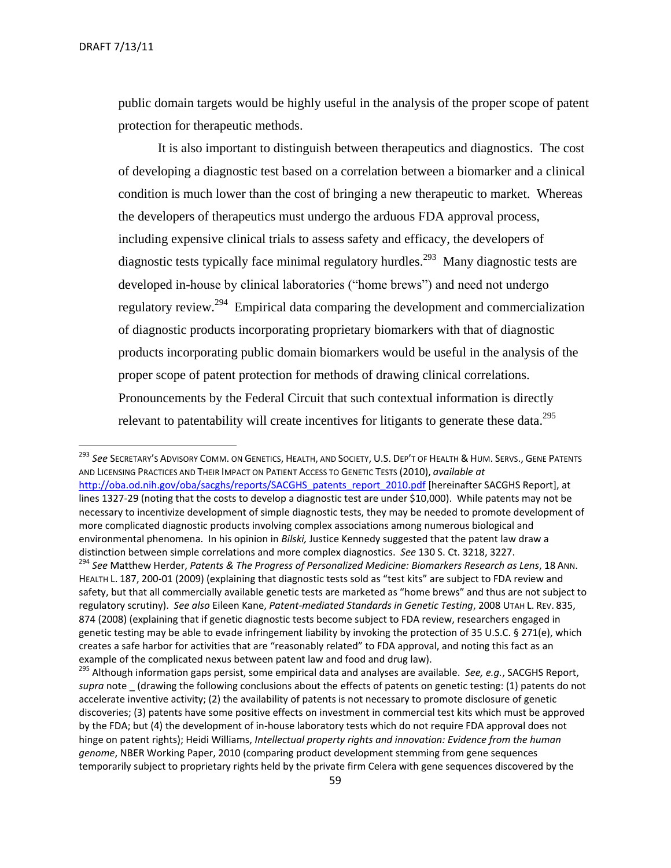public domain targets would be highly useful in the analysis of the proper scope of patent protection for therapeutic methods.

It is also important to distinguish between therapeutics and diagnostics. The cost of developing a diagnostic test based on a correlation between a biomarker and a clinical condition is much lower than the cost of bringing a new therapeutic to market. Whereas the developers of therapeutics must undergo the arduous FDA approval process, including expensive clinical trials to assess safety and efficacy, the developers of diagnostic tests typically face minimal regulatory hurdles.<sup>293</sup> Many diagnostic tests are developed in-house by clinical laboratories ("home brews") and need not undergo regulatory review.<sup>294</sup> Empirical data comparing the development and commercialization of diagnostic products incorporating proprietary biomarkers with that of diagnostic products incorporating public domain biomarkers would be useful in the analysis of the proper scope of patent protection for methods of drawing clinical correlations. Pronouncements by the Federal Circuit that such contextual information is directly relevant to patentability will create incentives for litigants to generate these data.<sup>295</sup>

 $\overline{\phantom{a}}$ <sup>293</sup> *See* SECRETARY'S ADVISORY COMM. ON GENETICS, HEALTH, AND SOCIETY, U.S. DEP'T OF HEALTH & HUM. SERVS., GENE PATENTS AND LICENSING PRACTICES AND THEIR IMPACT ON PATIENT ACCESS TO GENETIC TESTS (2010), *available at* [http://oba.od.nih.gov/oba/sacghs/reports/SACGHS\\_patents\\_report\\_2010.pdf](http://oba.od.nih.gov/oba/sacghs/reports/SACGHS_patents_report_2010.pdf) [hereinafter SACGHS Report], at lines 1327-29 (noting that the costs to develop a diagnostic test are under \$10,000). While patents may not be necessary to incentivize development of simple diagnostic tests, they may be needed to promote development of more complicated diagnostic products involving complex associations among numerous biological and environmental phenomena. In his opinion in *Bilski,* Justice Kennedy suggested that the patent law draw a distinction between simple correlations and more complex diagnostics. *See* 130 S. Ct. 3218, 3227. <sup>294</sup> *See* Matthew Herder, *Patents & The Progress of Personalized Medicine: Biomarkers Research as Lens*, 18 ANN.

HEALTH L. 187, 200-01 (2009) (explaining that diagnostic tests sold as "test kits" are subject to FDA review and safety, but that all commercially available genetic tests are marketed as "home brews" and thus are not subject to regulatory scrutiny). *See also* Eileen Kane, *Patent-mediated Standards in Genetic Testing*, 2008 UTAH L. REV. 835, 874 (2008) (explaining that if genetic diagnostic tests become subject to FDA review, researchers engaged in genetic testing may be able to evade infringement liability by invoking the protection of 35 U.S.C. § 271(e), which creates a safe harbor for activities that are "reasonably related" to FDA approval, and noting this fact as an example of the complicated nexus between patent law and food and drug law).

<sup>295</sup> Although information gaps persist, some empirical data and analyses are available. *See, e.g.*, SACGHS Report, *supra* note (drawing the following conclusions about the effects of patents on genetic testing: (1) patents do not accelerate inventive activity; (2) the availability of patents is not necessary to promote disclosure of genetic discoveries; (3) patents have some positive effects on investment in commercial test kits which must be approved by the FDA; but (4) the development of in-house laboratory tests which do not require FDA approval does not hinge on patent rights); Heidi Williams, *Intellectual property rights and innovation: Evidence from the human genome*, NBER Working Paper, 2010 (comparing product development stemming from gene sequences temporarily subject to proprietary rights held by the private firm Celera with gene sequences discovered by the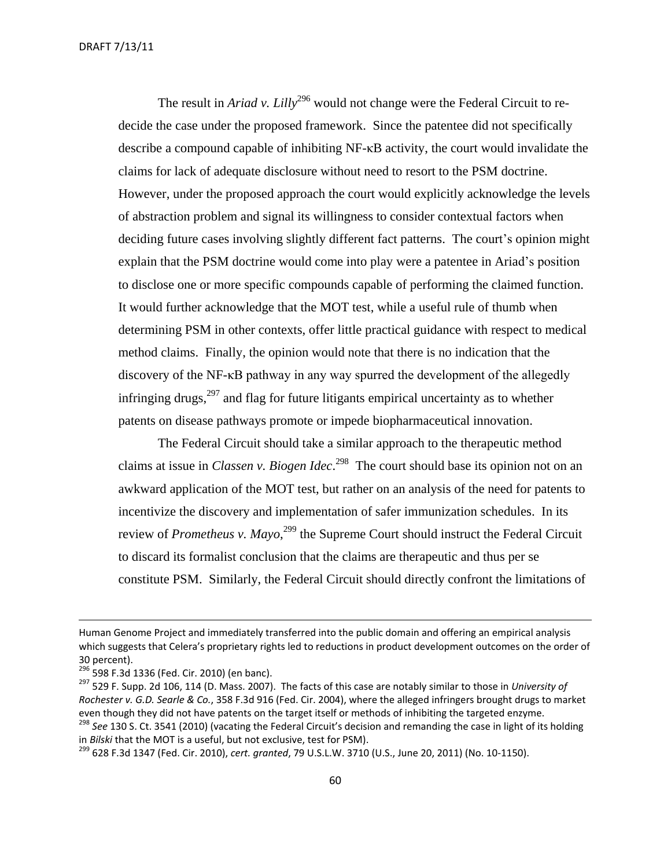The result in *Ariad v. Lilly*<sup>296</sup> would not change were the Federal Circuit to redecide the case under the proposed framework. Since the patentee did not specifically describe a compound capable of inhibiting NF-κB activity, the court would invalidate the claims for lack of adequate disclosure without need to resort to the PSM doctrine. However, under the proposed approach the court would explicitly acknowledge the levels of abstraction problem and signal its willingness to consider contextual factors when deciding future cases involving slightly different fact patterns. The court's opinion might explain that the PSM doctrine would come into play were a patentee in Ariad's position to disclose one or more specific compounds capable of performing the claimed function. It would further acknowledge that the MOT test, while a useful rule of thumb when determining PSM in other contexts, offer little practical guidance with respect to medical method claims. Finally, the opinion would note that there is no indication that the discovery of the NF-κB pathway in any way spurred the development of the allegedly infringing drugs, $297$  and flag for future litigants empirical uncertainty as to whether patents on disease pathways promote or impede biopharmaceutical innovation.

The Federal Circuit should take a similar approach to the therapeutic method claims at issue in *Classen v. Biogen Idec*. 298 The court should base its opinion not on an awkward application of the MOT test, but rather on an analysis of the need for patents to incentivize the discovery and implementation of safer immunization schedules. In its review of *Prometheus v. Mayo*,<sup>299</sup> the Supreme Court should instruct the Federal Circuit to discard its formalist conclusion that the claims are therapeutic and thus per se constitute PSM. Similarly, the Federal Circuit should directly confront the limitations of

Human Genome Project and immediately transferred into the public domain and offering an empirical analysis which suggests that Celera's proprietary rights led to reductions in product development outcomes on the order of 30 percent).

<sup>&</sup>lt;sup>296</sup> 598 F.3d 1336 (Fed. Cir. 2010) (en banc).

<sup>297</sup> 529 F. Supp. 2d 106, 114 (D. Mass. 2007). The facts of this case are notably similar to those in *University of Rochester v. G.D. Searle & Co.*, 358 F.3d 916 (Fed. Cir. 2004), where the alleged infringers brought drugs to market even though they did not have patents on the target itself or methods of inhibiting the targeted enzyme.

<sup>298</sup> *See* 130 S. Ct. 3541 (2010) (vacating the Federal Circuit's decision and remanding the case in light of its holding in *Bilski* that the MOT is a useful, but not exclusive, test for PSM).

<sup>299</sup> 628 F.3d 1347 (Fed. Cir. 2010), *cert. granted*, 79 U.S.L.W. 3710 (U.S., June 20, 2011) (No. 10-1150).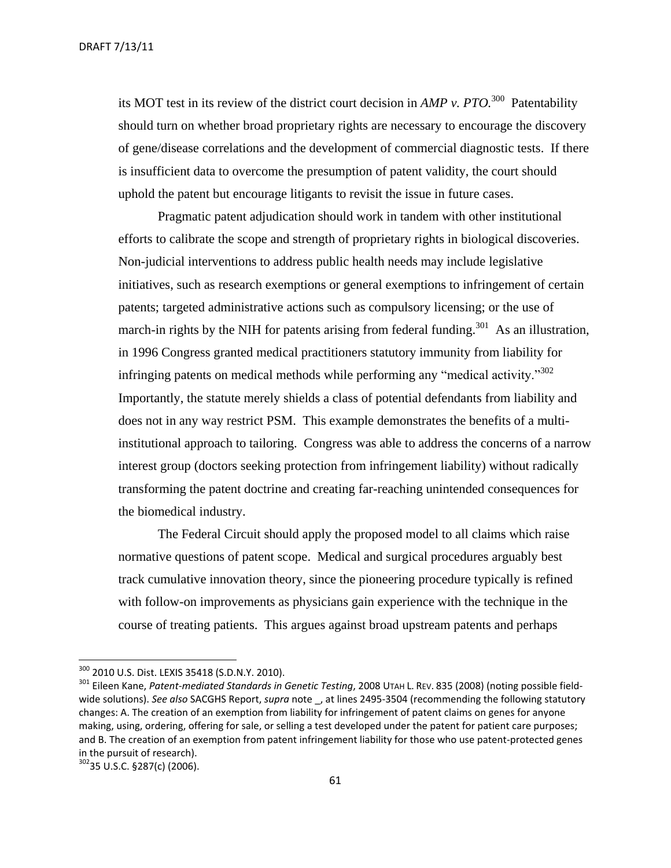DRAFT 7/13/11

its MOT test in its review of the district court decision in *AMP v. PTO.*<sup>300</sup> Patentability should turn on whether broad proprietary rights are necessary to encourage the discovery of gene/disease correlations and the development of commercial diagnostic tests. If there is insufficient data to overcome the presumption of patent validity, the court should uphold the patent but encourage litigants to revisit the issue in future cases.

Pragmatic patent adjudication should work in tandem with other institutional efforts to calibrate the scope and strength of proprietary rights in biological discoveries. Non-judicial interventions to address public health needs may include legislative initiatives, such as research exemptions or general exemptions to infringement of certain patents; targeted administrative actions such as compulsory licensing; or the use of march-in rights by the NIH for patents arising from federal funding.<sup>301</sup> As an illustration, in 1996 Congress granted medical practitioners statutory immunity from liability for infringing patents on medical methods while performing any "medical activity."<sup>302</sup> Importantly, the statute merely shields a class of potential defendants from liability and does not in any way restrict PSM. This example demonstrates the benefits of a multiinstitutional approach to tailoring. Congress was able to address the concerns of a narrow interest group (doctors seeking protection from infringement liability) without radically transforming the patent doctrine and creating far-reaching unintended consequences for the biomedical industry.

The Federal Circuit should apply the proposed model to all claims which raise normative questions of patent scope. Medical and surgical procedures arguably best track cumulative innovation theory, since the pioneering procedure typically is refined with follow-on improvements as physicians gain experience with the technique in the course of treating patients. This argues against broad upstream patents and perhaps

<sup>300</sup> 2010 U.S. Dist. LEXIS 35418 (S.D.N.Y. 2010).

<sup>301</sup> Eileen Kane, *Patent-mediated Standards in Genetic Testing*, 2008 UTAH L. REV. 835 (2008) (noting possible fieldwide solutions). See also SACGHS Report, *supra* note \_, at lines 2495-3504 (recommending the following statutory changes: A. The creation of an exemption from liability for infringement of patent claims on genes for anyone making, using, ordering, offering for sale, or selling a test developed under the patent for patient care purposes; and B. The creation of an exemption from patent infringement liability for those who use patent-protected genes in the pursuit of research).

<sup>302</sup>35 U.S.C. §287(c) (2006).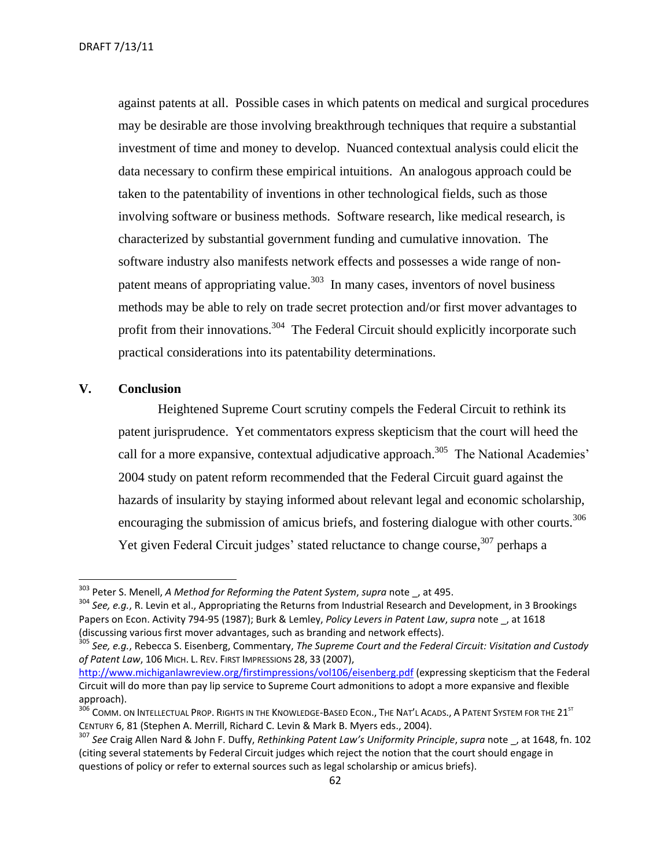DRAFT 7/13/11

against patents at all. Possible cases in which patents on medical and surgical procedures may be desirable are those involving breakthrough techniques that require a substantial investment of time and money to develop. Nuanced contextual analysis could elicit the data necessary to confirm these empirical intuitions. An analogous approach could be taken to the patentability of inventions in other technological fields, such as those involving software or business methods. Software research, like medical research, is characterized by substantial government funding and cumulative innovation. The software industry also manifests network effects and possesses a wide range of nonpatent means of appropriating value.<sup>303</sup> In many cases, inventors of novel business methods may be able to rely on trade secret protection and/or first mover advantages to profit from their innovations.<sup>304</sup> The Federal Circuit should explicitly incorporate such practical considerations into its patentability determinations.

#### <span id="page-61-0"></span>**V. Conclusion**

 $\overline{a}$ 

Heightened Supreme Court scrutiny compels the Federal Circuit to rethink its patent jurisprudence. Yet commentators express skepticism that the court will heed the call for a more expansive, contextual adjudicative approach.<sup>305</sup> The National Academies' 2004 study on patent reform recommended that the Federal Circuit guard against the hazards of insularity by staying informed about relevant legal and economic scholarship, encouraging the submission of amicus briefs, and fostering dialogue with other courts.<sup>306</sup> Yet given Federal Circuit judges' stated reluctance to change course,<sup>307</sup> perhaps a

<sup>303</sup> Peter S. Menell, *A Method for Reforming the Patent System*, *supra* note \_, at 495.

<sup>304</sup> *See, e.g.*, R. Levin et al., Appropriating the Returns from Industrial Research and Development, in 3 Brookings Papers on Econ. Activity 794-95 (1987); Burk & Lemley, *Policy Levers in Patent Law*, *supra* note \_, at 1618 (discussing various first mover advantages, such as branding and network effects).

<sup>305</sup> *See, e.g.*, Rebecca S. Eisenberg, Commentary, *The Supreme Court and the Federal Circuit: Visitation and Custody of Patent Law*, 106 MICH. L. REV. FIRST IMPRESSIONS 28, 33 (2007),

<http://www.michiganlawreview.org/firstimpressions/vol106/eisenberg.pdf> (expressing skepticism that the Federal Circuit will do more than pay lip service to Supreme Court admonitions to adopt a more expansive and flexible approach).

<sup>306</sup> COMM. ON INTELLECTUAL PROP. RIGHTS IN THE KNOWLEDGE-BASED ECON., THE NAT'L ACADS., A PATENT SYSTEM FOR THE 21<sup>ST</sup> CENTURY 6, 81 (Stephen A. Merrill, Richard C. Levin & Mark B. Myers eds., 2004).

<sup>307</sup> *See* Craig Allen Nard & John F. Duffy, *Rethinking Patent Law's Uniformity Principle*, *supra* note \_, at 1648, fn. 102 (citing several statements by Federal Circuit judges which reject the notion that the court should engage in questions of policy or refer to external sources such as legal scholarship or amicus briefs).